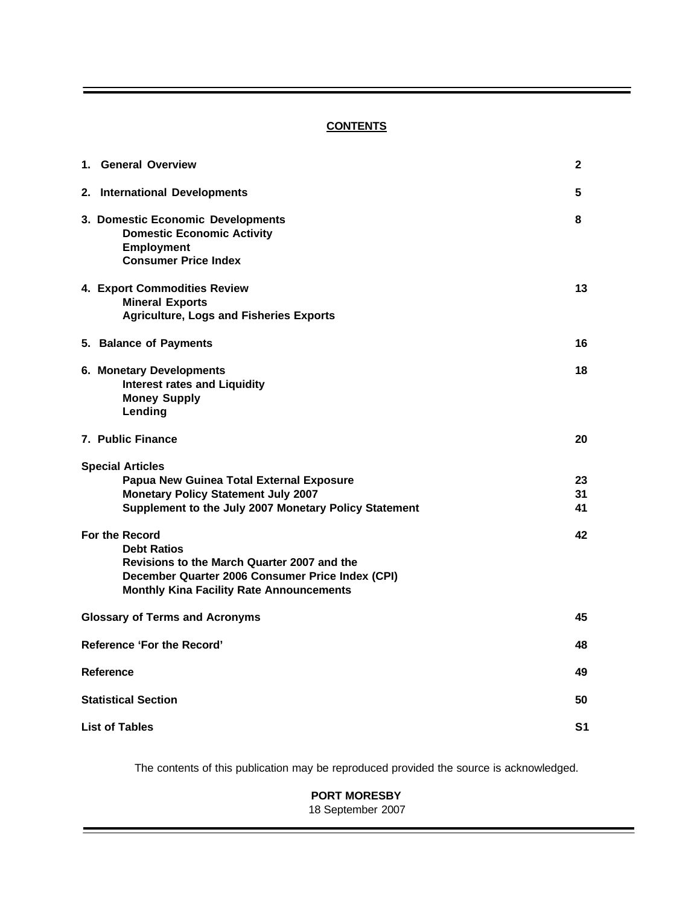## **CONTENTS**

| 1. General Overview                                                                                                                                                                        | $\mathbf{2}$   |  |  |  |  |
|--------------------------------------------------------------------------------------------------------------------------------------------------------------------------------------------|----------------|--|--|--|--|
| 2. International Developments                                                                                                                                                              | 5              |  |  |  |  |
| 3. Domestic Economic Developments<br><b>Domestic Economic Activity</b><br><b>Employment</b><br><b>Consumer Price Index</b>                                                                 | 8              |  |  |  |  |
| 4. Export Commodities Review<br><b>Mineral Exports</b><br><b>Agriculture, Logs and Fisheries Exports</b>                                                                                   | 13             |  |  |  |  |
| 5. Balance of Payments                                                                                                                                                                     | 16             |  |  |  |  |
| 6. Monetary Developments<br><b>Interest rates and Liquidity</b><br><b>Money Supply</b><br>Lending                                                                                          | 18             |  |  |  |  |
| 7. Public Finance                                                                                                                                                                          | 20             |  |  |  |  |
| <b>Special Articles</b><br>Papua New Guinea Total External Exposure<br><b>Monetary Policy Statement July 2007</b><br>Supplement to the July 2007 Monetary Policy Statement                 | 23<br>31<br>41 |  |  |  |  |
| For the Record<br><b>Debt Ratios</b><br>Revisions to the March Quarter 2007 and the<br>December Quarter 2006 Consumer Price Index (CPI)<br><b>Monthly Kina Facility Rate Announcements</b> | 42             |  |  |  |  |
| <b>Glossary of Terms and Acronyms</b>                                                                                                                                                      | 45             |  |  |  |  |
| <b>Reference 'For the Record'</b>                                                                                                                                                          | 48             |  |  |  |  |
| <b>Reference</b>                                                                                                                                                                           | 49             |  |  |  |  |
| <b>Statistical Section</b><br>50                                                                                                                                                           |                |  |  |  |  |
| <b>List of Tables</b><br>S1                                                                                                                                                                |                |  |  |  |  |

The contents of this publication may be reproduced provided the source is acknowledged.

## **PORT MORESBY** 18 September 2007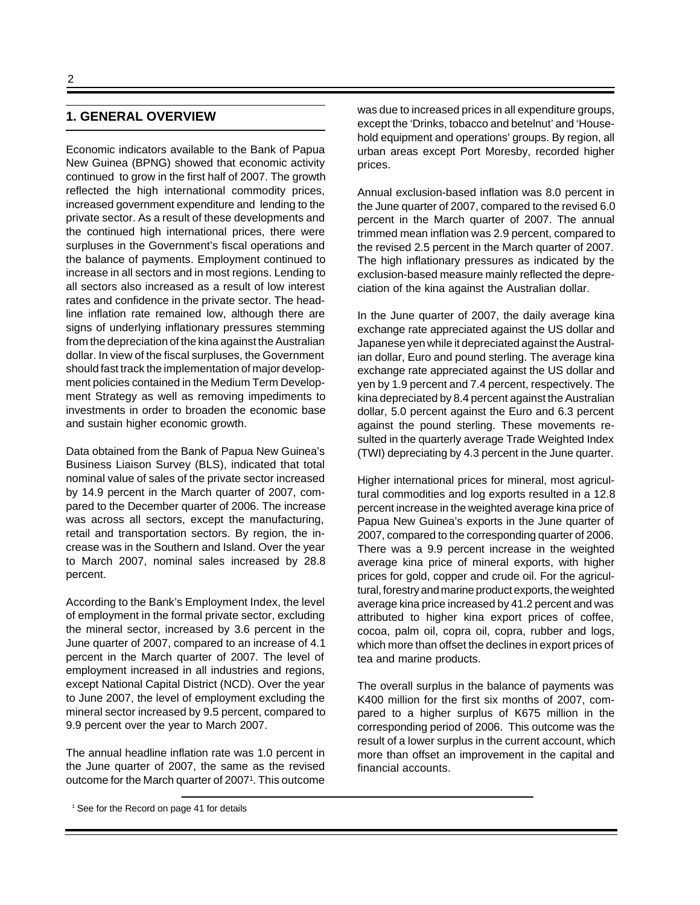## **1. GENERAL OVERVIEW**

Economic indicators available to the Bank of Papua New Guinea (BPNG) showed that economic activity continued to grow in the first half of 2007. The growth reflected the high international commodity prices, increased government expenditure and lending to the private sector. As a result of these developments and the continued high international prices, there were surpluses in the Government's fiscal operations and the balance of payments. Employment continued to increase in all sectors and in most regions. Lending to all sectors also increased as a result of low interest rates and confidence in the private sector. The headline inflation rate remained low, although there are signs of underlying inflationary pressures stemming from the depreciation of the kina against the Australian dollar. In view of the fiscal surpluses, the Government should fast track the implementation of major development policies contained in the Medium Term Development Strategy as well as removing impediments to investments in order to broaden the economic base and sustain higher economic growth.

Data obtained from the Bank of Papua New Guinea's Business Liaison Survey (BLS), indicated that total nominal value of sales of the private sector increased by 14.9 percent in the March quarter of 2007, compared to the December quarter of 2006. The increase was across all sectors, except the manufacturing, retail and transportation sectors. By region, the increase was in the Southern and Island. Over the year to March 2007, nominal sales increased by 28.8 percent.

According to the Bank's Employment Index, the level of employment in the formal private sector, excluding the mineral sector, increased by 3.6 percent in the June quarter of 2007, compared to an increase of 4.1 percent in the March quarter of 2007. The level of employment increased in all industries and regions, except National Capital District (NCD). Over the year to June 2007, the level of employment excluding the mineral sector increased by 9.5 percent, compared to 9.9 percent over the year to March 2007.

The annual headline inflation rate was 1.0 percent in the June quarter of 2007, the same as the revised outcome for the March quarter of 2007<sup>1</sup>. This outcome

was due to increased prices in all expenditure groups, except the 'Drinks, tobacco and betelnut' and 'Household equipment and operations' groups. By region, all urban areas except Port Moresby, recorded higher prices.

Annual exclusion-based inflation was 8.0 percent in the June quarter of 2007, compared to the revised 6.0 percent in the March quarter of 2007. The annual trimmed mean inflation was 2.9 percent, compared to the revised 2.5 percent in the March quarter of 2007. The high inflationary pressures as indicated by the exclusion-based measure mainly reflected the depreciation of the kina against the Australian dollar.

In the June quarter of 2007, the daily average kina exchange rate appreciated against the US dollar and Japanese yen while it depreciated against the Australian dollar, Euro and pound sterling. The average kina exchange rate appreciated against the US dollar and yen by 1.9 percent and 7.4 percent, respectively. The kina depreciated by 8.4 percent against the Australian dollar, 5.0 percent against the Euro and 6.3 percent against the pound sterling. These movements resulted in the quarterly average Trade Weighted Index (TWI) depreciating by 4.3 percent in the June quarter.

Higher international prices for mineral, most agricultural commodities and log exports resulted in a 12.8 percent increase in the weighted average kina price of Papua New Guinea's exports in the June quarter of 2007, compared to the corresponding quarter of 2006. There was a 9.9 percent increase in the weighted average kina price of mineral exports, with higher prices for gold, copper and crude oil. For the agricultural, forestry and marine product exports, the weighted average kina price increased by 41.2 percent and was attributed to higher kina export prices of coffee, cocoa, palm oil, copra oil, copra, rubber and logs, which more than offset the declines in export prices of tea and marine products.

The overall surplus in the balance of payments was K400 million for the first six months of 2007, compared to a higher surplus of K675 million in the corresponding period of 2006. This outcome was the result of a lower surplus in the current account, which more than offset an improvement in the capital and financial accounts.

<sup>&</sup>lt;sup>1</sup> See for the Record on page 41 for details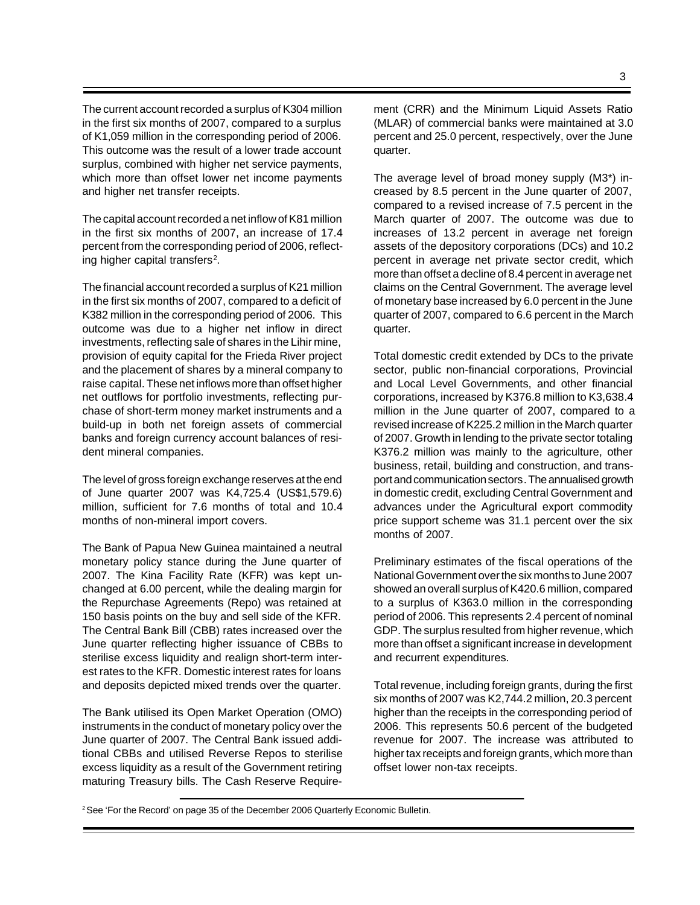The current account recorded a surplus of K304 million in the first six months of 2007, compared to a surplus of K1,059 million in the corresponding period of 2006. This outcome was the result of a lower trade account surplus, combined with higher net service payments, which more than offset lower net income payments and higher net transfer receipts.

The capital account recorded a net inflow of K81 million in the first six months of 2007, an increase of 17.4 percent from the corresponding period of 2006, reflecting higher capital transfers<sup>2</sup>.

The financial account recorded a surplus of K21 million in the first six months of 2007, compared to a deficit of K382 million in the corresponding period of 2006. This outcome was due to a higher net inflow in direct investments, reflecting sale of shares in the Lihir mine, provision of equity capital for the Frieda River project and the placement of shares by a mineral company to raise capital. These net inflows more than offset higher net outflows for portfolio investments, reflecting purchase of short-term money market instruments and a build-up in both net foreign assets of commercial banks and foreign currency account balances of resident mineral companies.

The level of gross foreign exchange reserves at the end of June quarter 2007 was K4,725.4 (US\$1,579.6) million, sufficient for 7.6 months of total and 10.4 months of non-mineral import covers.

The Bank of Papua New Guinea maintained a neutral monetary policy stance during the June quarter of 2007. The Kina Facility Rate (KFR) was kept unchanged at 6.00 percent, while the dealing margin for the Repurchase Agreements (Repo) was retained at 150 basis points on the buy and sell side of the KFR. The Central Bank Bill (CBB) rates increased over the June quarter reflecting higher issuance of CBBs to sterilise excess liquidity and realign short-term interest rates to the KFR. Domestic interest rates for loans and deposits depicted mixed trends over the quarter.

The Bank utilised its Open Market Operation (OMO) instruments in the conduct of monetary policy over the June quarter of 2007. The Central Bank issued additional CBBs and utilised Reverse Repos to sterilise excess liquidity as a result of the Government retiring maturing Treasury bills. The Cash Reserve Requirement (CRR) and the Minimum Liquid Assets Ratio (MLAR) of commercial banks were maintained at 3.0 percent and 25.0 percent, respectively, over the June quarter.

The average level of broad money supply (M3\*) increased by 8.5 percent in the June quarter of 2007, compared to a revised increase of 7.5 percent in the March quarter of 2007. The outcome was due to increases of 13.2 percent in average net foreign assets of the depository corporations (DCs) and 10.2 percent in average net private sector credit, which more than offset a decline of 8.4 percent in average net claims on the Central Government. The average level of monetary base increased by 6.0 percent in the June quarter of 2007, compared to 6.6 percent in the March quarter.

Total domestic credit extended by DCs to the private sector, public non-financial corporations, Provincial and Local Level Governments, and other financial corporations, increased by K376.8 million to K3,638.4 million in the June quarter of 2007, compared to a revised increase of K225.2 million in the March quarter of 2007. Growth in lending to the private sector totaling K376.2 million was mainly to the agriculture, other business, retail, building and construction, and transport and communication sectors. The annualised growth in domestic credit, excluding Central Government and advances under the Agricultural export commodity price support scheme was 31.1 percent over the six months of 2007.

Preliminary estimates of the fiscal operations of the National Government over the six months to June 2007 showed an overall surplus of K420.6 million, compared to a surplus of K363.0 million in the corresponding period of 2006. This represents 2.4 percent of nominal GDP. The surplus resulted from higher revenue, which more than offset a significant increase in development and recurrent expenditures.

Total revenue, including foreign grants, during the first six months of 2007 was K2,744.2 million, 20.3 percent higher than the receipts in the corresponding period of 2006. This represents 50.6 percent of the budgeted revenue for 2007. The increase was attributed to higher tax receipts and foreign grants, which more than offset lower non-tax receipts.

<sup>&</sup>lt;sup>2</sup> See 'For the Record' on page 35 of the December 2006 Quarterly Economic Bulletin.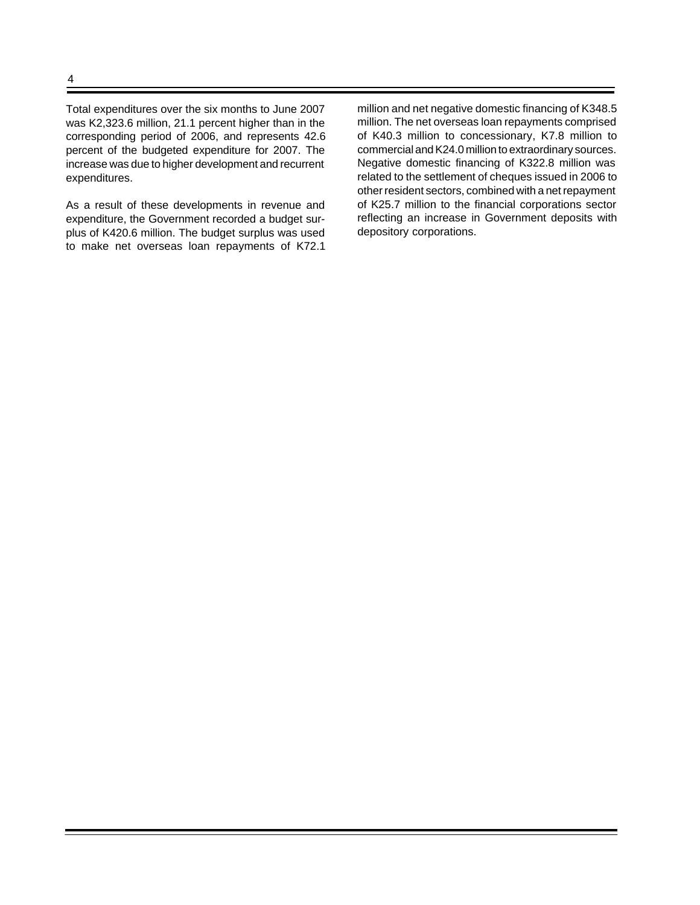Total expenditures over the six months to June 2007 was K2,323.6 million, 21.1 percent higher than in the corresponding period of 2006, and represents 42.6 percent of the budgeted expenditure for 2007. The increase was due to higher development and recurrent expenditures.

As a result of these developments in revenue and expenditure, the Government recorded a budget surplus of K420.6 million. The budget surplus was used to make net overseas loan repayments of K72.1 million and net negative domestic financing of K348.5 million. The net overseas loan repayments comprised of K40.3 million to concessionary, K7.8 million to commercial and K24.0 million to extraordinary sources. Negative domestic financing of K322.8 million was related to the settlement of cheques issued in 2006 to other resident sectors, combined with a net repayment of K25.7 million to the financial corporations sector reflecting an increase in Government deposits with depository corporations.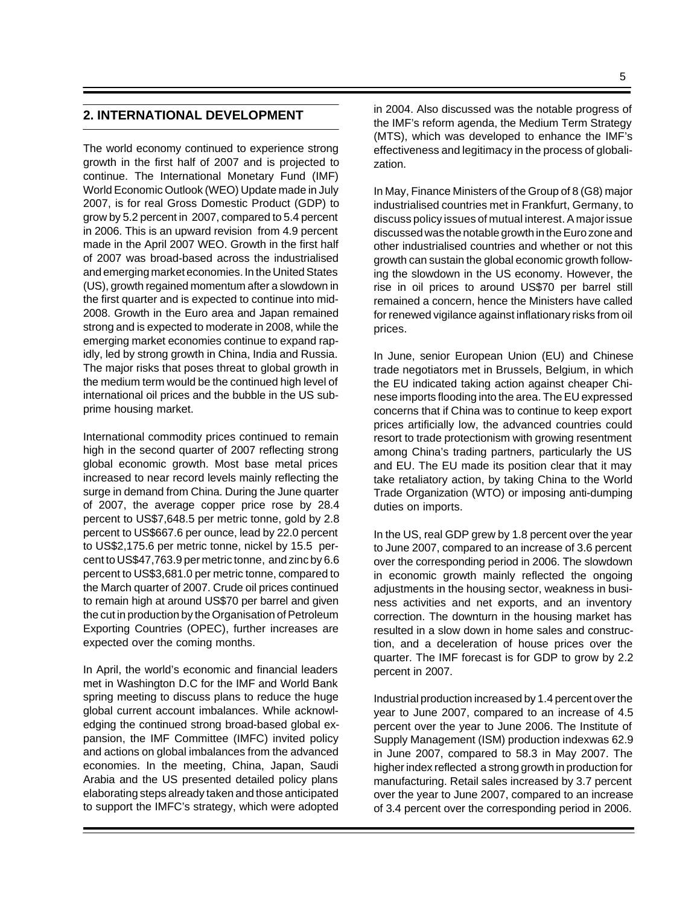## **2. INTERNATIONAL DEVELOPMENT**

The world economy continued to experience strong growth in the first half of 2007 and is projected to continue. The International Monetary Fund (IMF) World Economic Outlook (WEO) Update made in July 2007, is for real Gross Domestic Product (GDP) to grow by 5.2 percent in 2007, compared to 5.4 percent in 2006. This is an upward revision from 4.9 percent made in the April 2007 WEO. Growth in the first half of 2007 was broad-based across the industrialised and emerging market economies. In the United States (US), growth regained momentum after a slowdown in the first quarter and is expected to continue into mid-2008. Growth in the Euro area and Japan remained strong and is expected to moderate in 2008, while the emerging market economies continue to expand rapidly, led by strong growth in China, India and Russia. The major risks that poses threat to global growth in the medium term would be the continued high level of international oil prices and the bubble in the US subprime housing market.

International commodity prices continued to remain high in the second quarter of 2007 reflecting strong global economic growth. Most base metal prices increased to near record levels mainly reflecting the surge in demand from China. During the June quarter of 2007, the average copper price rose by 28.4 percent to US\$7,648.5 per metric tonne, gold by 2.8 percent to US\$667.6 per ounce, lead by 22.0 percent to US\$2,175.6 per metric tonne, nickel by 15.5 percent to US\$47,763.9 per metric tonne, and zinc by 6.6 percent to US\$3,681.0 per metric tonne, compared to the March quarter of 2007. Crude oil prices continued to remain high at around US\$70 per barrel and given the cut in production by the Organisation of Petroleum Exporting Countries (OPEC), further increases are expected over the coming months.

In April, the world's economic and financial leaders met in Washington D.C for the IMF and World Bank spring meeting to discuss plans to reduce the huge global current account imbalances. While acknowledging the continued strong broad-based global expansion, the IMF Committee (IMFC) invited policy and actions on global imbalances from the advanced economies. In the meeting, China, Japan, Saudi Arabia and the US presented detailed policy plans elaborating steps already taken and those anticipated to support the IMFC's strategy, which were adopted

in 2004. Also discussed was the notable progress of the IMF's reform agenda, the Medium Term Strategy (MTS), which was developed to enhance the IMF's effectiveness and legitimacy in the process of globalization.

In May, Finance Ministers of the Group of 8 (G8) major industrialised countries met in Frankfurt, Germany, to discuss policy issues of mutual interest. A major issue discussed was the notable growth in the Euro zone and other industrialised countries and whether or not this growth can sustain the global economic growth following the slowdown in the US economy. However, the rise in oil prices to around US\$70 per barrel still remained a concern, hence the Ministers have called for renewed vigilance against inflationary risks from oil prices.

In June, senior European Union (EU) and Chinese trade negotiators met in Brussels, Belgium, in which the EU indicated taking action against cheaper Chinese imports flooding into the area. The EU expressed concerns that if China was to continue to keep export prices artificially low, the advanced countries could resort to trade protectionism with growing resentment among China's trading partners, particularly the US and EU. The EU made its position clear that it may take retaliatory action, by taking China to the World Trade Organization (WTO) or imposing anti-dumping duties on imports.

In the US, real GDP grew by 1.8 percent over the year to June 2007, compared to an increase of 3.6 percent over the corresponding period in 2006. The slowdown in economic growth mainly reflected the ongoing adjustments in the housing sector, weakness in business activities and net exports, and an inventory correction. The downturn in the housing market has resulted in a slow down in home sales and construction, and a deceleration of house prices over the quarter. The IMF forecast is for GDP to grow by 2.2 percent in 2007.

Industrial production increased by 1.4 percent over the year to June 2007, compared to an increase of 4.5 percent over the year to June 2006. The Institute of Supply Management (ISM) production indexwas 62.9 in June 2007, compared to 58.3 in May 2007. The higher index reflected a strong growth in production for manufacturing. Retail sales increased by 3.7 percent over the year to June 2007, compared to an increase of 3.4 percent over the corresponding period in 2006.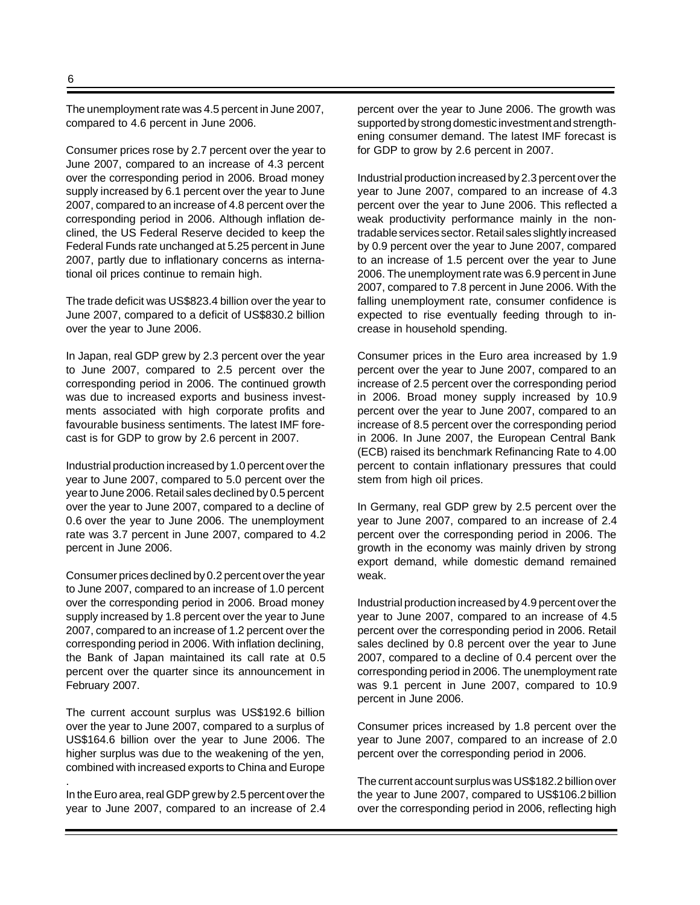The unemployment rate was 4.5 percent in June 2007, compared to 4.6 percent in June 2006.

Consumer prices rose by 2.7 percent over the year to June 2007, compared to an increase of 4.3 percent over the corresponding period in 2006. Broad money supply increased by 6.1 percent over the year to June 2007, compared to an increase of 4.8 percent over the corresponding period in 2006. Although inflation declined, the US Federal Reserve decided to keep the Federal Funds rate unchanged at 5.25 percent in June 2007, partly due to inflationary concerns as international oil prices continue to remain high.

The trade deficit was US\$823.4 billion over the year to June 2007, compared to a deficit of US\$830.2 billion over the year to June 2006.

In Japan, real GDP grew by 2.3 percent over the year to June 2007, compared to 2.5 percent over the corresponding period in 2006. The continued growth was due to increased exports and business investments associated with high corporate profits and favourable business sentiments. The latest IMF forecast is for GDP to grow by 2.6 percent in 2007.

Industrial production increased by 1.0 percent over the year to June 2007, compared to 5.0 percent over the year to June 2006. Retail sales declined by 0.5 percent over the year to June 2007, compared to a decline of 0.6 over the year to June 2006. The unemployment rate was 3.7 percent in June 2007, compared to 4.2 percent in June 2006.

Consumer prices declined by 0.2 percent over the year to June 2007, compared to an increase of 1.0 percent over the corresponding period in 2006. Broad money supply increased by 1.8 percent over the year to June 2007, compared to an increase of 1.2 percent over the corresponding period in 2006. With inflation declining, the Bank of Japan maintained its call rate at 0.5 percent over the quarter since its announcement in February 2007.

The current account surplus was US\$192.6 billion over the year to June 2007, compared to a surplus of US\$164.6 billion over the year to June 2006. The higher surplus was due to the weakening of the yen, combined with increased exports to China and Europe

In the Euro area, real GDP grew by 2.5 percent over the year to June 2007, compared to an increase of 2.4

.

percent over the year to June 2006. The growth was supported by strong domestic investment and strengthening consumer demand. The latest IMF forecast is for GDP to grow by 2.6 percent in 2007.

Industrial production increased by 2.3 percent over the year to June 2007, compared to an increase of 4.3 percent over the year to June 2006. This reflected a weak productivity performance mainly in the nontradable services sector. Retail sales slightly increased by 0.9 percent over the year to June 2007, compared to an increase of 1.5 percent over the year to June 2006. The unemployment rate was 6.9 percent in June 2007, compared to 7.8 percent in June 2006. With the falling unemployment rate, consumer confidence is expected to rise eventually feeding through to increase in household spending.

Consumer prices in the Euro area increased by 1.9 percent over the year to June 2007, compared to an increase of 2.5 percent over the corresponding period in 2006. Broad money supply increased by 10.9 percent over the year to June 2007, compared to an increase of 8.5 percent over the corresponding period in 2006. In June 2007, the European Central Bank (ECB) raised its benchmark Refinancing Rate to 4.00 percent to contain inflationary pressures that could stem from high oil prices.

In Germany, real GDP grew by 2.5 percent over the year to June 2007, compared to an increase of 2.4 percent over the corresponding period in 2006. The growth in the economy was mainly driven by strong export demand, while domestic demand remained weak.

Industrial production increased by 4.9 percent over the year to June 2007, compared to an increase of 4.5 percent over the corresponding period in 2006. Retail sales declined by 0.8 percent over the year to June 2007, compared to a decline of 0.4 percent over the corresponding period in 2006. The unemployment rate was 9.1 percent in June 2007, compared to 10.9 percent in June 2006.

Consumer prices increased by 1.8 percent over the year to June 2007, compared to an increase of 2.0 percent over the corresponding period in 2006.

The current account surplus was US\$182.2 billion over the year to June 2007, compared to US\$106.2 billion over the corresponding period in 2006, reflecting high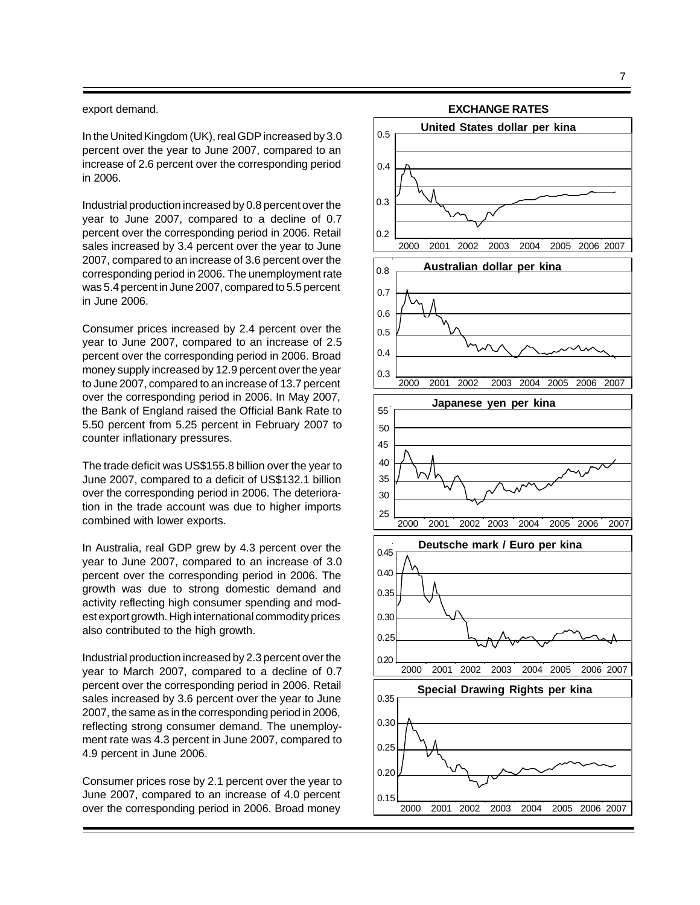#### export demand.

In the United Kingdom (UK), real GDP increased by 3.0 percent over the year to June 2007, compared to an increase of 2.6 percent over the corresponding period in 2006.

Industrial production increased by 0.8 percent over the year to June 2007, compared to a decline of 0.7 percent over the corresponding period in 2006. Retail sales increased by 3.4 percent over the year to June 2007, compared to an increase of 3.6 percent over the corresponding period in 2006. The unemployment rate was 5.4 percent in June 2007, compared to 5.5 percent in June 2006.

Consumer prices increased by 2.4 percent over the year to June 2007, compared to an increase of 2.5 percent over the corresponding period in 2006. Broad money supply increased by 12.9 percent over the year to June 2007, compared to an increase of 13.7 percent over the corresponding period in 2006. In May 2007, the Bank of England raised the Official Bank Rate to 5.50 percent from 5.25 percent in February 2007 to counter inflationary pressures.

The trade deficit was US\$155.8 billion over the year to June 2007, compared to a deficit of US\$132.1 billion over the corresponding period in 2006. The deterioration in the trade account was due to higher imports combined with lower exports.

In Australia, real GDP grew by 4.3 percent over the year to June 2007, compared to an increase of 3.0 percent over the corresponding period in 2006. The growth was due to strong domestic demand and activity reflecting high consumer spending and modest export growth. High international commodity prices also contributed to the high growth.

Industrial production increased by 2.3 percent over the year to March 2007, compared to a decline of 0.7 percent over the corresponding period in 2006. Retail sales increased by 3.6 percent over the year to June 2007, the same as in the corresponding period in 2006, reflecting strong consumer demand. The unemployment rate was 4.3 percent in June 2007, compared to 4.9 percent in June 2006.

Consumer prices rose by 2.1 percent over the year to June 2007, compared to an increase of 4.0 percent over the corresponding period in 2006. Broad money

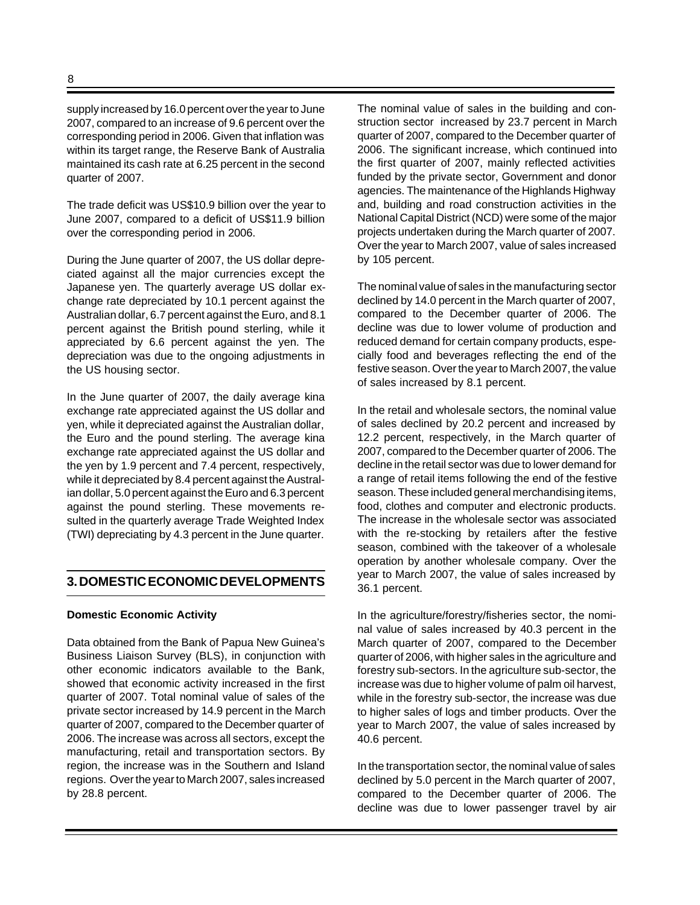supply increased by 16.0 percent over the year to June 2007, compared to an increase of 9.6 percent over the corresponding period in 2006. Given that inflation was within its target range, the Reserve Bank of Australia maintained its cash rate at 6.25 percent in the second quarter of 2007.

The trade deficit was US\$10.9 billion over the year to June 2007, compared to a deficit of US\$11.9 billion over the corresponding period in 2006.

During the June quarter of 2007, the US dollar depreciated against all the major currencies except the Japanese yen. The quarterly average US dollar exchange rate depreciated by 10.1 percent against the Australian dollar, 6.7 percent against the Euro, and 8.1 percent against the British pound sterling, while it appreciated by 6.6 percent against the yen. The depreciation was due to the ongoing adjustments in the US housing sector.

In the June quarter of 2007, the daily average kina exchange rate appreciated against the US dollar and yen, while it depreciated against the Australian dollar, the Euro and the pound sterling. The average kina exchange rate appreciated against the US dollar and the yen by 1.9 percent and 7.4 percent, respectively, while it depreciated by 8.4 percent against the Australian dollar, 5.0 percent against the Euro and 6.3 percent against the pound sterling. These movements resulted in the quarterly average Trade Weighted Index (TWI) depreciating by 4.3 percent in the June quarter.

#### **3. DOMESTIC ECONOMIC DEVELOPMENTS**

#### **Domestic Economic Activity**

Data obtained from the Bank of Papua New Guinea's Business Liaison Survey (BLS), in conjunction with other economic indicators available to the Bank, showed that economic activity increased in the first quarter of 2007. Total nominal value of sales of the private sector increased by 14.9 percent in the March quarter of 2007, compared to the December quarter of 2006. The increase was across all sectors, except the manufacturing, retail and transportation sectors. By region, the increase was in the Southern and Island regions. Over the year to March 2007, sales increased by 28.8 percent.

The nominal value of sales in the building and construction sector increased by 23.7 percent in March quarter of 2007, compared to the December quarter of 2006. The significant increase, which continued into the first quarter of 2007, mainly reflected activities funded by the private sector, Government and donor agencies. The maintenance of the Highlands Highway and, building and road construction activities in the National Capital District (NCD) were some of the major projects undertaken during the March quarter of 2007. Over the year to March 2007, value of sales increased by 105 percent.

The nominal value of sales in the manufacturing sector declined by 14.0 percent in the March quarter of 2007, compared to the December quarter of 2006. The decline was due to lower volume of production and reduced demand for certain company products, especially food and beverages reflecting the end of the festive season. Over the year to March 2007, the value of sales increased by 8.1 percent.

In the retail and wholesale sectors, the nominal value of sales declined by 20.2 percent and increased by 12.2 percent, respectively, in the March quarter of 2007, compared to the December quarter of 2006. The decline in the retail sector was due to lower demand for a range of retail items following the end of the festive season. These included general merchandising items, food, clothes and computer and electronic products. The increase in the wholesale sector was associated with the re-stocking by retailers after the festive season, combined with the takeover of a wholesale operation by another wholesale company. Over the year to March 2007, the value of sales increased by 36.1 percent.

In the agriculture/forestry/fisheries sector, the nominal value of sales increased by 40.3 percent in the March quarter of 2007, compared to the December quarter of 2006, with higher sales in the agriculture and forestry sub-sectors. In the agriculture sub-sector, the increase was due to higher volume of palm oil harvest, while in the forestry sub-sector, the increase was due to higher sales of logs and timber products. Over the year to March 2007, the value of sales increased by 40.6 percent.

In the transportation sector, the nominal value of sales declined by 5.0 percent in the March quarter of 2007, compared to the December quarter of 2006. The decline was due to lower passenger travel by air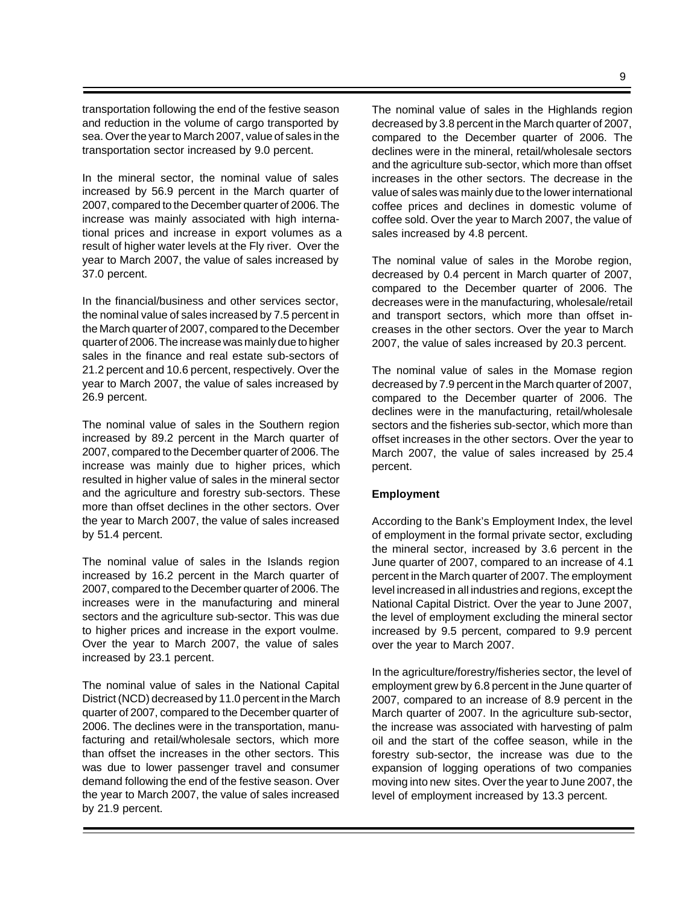transportation following the end of the festive season and reduction in the volume of cargo transported by sea. Over the year to March 2007, value of sales in the transportation sector increased by 9.0 percent.

In the mineral sector, the nominal value of sales increased by 56.9 percent in the March quarter of 2007, compared to the December quarter of 2006. The increase was mainly associated with high international prices and increase in export volumes as a result of higher water levels at the Fly river. Over the year to March 2007, the value of sales increased by 37.0 percent.

In the financial/business and other services sector, the nominal value of sales increased by 7.5 percent in the March quarter of 2007, compared to the December quarter of 2006. The increase was mainly due to higher sales in the finance and real estate sub-sectors of 21.2 percent and 10.6 percent, respectively. Over the year to March 2007, the value of sales increased by 26.9 percent.

The nominal value of sales in the Southern region increased by 89.2 percent in the March quarter of 2007, compared to the December quarter of 2006. The increase was mainly due to higher prices, which resulted in higher value of sales in the mineral sector and the agriculture and forestry sub-sectors. These more than offset declines in the other sectors. Over the year to March 2007, the value of sales increased by 51.4 percent.

The nominal value of sales in the Islands region increased by 16.2 percent in the March quarter of 2007, compared to the December quarter of 2006. The increases were in the manufacturing and mineral sectors and the agriculture sub-sector. This was due to higher prices and increase in the export voulme. Over the year to March 2007, the value of sales increased by 23.1 percent.

The nominal value of sales in the National Capital District (NCD) decreased by 11.0 percent in the March quarter of 2007, compared to the December quarter of 2006. The declines were in the transportation, manufacturing and retail/wholesale sectors, which more than offset the increases in the other sectors. This was due to lower passenger travel and consumer demand following the end of the festive season. Over the year to March 2007, the value of sales increased by 21.9 percent.

The nominal value of sales in the Highlands region decreased by 3.8 percent in the March quarter of 2007, compared to the December quarter of 2006. The declines were in the mineral, retail/wholesale sectors and the agriculture sub-sector, which more than offset increases in the other sectors. The decrease in the value of sales was mainly due to the lower international coffee prices and declines in domestic volume of coffee sold. Over the year to March 2007, the value of sales increased by 4.8 percent.

The nominal value of sales in the Morobe region, decreased by 0.4 percent in March quarter of 2007, compared to the December quarter of 2006. The decreases were in the manufacturing, wholesale/retail and transport sectors, which more than offset increases in the other sectors. Over the year to March 2007, the value of sales increased by 20.3 percent.

The nominal value of sales in the Momase region decreased by 7.9 percent in the March quarter of 2007, compared to the December quarter of 2006. The declines were in the manufacturing, retail/wholesale sectors and the fisheries sub-sector, which more than offset increases in the other sectors. Over the year to March 2007, the value of sales increased by 25.4 percent.

#### **Employment**

According to the Bank's Employment Index, the level of employment in the formal private sector, excluding the mineral sector, increased by 3.6 percent in the June quarter of 2007, compared to an increase of 4.1 percent in the March quarter of 2007. The employment level increased in all industries and regions, except the National Capital District. Over the year to June 2007, the level of employment excluding the mineral sector increased by 9.5 percent, compared to 9.9 percent over the year to March 2007.

In the agriculture/forestry/fisheries sector, the level of employment grew by 6.8 percent in the June quarter of 2007, compared to an increase of 8.9 percent in the March quarter of 2007. In the agriculture sub-sector, the increase was associated with harvesting of palm oil and the start of the coffee season, while in the forestry sub-sector, the increase was due to the expansion of logging operations of two companies moving into new sites. Over the year to June 2007, the level of employment increased by 13.3 percent.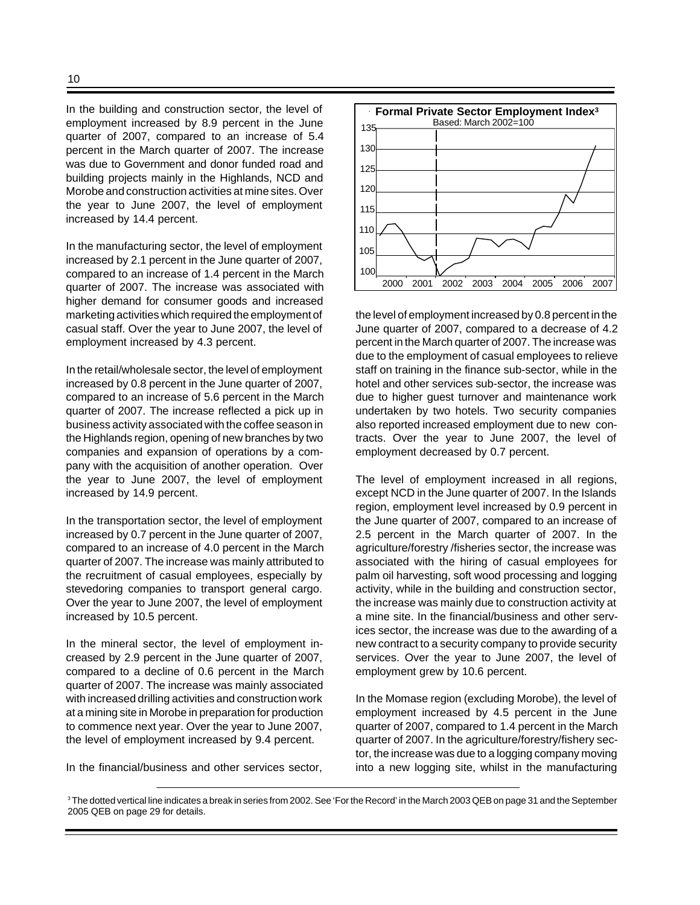In the building and construction sector, the level of employment increased by 8.9 percent in the June quarter of 2007, compared to an increase of 5.4 percent in the March quarter of 2007. The increase was due to Government and donor funded road and building projects mainly in the Highlands, NCD and Morobe and construction activities at mine sites. Over the year to June 2007, the level of employment increased by 14.4 percent.

In the manufacturing sector, the level of employment increased by 2.1 percent in the June quarter of 2007, compared to an increase of 1.4 percent in the March quarter of 2007. The increase was associated with higher demand for consumer goods and increased marketing activities which required the employment of casual staff. Over the year to June 2007, the level of employment increased by 4.3 percent.

In the retail/wholesale sector, the level of employment increased by 0.8 percent in the June quarter of 2007, compared to an increase of 5.6 percent in the March quarter of 2007. The increase reflected a pick up in business activity associated with the coffee season in the Highlands region, opening of new branches by two companies and expansion of operations by a company with the acquisition of another operation. Over the year to June 2007, the level of employment increased by 14.9 percent.

In the transportation sector, the level of employment increased by 0.7 percent in the June quarter of 2007, compared to an increase of 4.0 percent in the March quarter of 2007. The increase was mainly attributed to the recruitment of casual employees, especially by stevedoring companies to transport general cargo. Over the year to June 2007, the level of employment increased by 10.5 percent.

In the mineral sector, the level of employment increased by 2.9 percent in the June quarter of 2007, compared to a decline of 0.6 percent in the March quarter of 2007. The increase was mainly associated with increased drilling activities and construction work at a mining site in Morobe in preparation for production to commence next year. Over the year to June 2007, the level of employment increased by 9.4 percent.

In the financial/business and other services sector,



the level of employment increased by 0.8 percent in the June quarter of 2007, compared to a decrease of 4.2 percent in the March quarter of 2007. The increase was due to the employment of casual employees to relieve staff on training in the finance sub-sector, while in the hotel and other services sub-sector, the increase was due to higher guest turnover and maintenance work undertaken by two hotels. Two security companies also reported increased employment due to new contracts. Over the year to June 2007, the level of employment decreased by 0.7 percent.

The level of employment increased in all regions, except NCD in the June quarter of 2007. In the Islands region, employment level increased by 0.9 percent in the June quarter of 2007, compared to an increase of 2.5 percent in the March quarter of 2007. In the agriculture/forestry /fisheries sector, the increase was associated with the hiring of casual employees for palm oil harvesting, soft wood processing and logging activity, while in the building and construction sector, the increase was mainly due to construction activity at a mine site. In the financial/business and other services sector, the increase was due to the awarding of a new contract to a security company to provide security services. Over the year to June 2007, the level of employment grew by 10.6 percent.

In the Momase region (excluding Morobe), the level of employment increased by 4.5 percent in the June quarter of 2007, compared to 1.4 percent in the March quarter of 2007. In the agriculture/forestry/fishery sector, the increase was due to a logging company moving into a new logging site, whilst in the manufacturing

 $^{\rm 3}$ The dotted vertical line indicates a break in series from 2002. See 'For the Record' in the March 2003 QEB on page 31 and the September 2005 QEB on page 29 for details.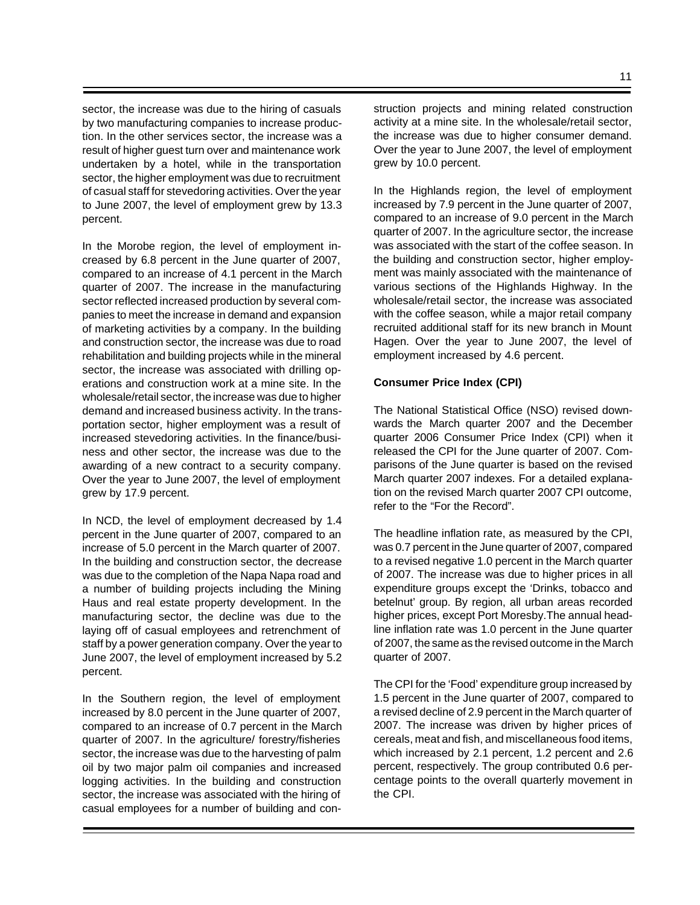sector, the increase was due to the hiring of casuals by two manufacturing companies to increase production. In the other services sector, the increase was a result of higher guest turn over and maintenance work undertaken by a hotel, while in the transportation sector, the higher employment was due to recruitment of casual staff for stevedoring activities. Over the year to June 2007, the level of employment grew by 13.3 percent.

In the Morobe region, the level of employment increased by 6.8 percent in the June quarter of 2007, compared to an increase of 4.1 percent in the March quarter of 2007. The increase in the manufacturing sector reflected increased production by several companies to meet the increase in demand and expansion of marketing activities by a company. In the building and construction sector, the increase was due to road rehabilitation and building projects while in the mineral sector, the increase was associated with drilling operations and construction work at a mine site. In the wholesale/retail sector, the increase was due to higher demand and increased business activity. In the transportation sector, higher employment was a result of increased stevedoring activities. In the finance/business and other sector, the increase was due to the awarding of a new contract to a security company. Over the year to June 2007, the level of employment grew by 17.9 percent.

In NCD, the level of employment decreased by 1.4 percent in the June quarter of 2007, compared to an increase of 5.0 percent in the March quarter of 2007. In the building and construction sector, the decrease was due to the completion of the Napa Napa road and a number of building projects including the Mining Haus and real estate property development. In the manufacturing sector, the decline was due to the laying off of casual employees and retrenchment of staff by a power generation company. Over the year to June 2007, the level of employment increased by 5.2 percent.

In the Southern region, the level of employment increased by 8.0 percent in the June quarter of 2007, compared to an increase of 0.7 percent in the March quarter of 2007. In the agriculture/ forestry/fisheries sector, the increase was due to the harvesting of palm oil by two major palm oil companies and increased logging activities. In the building and construction sector, the increase was associated with the hiring of casual employees for a number of building and construction projects and mining related construction activity at a mine site. In the wholesale/retail sector, the increase was due to higher consumer demand. Over the year to June 2007, the level of employment grew by 10.0 percent.

In the Highlands region, the level of employment increased by 7.9 percent in the June quarter of 2007, compared to an increase of 9.0 percent in the March quarter of 2007. In the agriculture sector, the increase was associated with the start of the coffee season. In the building and construction sector, higher employment was mainly associated with the maintenance of various sections of the Highlands Highway. In the wholesale/retail sector, the increase was associated with the coffee season, while a major retail company recruited additional staff for its new branch in Mount Hagen. Over the year to June 2007, the level of employment increased by 4.6 percent.

#### **Consumer Price Index (CPI)**

The National Statistical Office (NSO) revised downwards the March quarter 2007 and the December quarter 2006 Consumer Price Index (CPI) when it released the CPI for the June quarter of 2007. Comparisons of the June quarter is based on the revised March quarter 2007 indexes. For a detailed explanation on the revised March quarter 2007 CPI outcome, refer to the "For the Record".

The headline inflation rate, as measured by the CPI, was 0.7 percent in the June quarter of 2007, compared to a revised negative 1.0 percent in the March quarter of 2007. The increase was due to higher prices in all expenditure groups except the 'Drinks, tobacco and betelnut' group. By region, all urban areas recorded higher prices, except Port Moresby.The annual headline inflation rate was 1.0 percent in the June quarter of 2007, the same as the revised outcome in the March quarter of 2007.

The CPI for the 'Food' expenditure group increased by 1.5 percent in the June quarter of 2007, compared to a revised decline of 2.9 percent in the March quarter of 2007. The increase was driven by higher prices of cereals, meat and fish, and miscellaneous food items, which increased by 2.1 percent, 1.2 percent and 2.6 percent, respectively. The group contributed 0.6 percentage points to the overall quarterly movement in the CPI.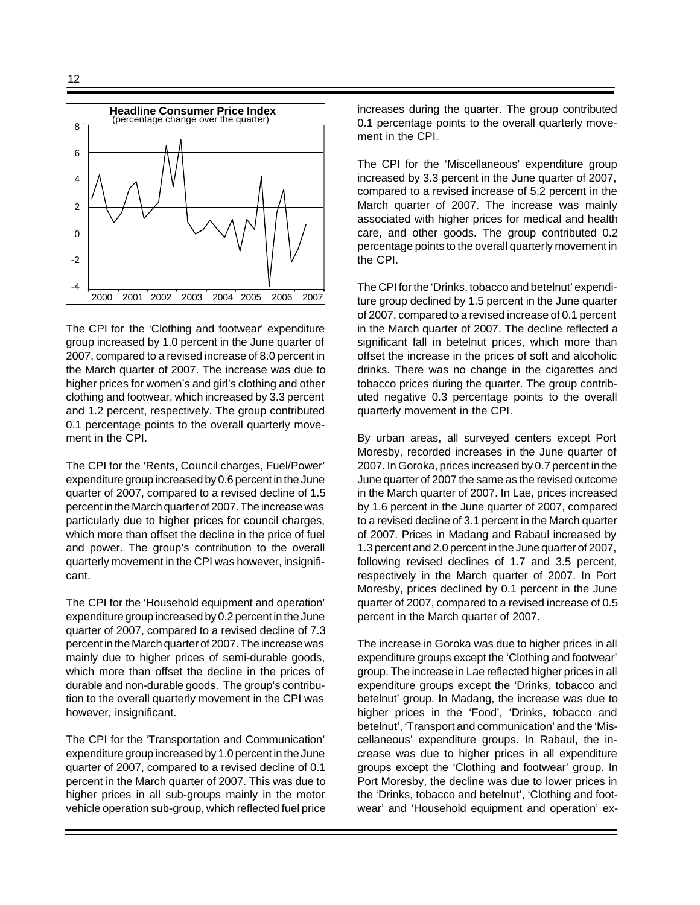

The CPI for the 'Clothing and footwear' expenditure group increased by 1.0 percent in the June quarter of 2007, compared to a revised increase of 8.0 percent in the March quarter of 2007. The increase was due to higher prices for women's and girl's clothing and other clothing and footwear, which increased by 3.3 percent and 1.2 percent, respectively. The group contributed 0.1 percentage points to the overall quarterly movement in the CPI.

The CPI for the 'Rents, Council charges, Fuel/Power' expenditure group increased by 0.6 percent in the June quarter of 2007, compared to a revised decline of 1.5 percent in the March quarter of 2007. The increase was particularly due to higher prices for council charges, which more than offset the decline in the price of fuel and power. The group's contribution to the overall quarterly movement in the CPI was however, insignificant.

The CPI for the 'Household equipment and operation' expenditure group increased by 0.2 percent in the June quarter of 2007, compared to a revised decline of 7.3 percent in the March quarter of 2007. The increase was mainly due to higher prices of semi-durable goods, which more than offset the decline in the prices of durable and non-durable goods. The group's contribution to the overall quarterly movement in the CPI was however, insignificant.

The CPI for the 'Transportation and Communication' expenditure group increased by 1.0 percent in the June quarter of 2007, compared to a revised decline of 0.1 percent in the March quarter of 2007. This was due to higher prices in all sub-groups mainly in the motor vehicle operation sub-group, which reflected fuel price increases during the quarter. The group contributed 0.1 percentage points to the overall quarterly movement in the CPI.

The CPI for the 'Miscellaneous' expenditure group increased by 3.3 percent in the June quarter of 2007, compared to a revised increase of 5.2 percent in the March quarter of 2007. The increase was mainly associated with higher prices for medical and health care, and other goods. The group contributed 0.2 percentage points to the overall quarterly movement in the CPI.

The CPI for the 'Drinks, tobacco and betelnut' expenditure group declined by 1.5 percent in the June quarter of 2007, compared to a revised increase of 0.1 percent in the March quarter of 2007. The decline reflected a significant fall in betelnut prices, which more than offset the increase in the prices of soft and alcoholic drinks. There was no change in the cigarettes and tobacco prices during the quarter. The group contributed negative 0.3 percentage points to the overall quarterly movement in the CPI.

By urban areas, all surveyed centers except Port Moresby, recorded increases in the June quarter of 2007. In Goroka, prices increased by 0.7 percent in the June quarter of 2007 the same as the revised outcome in the March quarter of 2007. In Lae, prices increased by 1.6 percent in the June quarter of 2007, compared to a revised decline of 3.1 percent in the March quarter of 2007. Prices in Madang and Rabaul increased by 1.3 percent and 2.0 percent in the June quarter of 2007, following revised declines of 1.7 and 3.5 percent, respectively in the March quarter of 2007. In Port Moresby, prices declined by 0.1 percent in the June quarter of 2007, compared to a revised increase of 0.5 percent in the March quarter of 2007.

The increase in Goroka was due to higher prices in all expenditure groups except the 'Clothing and footwear' group. The increase in Lae reflected higher prices in all expenditure groups except the 'Drinks, tobacco and betelnut' group. In Madang, the increase was due to higher prices in the 'Food', 'Drinks, tobacco and betelnut', 'Transport and communication' and the 'Miscellaneous' expenditure groups. In Rabaul, the increase was due to higher prices in all expenditure groups except the 'Clothing and footwear' group. In Port Moresby, the decline was due to lower prices in the 'Drinks, tobacco and betelnut', 'Clothing and footwear' and 'Household equipment and operation' ex-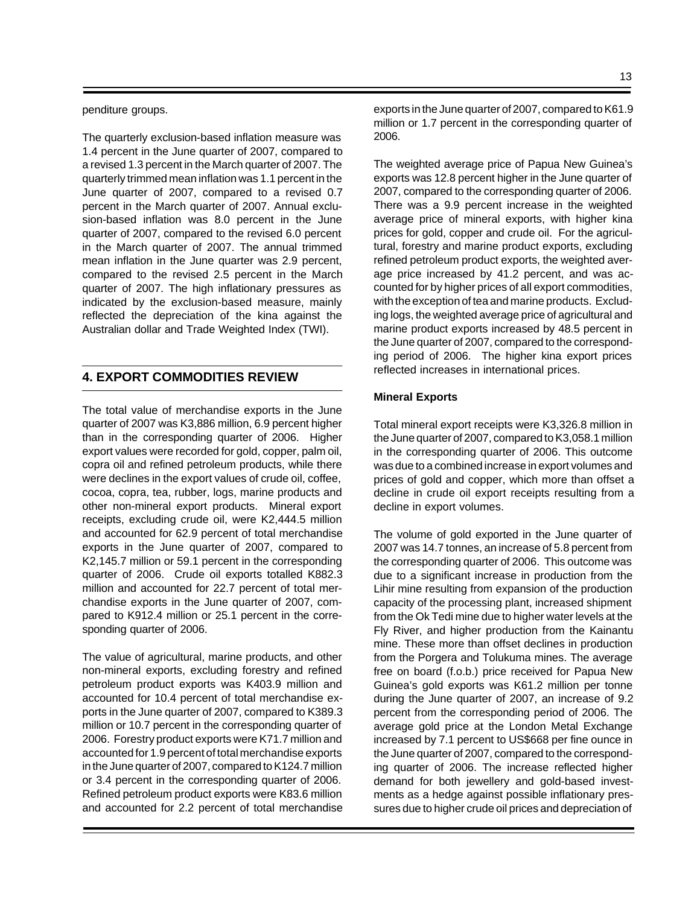#### penditure groups.

The quarterly exclusion-based inflation measure was 1.4 percent in the June quarter of 2007, compared to a revised 1.3 percent in the March quarter of 2007. The quarterly trimmed mean inflation was 1.1 percent in the June quarter of 2007, compared to a revised 0.7 percent in the March quarter of 2007. Annual exclusion-based inflation was 8.0 percent in the June quarter of 2007, compared to the revised 6.0 percent in the March quarter of 2007. The annual trimmed mean inflation in the June quarter was 2.9 percent, compared to the revised 2.5 percent in the March quarter of 2007. The high inflationary pressures as indicated by the exclusion-based measure, mainly reflected the depreciation of the kina against the Australian dollar and Trade Weighted Index (TWI).

## **4. EXPORT COMMODITIES REVIEW**

The total value of merchandise exports in the June quarter of 2007 was K3,886 million, 6.9 percent higher than in the corresponding quarter of 2006. Higher export values were recorded for gold, copper, palm oil, copra oil and refined petroleum products, while there were declines in the export values of crude oil, coffee, cocoa, copra, tea, rubber, logs, marine products and other non-mineral export products. Mineral export receipts, excluding crude oil, were K2,444.5 million and accounted for 62.9 percent of total merchandise exports in the June quarter of 2007, compared to K2,145.7 million or 59.1 percent in the corresponding quarter of 2006. Crude oil exports totalled K882.3 million and accounted for 22.7 percent of total merchandise exports in the June quarter of 2007, compared to K912.4 million or 25.1 percent in the corresponding quarter of 2006.

The value of agricultural, marine products, and other non-mineral exports, excluding forestry and refined petroleum product exports was K403.9 million and accounted for 10.4 percent of total merchandise exports in the June quarter of 2007, compared to K389.3 million or 10.7 percent in the corresponding quarter of 2006. Forestry product exports were K71.7 million and accounted for 1.9 percent of total merchandise exports in the June quarter of 2007, compared to K124.7 million or 3.4 percent in the corresponding quarter of 2006. Refined petroleum product exports were K83.6 million and accounted for 2.2 percent of total merchandise

exports in the June quarter of 2007, compared to K61.9 million or 1.7 percent in the corresponding quarter of 2006.

The weighted average price of Papua New Guinea's exports was 12.8 percent higher in the June quarter of 2007, compared to the corresponding quarter of 2006. There was a 9.9 percent increase in the weighted average price of mineral exports, with higher kina prices for gold, copper and crude oil. For the agricultural, forestry and marine product exports, excluding refined petroleum product exports, the weighted average price increased by 41.2 percent, and was accounted for by higher prices of all export commodities, with the exception of tea and marine products. Excluding logs, the weighted average price of agricultural and marine product exports increased by 48.5 percent in the June quarter of 2007, compared to the corresponding period of 2006. The higher kina export prices reflected increases in international prices.

#### **Mineral Exports**

Total mineral export receipts were K3,326.8 million in the June quarter of 2007, compared to K3,058.1 million in the corresponding quarter of 2006. This outcome was due to a combined increase in export volumes and prices of gold and copper, which more than offset a decline in crude oil export receipts resulting from a decline in export volumes.

The volume of gold exported in the June quarter of 2007 was 14.7 tonnes, an increase of 5.8 percent from the corresponding quarter of 2006. This outcome was due to a significant increase in production from the Lihir mine resulting from expansion of the production capacity of the processing plant, increased shipment from the Ok Tedi mine due to higher water levels at the Fly River, and higher production from the Kainantu mine. These more than offset declines in production from the Porgera and Tolukuma mines. The average free on board (f.o.b.) price received for Papua New Guinea's gold exports was K61.2 million per tonne during the June quarter of 2007, an increase of 9.2 percent from the corresponding period of 2006. The average gold price at the London Metal Exchange increased by 7.1 percent to US\$668 per fine ounce in the June quarter of 2007, compared to the corresponding quarter of 2006. The increase reflected higher demand for both jewellery and gold-based investments as a hedge against possible inflationary pressures due to higher crude oil prices and depreciation of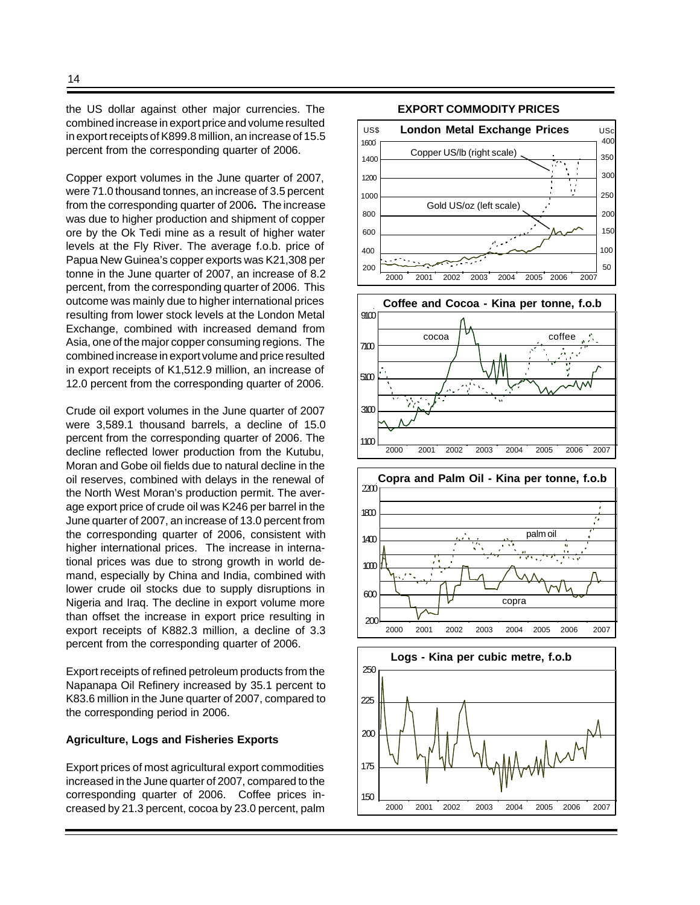the US dollar against other major currencies. The combined increase in export price and volume resulted in export receipts of K899.8 million, an increase of 15.5 percent from the corresponding quarter of 2006.

Copper export volumes in the June quarter of 2007, were 71.0 thousand tonnes, an increase of 3.5 percent from the corresponding quarter of 2006**.** The increase was due to higher production and shipment of copper ore by the Ok Tedi mine as a result of higher water levels at the Fly River. The average f.o.b. price of Papua New Guinea's copper exports was K21,308 per tonne in the June quarter of 2007, an increase of 8.2 percent, from the corresponding quarter of 2006. This outcome was mainly due to higher international prices resulting from lower stock levels at the London Metal Exchange, combined with increased demand from Asia, one of the major copper consuming regions. The combined increase in export volume and price resulted in export receipts of K1,512.9 million, an increase of 12.0 percent from the corresponding quarter of 2006.

Crude oil export volumes in the June quarter of 2007 were 3,589.1 thousand barrels, a decline of 15.0 percent from the corresponding quarter of 2006. The decline reflected lower production from the Kutubu, Moran and Gobe oil fields due to natural decline in the oil reserves, combined with delays in the renewal of the North West Moran's production permit. The average export price of crude oil was K246 per barrel in the June quarter of 2007, an increase of 13.0 percent from the corresponding quarter of 2006, consistent with higher international prices. The increase in international prices was due to strong growth in world demand, especially by China and India, combined with lower crude oil stocks due to supply disruptions in Nigeria and Iraq. The decline in export volume more than offset the increase in export price resulting in export receipts of K882.3 million, a decline of 3.3 percent from the corresponding quarter of 2006.

Export receipts of refined petroleum products from the Napanapa Oil Refinery increased by 35.1 percent to K83.6 million in the June quarter of 2007, compared to the corresponding period in 2006.

#### **Agriculture, Logs and Fisheries Exports**

Export prices of most agricultural export commodities increased in the June quarter of 2007, compared to the corresponding quarter of 2006. Coffee prices increased by 21.3 percent, cocoa by 23.0 percent, palm

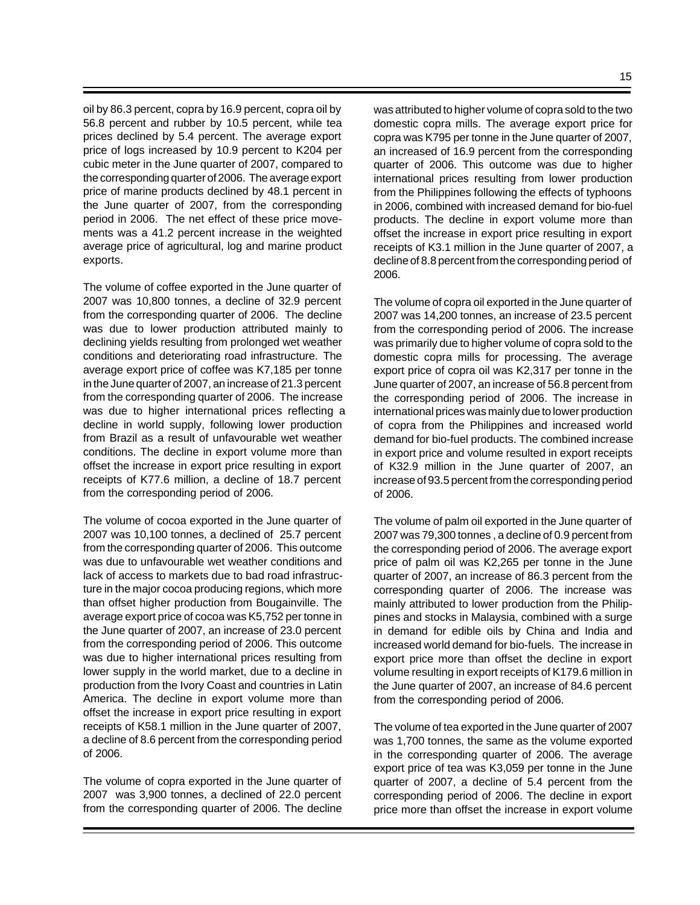oil by 86.3 percent, copra by 16.9 percent, copra oil by 56.8 percent and rubber by 10.5 percent, while tea prices declined by 5.4 percent. The average export price of logs increased by 10.9 percent to K204 per cubic meter in the June quarter of 2007, compared to the corresponding quarter of 2006. The average export price of marine products declined by 48.1 percent in the June quarter of 2007, from the corresponding period in 2006. The net effect of these price movements was a 41.2 percent increase in the weighted average price of agricultural, log and marine product exports.

The volume of coffee exported in the June quarter of 2007 was 10,800 tonnes, a decline of 32.9 percent from the corresponding quarter of 2006. The decline was due to lower production attributed mainly to declining yields resulting from prolonged wet weather conditions and deteriorating road infrastructure. The average export price of coffee was K7,185 per tonne in the June quarter of 2007, an increase of 21.3 percent from the corresponding quarter of 2006. The increase was due to higher international prices reflecting a decline in world supply, following lower production from Brazil as a result of unfavourable wet weather conditions. The decline in export volume more than offset the increase in export price resulting in export receipts of K77.6 million, a decline of 18.7 percent from the corresponding period of 2006.

The volume of cocoa exported in the June quarter of 2007 was 10,100 tonnes, a declined of 25.7 percent from the corresponding quarter of 2006. This outcome was due to unfavourable wet weather conditions and lack of access to markets due to bad road infrastructure in the major cocoa producing regions, which more than offset higher production from Bougainville. The average export price of cocoa was K5,752 per tonne in the June quarter of 2007, an increase of 23.0 percent from the corresponding period of 2006. This outcome was due to higher international prices resulting from lower supply in the world market, due to a decline in production from the Ivory Coast and countries in Latin America. The decline in export volume more than offset the increase in export price resulting in export receipts of K58.1 million in the June quarter of 2007, a decline of 8.6 percent from the corresponding period of 2006.

The volume of copra exported in the June quarter of 2007 was 3,900 tonnes, a declined of 22.0 percent from the corresponding quarter of 2006. The decline was attributed to higher volume of copra sold to the two domestic copra mills. The average export price for copra was K795 per tonne in the June quarter of 2007, an increased of 16.9 percent from the corresponding quarter of 2006. This outcome was due to higher international prices resulting from lower production from the Philippines following the effects of typhoons in 2006, combined with increased demand for bio-fuel products. The decline in export volume more than offset the increase in export price resulting in export receipts of K3.1 million in the June quarter of 2007, a decline of 8.8 percent from the corresponding period of 2006.

The volume of copra oil exported in the June quarter of 2007 was 14,200 tonnes, an increase of 23.5 percent from the corresponding period of 2006. The increase was primarily due to higher volume of copra sold to the domestic copra mills for processing. The average export price of copra oil was K2,317 per tonne in the June quarter of 2007, an increase of 56.8 percent from the corresponding period of 2006. The increase in international prices was mainly due to lower production of copra from the Philippines and increased world demand for bio-fuel products. The combined increase in export price and volume resulted in export receipts of K32.9 million in the June quarter of 2007, an increase of 93.5 percent from the corresponding period of 2006.

The volume of palm oil exported in the June quarter of 2007 was 79,300 tonnes , a decline of 0.9 percent from the corresponding period of 2006. The average export price of palm oil was K2,265 per tonne in the June quarter of 2007, an increase of 86.3 percent from the corresponding quarter of 2006. The increase was mainly attributed to lower production from the Philippines and stocks in Malaysia, combined with a surge in demand for edible oils by China and India and increased world demand for bio-fuels. The increase in export price more than offset the decline in export volume resulting in export receipts of K179.6 million in the June quarter of 2007, an increase of 84.6 percent from the corresponding period of 2006.

The volume of tea exported in the June quarter of 2007 was 1,700 tonnes, the same as the volume exported in the corresponding quarter of 2006. The average export price of tea was K3,059 per tonne in the June quarter of 2007, a decline of 5.4 percent from the corresponding period of 2006. The decline in export price more than offset the increase in export volume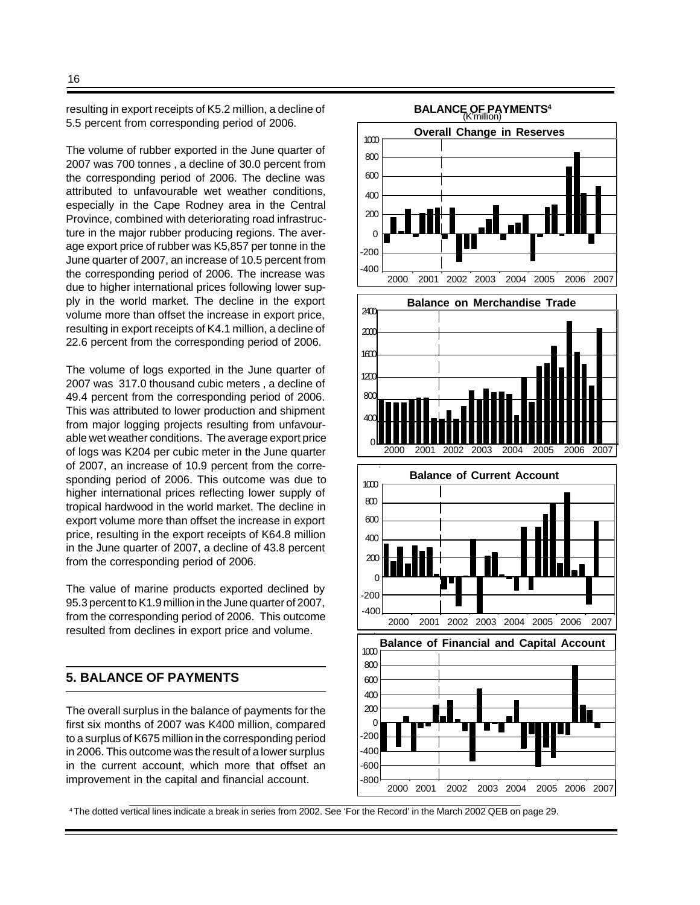resulting in export receipts of K5.2 million, a decline of 5.5 percent from corresponding period of 2006.

The volume of rubber exported in the June quarter of 2007 was 700 tonnes , a decline of 30.0 percent from the corresponding period of 2006. The decline was attributed to unfavourable wet weather conditions, especially in the Cape Rodney area in the Central Province, combined with deteriorating road infrastructure in the major rubber producing regions. The average export price of rubber was K5,857 per tonne in the June quarter of 2007, an increase of 10.5 percent from the corresponding period of 2006. The increase was due to higher international prices following lower supply in the world market. The decline in the export volume more than offset the increase in export price, resulting in export receipts of K4.1 million, a decline of 22.6 percent from the corresponding period of 2006.

The volume of logs exported in the June quarter of 2007 was 317.0 thousand cubic meters , a decline of 49.4 percent from the corresponding period of 2006. This was attributed to lower production and shipment from major logging projects resulting from unfavourable wet weather conditions. The average export price of logs was K204 per cubic meter in the June quarter of 2007, an increase of 10.9 percent from the corresponding period of 2006. This outcome was due to higher international prices reflecting lower supply of tropical hardwood in the world market. The decline in export volume more than offset the increase in export price, resulting in the export receipts of K64.8 million in the June quarter of 2007, a decline of 43.8 percent from the corresponding period of 2006.

The value of marine products exported declined by 95.3 percent to K1.9 million in the June quarter of 2007, from the corresponding period of 2006. This outcome resulted from declines in export price and volume.

## **5. BALANCE OF PAYMENTS**

The overall surplus in the balance of payments for the first six months of 2007 was K400 million, compared to a surplus of K675 million in the corresponding period in 2006. This outcome was the result of a lower surplus in the current account, which more that offset an improvement in the capital and financial account.



<sup>4</sup>The dotted vertical lines indicate a break in series from 2002. See 'For the Record' in the March 2002 QEB on page 29.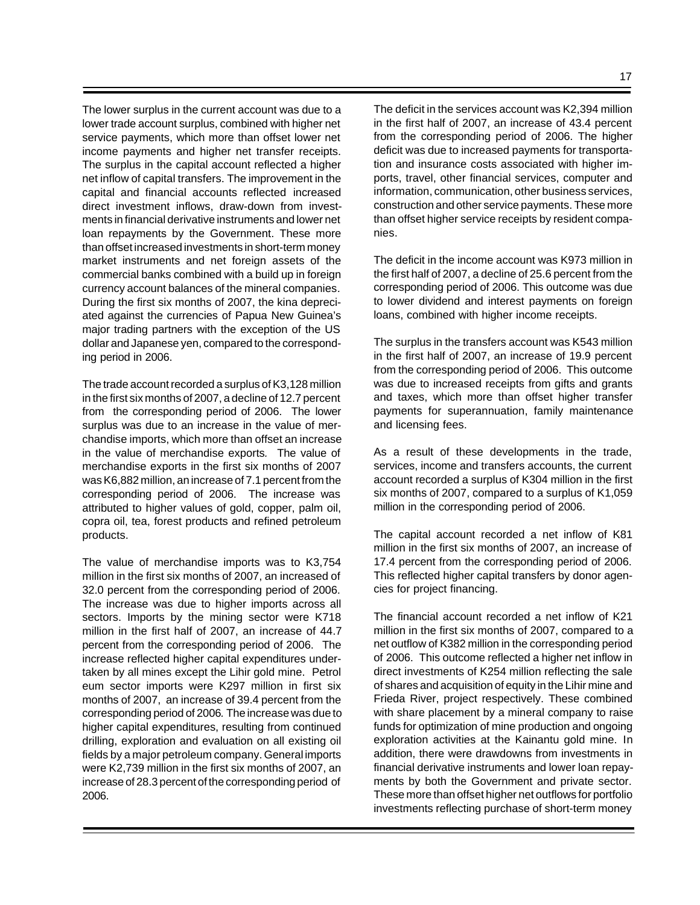The lower surplus in the current account was due to a lower trade account surplus, combined with higher net service payments, which more than offset lower net income payments and higher net transfer receipts. The surplus in the capital account reflected a higher net inflow of capital transfers. The improvement in the capital and financial accounts reflected increased direct investment inflows, draw-down from investments in financial derivative instruments and lower net loan repayments by the Government. These more than offset increased investments in short-term money market instruments and net foreign assets of the commercial banks combined with a build up in foreign currency account balances of the mineral companies*.* During the first six months of 2007, the kina depreciated against the currencies of Papua New Guinea's major trading partners with the exception of the US dollar and Japanese yen, compared to the corresponding period in 2006.

The trade account recorded a surplus of K3,128 million in the first six months of 2007, a decline of 12.7 percent from the corresponding period of 2006.The lower surplus was due to an increase in the value of merchandise imports, which more than offset an increase in the value of merchandise exports*.* The value of merchandise exports in the first six months of 2007 was K6,882 million, an increase of 7.1 percent from the corresponding period of 2006. The increase was attributed to higher values of gold, copper, palm oil, copra oil, tea, forest products and refined petroleum products.

The value of merchandise imports was to K3,754 million in the first six months of 2007, an increased of 32.0 percent from the corresponding period of 2006. The increase was due to higher imports across all sectors. Imports by the mining sector were K718 million in the first half of 2007, an increase of 44.7 percent from the corresponding period of 2006.The increase reflected higher capital expenditures undertaken by all mines except the Lihir gold mine. Petrol eum sector imports were K297 million in first six months of 2007, an increase of 39.4 percent from the corresponding period of 2006*.* The increase was due to higher capital expenditures, resulting from continued drilling, exploration and evaluation on all existing oil fields by a major petroleum company. General imports were K2,739 million in the first six months of 2007, an increase of 28.3 percent of the corresponding period of 2006.

The deficit in the services account was K2,394 million in the first half of 2007, an increase of 43.4 percent from the corresponding period of 2006. The higher deficit was due to increased payments for transportation and insurance costs associated with higher imports, travel, other financial services, computer and information, communication, other business services, construction and other service payments. These more than offset higher service receipts by resident companies.

The deficit in the income account was K973 million in the first half of 2007, a decline of 25.6 percent from the corresponding period of 2006. This outcome was due to lower dividend and interest payments on foreign loans, combined with higher income receipts.

The surplus in the transfers account was K543 million in the first half of 2007, an increase of 19.9 percent from the corresponding period of 2006. This outcome was due to increased receipts from gifts and grants and taxes, which more than offset higher transfer payments for superannuation, family maintenance and licensing fees.

As a result of these developments in the trade, services, income and transfers accounts, the current account recorded a surplus of K304 million in the first six months of 2007, compared to a surplus of K1,059 million in the corresponding period of 2006.

The capital account recorded a net inflow of K81 million in the first six months of 2007, an increase of 17.4 percent from the corresponding period of 2006. This reflected higher capital transfers by donor agencies for project financing.

The financial account recorded a net inflow of K21 million in the first six months of 2007, compared to a net outflow of K382 million in the corresponding period of 2006. This outcome reflected a higher net inflow in direct investments of K254 million reflecting the sale of shares and acquisition of equity in the Lihir mine and Frieda River, project respectively. These combined with share placement by a mineral company to raise funds for optimization of mine production and ongoing exploration activities at the Kainantu gold mine. In addition, there were drawdowns from investments in financial derivative instruments and lower loan repayments by both the Government and private sector. These more than offset higher net outflows for portfolio investments reflecting purchase of short-term money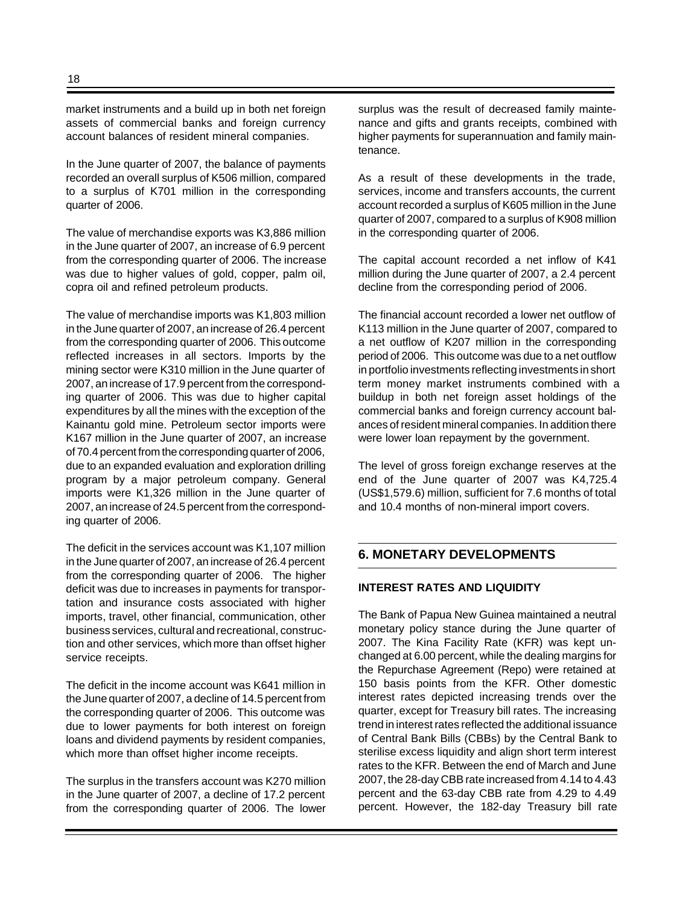market instruments and a build up in both net foreign assets of commercial banks and foreign currency account balances of resident mineral companies.

In the June quarter of 2007, the balance of payments recorded an overall surplus of K506 million, compared to a surplus of K701 million in the corresponding quarter of 2006.

The value of merchandise exports was K3,886 million in the June quarter of 2007, an increase of 6.9 percent from the corresponding quarter of 2006. The increase was due to higher values of gold, copper, palm oil, copra oil and refined petroleum products.

The value of merchandise imports was K1,803 million in the June quarter of 2007, an increase of 26.4 percent from the corresponding quarter of 2006. This outcome reflected increases in all sectors. Imports by the mining sector were K310 million in the June quarter of 2007, an increase of 17.9 percent from the corresponding quarter of 2006. This was due to higher capital expenditures by all the mines with the exception of the Kainantu gold mine. Petroleum sector imports were K167 million in the June quarter of 2007, an increase of 70.4 percent from the corresponding quarter of 2006, due to an expanded evaluation and exploration drilling program by a major petroleum company. General imports were K1,326 million in the June quarter of 2007, an increase of 24.5 percent from the corresponding quarter of 2006.

The deficit in the services account was K1,107 million in the June quarter of 2007, an increase of 26.4 percent from the corresponding quarter of 2006.The higher deficit was due to increases in payments for transportation and insurance costs associated with higher imports, travel, other financial, communication, other business services, cultural and recreational, construction and other services, which more than offset higher service receipts.

The deficit in the income account was K641 million in the June quarter of 2007, a decline of 14.5 percent from the corresponding quarter of 2006. This outcome was due to lower payments for both interest on foreign loans and dividend payments by resident companies, which more than offset higher income receipts.

The surplus in the transfers account was K270 million in the June quarter of 2007, a decline of 17.2 percent from the corresponding quarter of 2006. The lower surplus was the result of decreased family maintenance and gifts and grants receipts, combined with higher payments for superannuation and family maintenance.

As a result of these developments in the trade, services, income and transfers accounts, the current account recorded a surplus of K605 million in the June quarter of 2007, compared to a surplus of K908 million in the corresponding quarter of 2006.

The capital account recorded a net inflow of K41 million during the June quarter of 2007, a 2.4 percent decline from the corresponding period of 2006.

The financial account recorded a lower net outflow of K113 million in the June quarter of 2007, compared to a net outflow of K207 million in the corresponding period of 2006.This outcome was due to a net outflow in portfolio investments reflecting investments in short term money market instruments combined with a buildup in both net foreign asset holdings of the commercial banks and foreign currency account balances of resident mineral companies. In addition there were lower loan repayment by the government.

The level of gross foreign exchange reserves at the end of the June quarter of 2007 was K4,725.4 (US\$1,579.6) million, sufficient for 7.6 months of total and 10.4 months of non-mineral import covers.

## **6. MONETARY DEVELOPMENTS**

#### **INTEREST RATES AND LIQUIDITY**

The Bank of Papua New Guinea maintained a neutral monetary policy stance during the June quarter of 2007. The Kina Facility Rate (KFR) was kept unchanged at 6.00 percent, while the dealing margins for the Repurchase Agreement (Repo) were retained at 150 basis points from the KFR. Other domestic interest rates depicted increasing trends over the quarter, except for Treasury bill rates. The increasing trend in interest rates reflected the additional issuance of Central Bank Bills (CBBs) by the Central Bank to sterilise excess liquidity and align short term interest rates to the KFR. Between the end of March and June 2007, the 28-day CBB rate increased from 4.14 to 4.43 percent and the 63-day CBB rate from 4.29 to 4.49 percent. However, the 182-day Treasury bill rate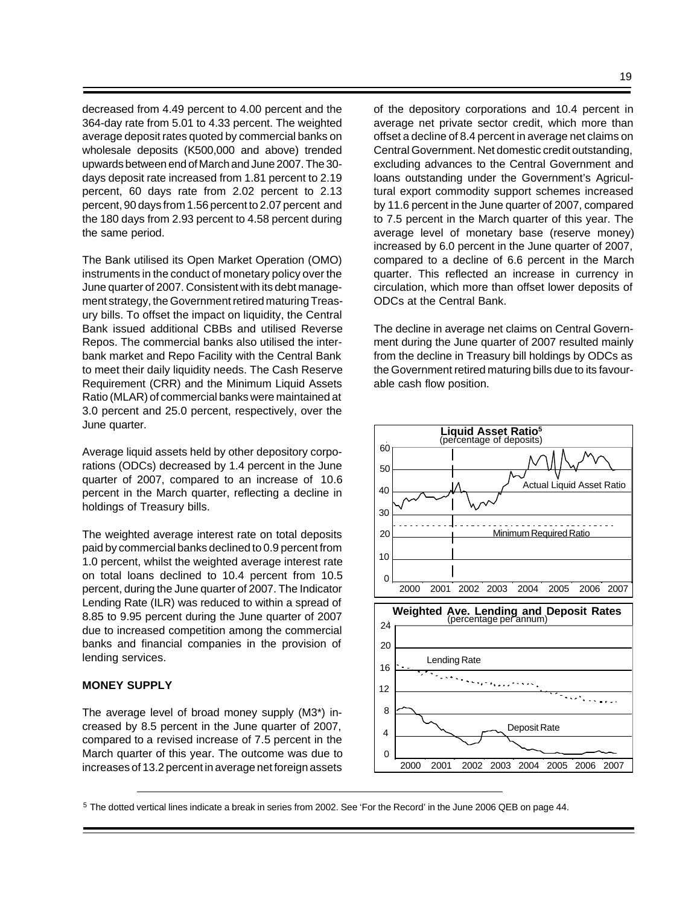decreased from 4.49 percent to 4.00 percent and the 364-day rate from 5.01 to 4.33 percent. The weighted average deposit rates quoted by commercial banks on wholesale deposits (K500,000 and above) trended upwards between end of March and June 2007. The 30 days deposit rate increased from 1.81 percent to 2.19 percent, 60 days rate from 2.02 percent to 2.13 percent, 90 days from 1.56 percent to 2.07 percent and the 180 days from 2.93 percent to 4.58 percent during the same period.

The Bank utilised its Open Market Operation (OMO) instruments in the conduct of monetary policy over the June quarter of 2007. Consistent with its debt management strategy, the Government retired maturing Treasury bills. To offset the impact on liquidity, the Central Bank issued additional CBBs and utilised Reverse Repos. The commercial banks also utilised the interbank market and Repo Facility with the Central Bank to meet their daily liquidity needs. The Cash Reserve Requirement (CRR) and the Minimum Liquid Assets Ratio (MLAR) of commercial banks were maintained at 3.0 percent and 25.0 percent, respectively, over the June quarter.

Average liquid assets held by other depository corporations (ODCs) decreased by 1.4 percent in the June quarter of 2007, compared to an increase of 10.6 percent in the March quarter, reflecting a decline in holdings of Treasury bills.

The weighted average interest rate on total deposits paid by commercial banks declined to 0.9 percent from 1.0 percent, whilst the weighted average interest rate on total loans declined to 10.4 percent from 10.5 percent, during the June quarter of 2007. The Indicator Lending Rate (ILR) was reduced to within a spread of 8.85 to 9.95 percent during the June quarter of 2007 due to increased competition among the commercial banks and financial companies in the provision of lending services.

#### **MONEY SUPPLY**

The average level of broad money supply (M3\*) increased by 8.5 percent in the June quarter of 2007, compared to a revised increase of 7.5 percent in the March quarter of this year. The outcome was due to increases of 13.2 percent in average net foreign assets of the depository corporations and 10.4 percent in average net private sector credit, which more than offset a decline of 8.4 percent in average net claims on Central Government. Net domestic credit outstanding, excluding advances to the Central Government and loans outstanding under the Government's Agricultural export commodity support schemes increased by 11.6 percent in the June quarter of 2007, compared to 7.5 percent in the March quarter of this year. The average level of monetary base (reserve money) increased by 6.0 percent in the June quarter of 2007, compared to a decline of 6.6 percent in the March quarter. This reflected an increase in currency in circulation, which more than offset lower deposits of ODCs at the Central Bank.

The decline in average net claims on Central Government during the June quarter of 2007 resulted mainly from the decline in Treasury bill holdings by ODCs as the Government retired maturing bills due to its favourable cash flow position.



<sup>5</sup> The dotted vertical lines indicate a break in series from 2002. See 'For the Record' in the June 2006 QEB on page 44.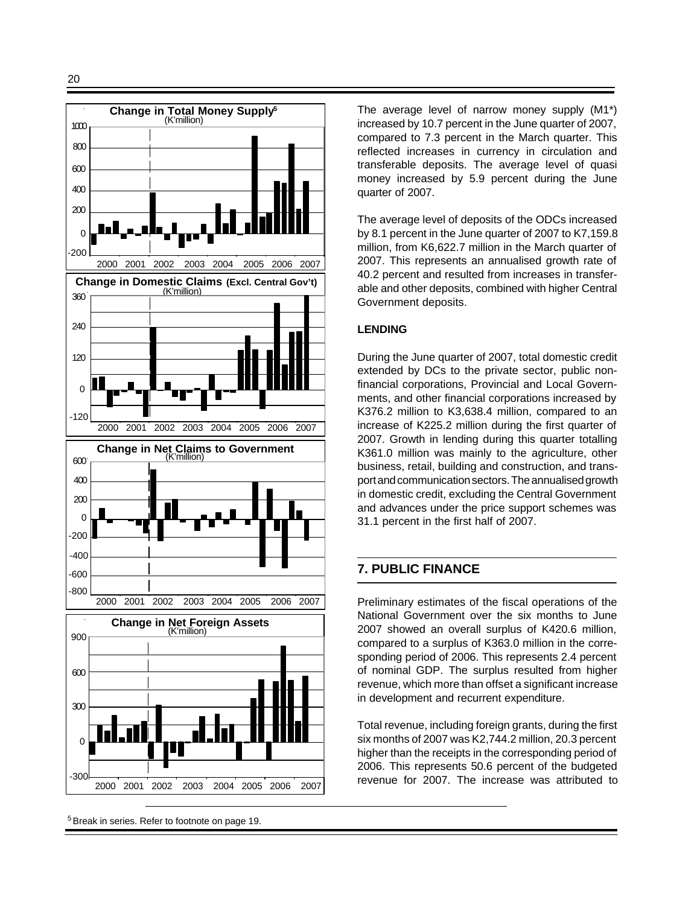

<sup>5</sup> Break in series. Refer to footnote on page 19.

The average level of narrow money supply (M1\*) increased by 10.7 percent in the June quarter of 2007, compared to 7.3 percent in the March quarter. This reflected increases in currency in circulation and transferable deposits. The average level of quasi money increased by 5.9 percent during the June quarter of 2007.

The average level of deposits of the ODCs increased by 8.1 percent in the June quarter of 2007 to K7,159.8 million, from K6,622.7 million in the March quarter of 2007. This represents an annualised growth rate of 40.2 percent and resulted from increases in transferable and other deposits, combined with higher Central Government deposits.

#### **LENDING**

During the June quarter of 2007, total domestic credit extended by DCs to the private sector, public nonfinancial corporations, Provincial and Local Governments, and other financial corporations increased by K376.2 million to K3,638.4 million, compared to an increase of K225.2 million during the first quarter of 2007. Growth in lending during this quarter totalling K361.0 million was mainly to the agriculture, other business, retail, building and construction, and transport and communication sectors. The annualised growth in domestic credit, excluding the Central Government and advances under the price support schemes was 31.1 percent in the first half of 2007.

## **7. PUBLIC FINANCE**

Preliminary estimates of the fiscal operations of the National Government over the six months to June 2007 showed an overall surplus of K420.6 million, compared to a surplus of K363.0 million in the corresponding period of 2006. This represents 2.4 percent of nominal GDP. The surplus resulted from higher revenue, which more than offset a significant increase in development and recurrent expenditure.

Total revenue, including foreign grants, during the first six months of 2007 was K2,744.2 million, 20.3 percent higher than the receipts in the corresponding period of 2006. This represents 50.6 percent of the budgeted revenue for 2007. The increase was attributed to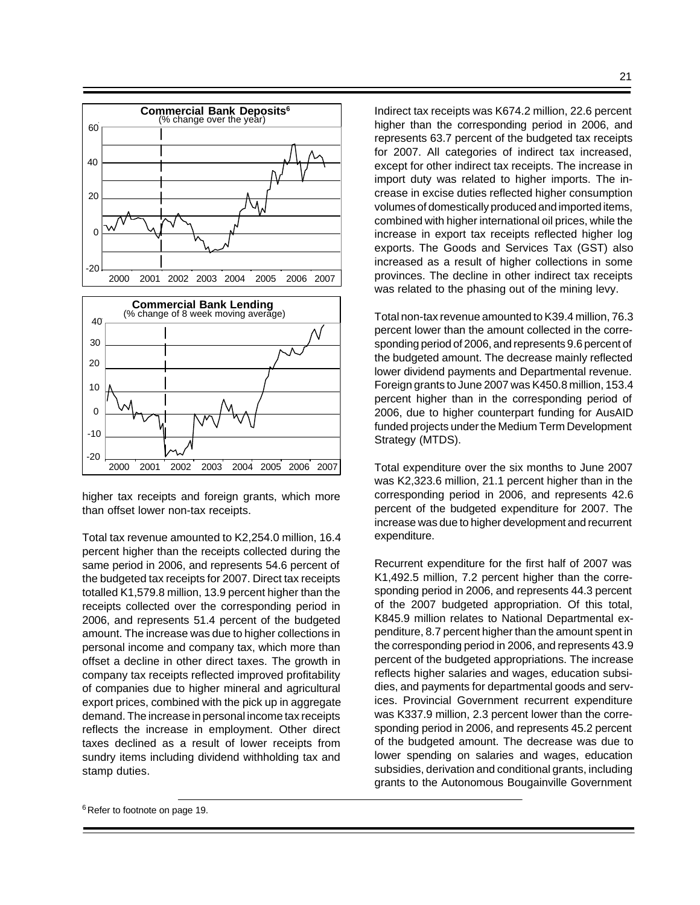

higher tax receipts and foreign grants, which more than offset lower non-tax receipts.

Total tax revenue amounted to K2,254.0 million, 16.4 percent higher than the receipts collected during the same period in 2006, and represents 54.6 percent of the budgeted tax receipts for 2007. Direct tax receipts totalled K1,579.8 million, 13.9 percent higher than the receipts collected over the corresponding period in 2006, and represents 51.4 percent of the budgeted amount. The increase was due to higher collections in personal income and company tax, which more than offset a decline in other direct taxes. The growth in company tax receipts reflected improved profitability of companies due to higher mineral and agricultural export prices, combined with the pick up in aggregate demand. The increase in personal income tax receipts reflects the increase in employment. Other direct taxes declined as a result of lower receipts from sundry items including dividend withholding tax and stamp duties.

Indirect tax receipts was K674.2 million, 22.6 percent higher than the corresponding period in 2006, and represents 63.7 percent of the budgeted tax receipts for 2007. All categories of indirect tax increased, except for other indirect tax receipts. The increase in import duty was related to higher imports. The increase in excise duties reflected higher consumption volumes of domestically produced and imported items, combined with higher international oil prices, while the increase in export tax receipts reflected higher log exports. The Goods and Services Tax (GST) also increased as a result of higher collections in some provinces. The decline in other indirect tax receipts was related to the phasing out of the mining levy.

Total non-tax revenue amounted to K39.4 million, 76.3 percent lower than the amount collected in the corresponding period of 2006, and represents 9.6 percent of the budgeted amount. The decrease mainly reflected lower dividend payments and Departmental revenue. Foreign grants to June 2007 was K450.8 million, 153.4 percent higher than in the corresponding period of 2006, due to higher counterpart funding for AusAID funded projects under the Medium Term Development Strategy (MTDS).

Total expenditure over the six months to June 2007 was K2,323.6 million, 21.1 percent higher than in the corresponding period in 2006, and represents 42.6 percent of the budgeted expenditure for 2007. The increase was due to higher development and recurrent expenditure.

Recurrent expenditure for the first half of 2007 was K1,492.5 million, 7.2 percent higher than the corresponding period in 2006, and represents 44.3 percent of the 2007 budgeted appropriation. Of this total, K845.9 million relates to National Departmental expenditure, 8.7 percent higher than the amount spent in the corresponding period in 2006, and represents 43.9 percent of the budgeted appropriations. The increase reflects higher salaries and wages, education subsidies, and payments for departmental goods and services. Provincial Government recurrent expenditure was K337.9 million, 2.3 percent lower than the corresponding period in 2006, and represents 45.2 percent of the budgeted amount. The decrease was due to lower spending on salaries and wages, education subsidies, derivation and conditional grants, including grants to the Autonomous Bougainville Government

<sup>&</sup>lt;sup>6</sup> Refer to footnote on page 19.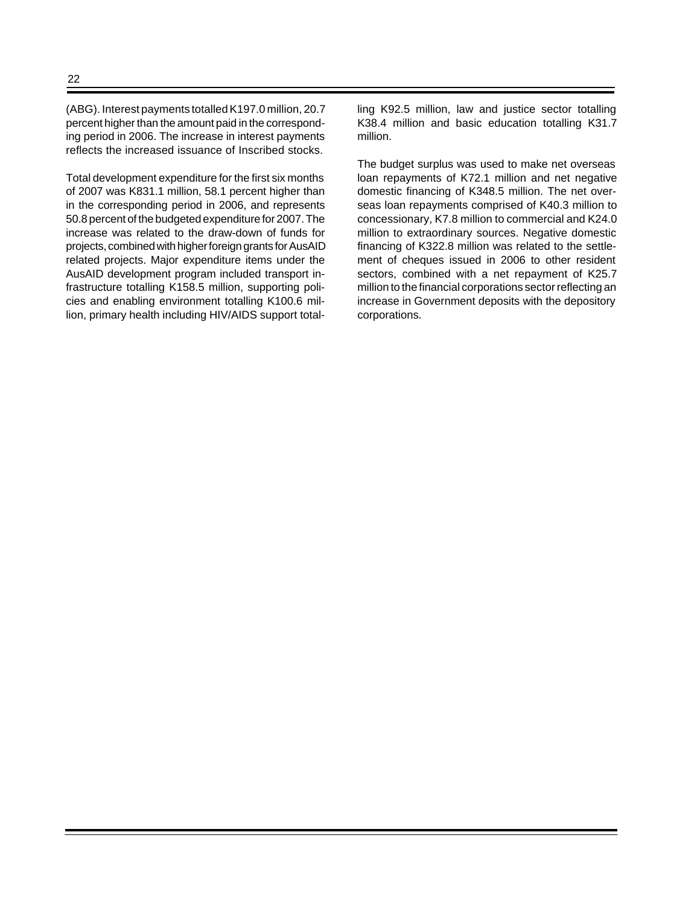(ABG). Interest payments totalled K197.0 million, 20.7 percent higher than the amount paid in the corresponding period in 2006. The increase in interest payments reflects the increased issuance of Inscribed stocks.

Total development expenditure for the first six months of 2007 was K831.1 million, 58.1 percent higher than in the corresponding period in 2006, and represents 50.8 percent of the budgeted expenditure for 2007. The increase was related to the draw-down of funds for projects, combined with higher foreign grants for AusAID related projects. Major expenditure items under the AusAID development program included transport infrastructure totalling K158.5 million, supporting policies and enabling environment totalling K100.6 million, primary health including HIV/AIDS support totalling K92.5 million, law and justice sector totalling K38.4 million and basic education totalling K31.7 million.

The budget surplus was used to make net overseas loan repayments of K72.1 million and net negative domestic financing of K348.5 million. The net overseas loan repayments comprised of K40.3 million to concessionary, K7.8 million to commercial and K24.0 million to extraordinary sources. Negative domestic financing of K322.8 million was related to the settlement of cheques issued in 2006 to other resident sectors, combined with a net repayment of K25.7 million to the financial corporations sector reflecting an increase in Government deposits with the depository corporations.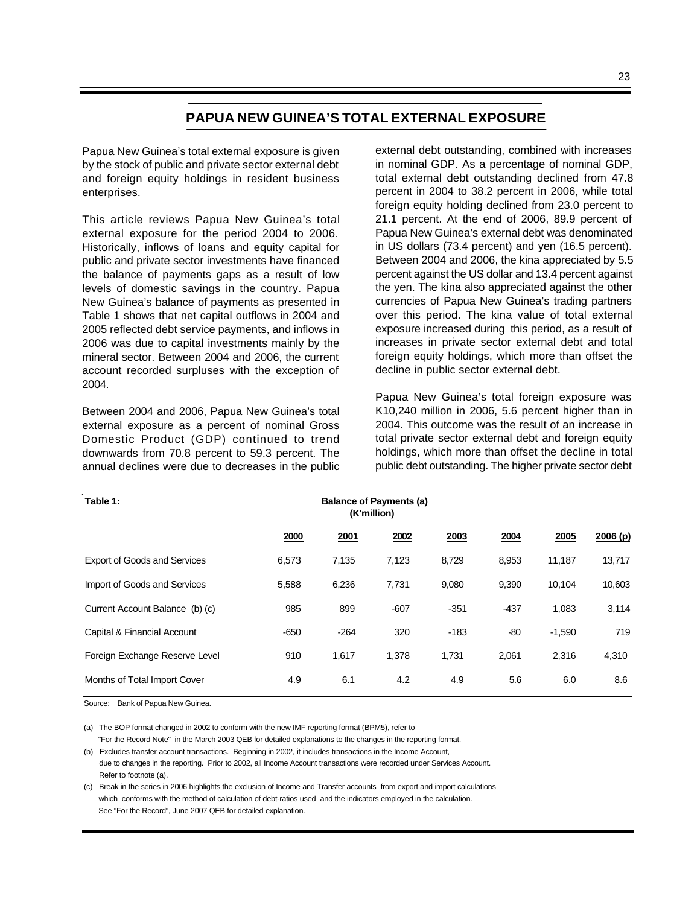## **PAPUA NEW GUINEA'S TOTAL EXTERNAL EXPOSURE**

Papua New Guinea's total external exposure is given by the stock of public and private sector external debt and foreign equity holdings in resident business enterprises.

This article reviews Papua New Guinea's total external exposure for the period 2004 to 2006. Historically, inflows of loans and equity capital for public and private sector investments have financed the balance of payments gaps as a result of low levels of domestic savings in the country. Papua New Guinea's balance of payments as presented in Table 1 shows that net capital outflows in 2004 and 2005 reflected debt service payments, and inflows in 2006 was due to capital investments mainly by the mineral sector. Between 2004 and 2006, the current account recorded surpluses with the exception of 2004.

Between 2004 and 2006, Papua New Guinea's total external exposure as a percent of nominal Gross Domestic Product (GDP) continued to trend downwards from 70.8 percent to 59.3 percent. The annual declines were due to decreases in the public external debt outstanding, combined with increases in nominal GDP. As a percentage of nominal GDP, total external debt outstanding declined from 47.8 percent in 2004 to 38.2 percent in 2006, while total foreign equity holding declined from 23.0 percent to 21.1 percent. At the end of 2006, 89.9 percent of Papua New Guinea's external debt was denominated in US dollars (73.4 percent) and yen (16.5 percent). Between 2004 and 2006, the kina appreciated by 5.5 percent against the US dollar and 13.4 percent against the yen. The kina also appreciated against the other currencies of Papua New Guinea's trading partners over this period. The kina value of total external exposure increased during this period, as a result of increases in private sector external debt and total foreign equity holdings, which more than offset the decline in public sector external debt.

Papua New Guinea's total foreign exposure was K10,240 million in 2006, 5.6 percent higher than in 2004. This outcome was the result of an increase in total private sector external debt and foreign equity holdings, which more than offset the decline in total public debt outstanding. The higher private sector debt

| Table 1:                            |        |        | <b>Balance of Payments (a)</b><br>(K'million) |        |        |          |         |
|-------------------------------------|--------|--------|-----------------------------------------------|--------|--------|----------|---------|
|                                     | 2000   | 2001   | 2002                                          | 2003   | 2004   | 2005     | 2006(p) |
| <b>Export of Goods and Services</b> | 6,573  | 7,135  | 7,123                                         | 8,729  | 8,953  | 11,187   | 13,717  |
| Import of Goods and Services        | 5,588  | 6,236  | 7,731                                         | 9,080  | 9,390  | 10,104   | 10,603  |
| Current Account Balance (b) (c)     | 985    | 899    | $-607$                                        | $-351$ | $-437$ | 1,083    | 3,114   |
| Capital & Financial Account         | $-650$ | $-264$ | 320                                           | $-183$ | $-80$  | $-1,590$ | 719     |
| Foreign Exchange Reserve Level      | 910    | 1,617  | 1,378                                         | 1.731  | 2,061  | 2,316    | 4,310   |
| Months of Total Import Cover        | 4.9    | 6.1    | 4.2                                           | 4.9    | 5.6    | 6.0      | 8.6     |

Source: Bank of Papua New Guinea.

(a) The BOP format changed in 2002 to conform with the new IMF reporting format (BPM5), refer to

 "For the Record Note" in the March 2003 QEB for detailed explanations to the changes in the reporting format. (b) Excludes transfer account transactions. Beginning in 2002, it includes transactions in the Income Account,

 due to changes in the reporting. Prior to 2002, all Income Account transactions were recorded under Services Account. Refer to footnote (a).

(c) Break in the series in 2006 highlights the exclusion of Income and Transfer accounts from export and import calculations which conforms with the method of calculation of debt-ratios used and the indicators employed in the calculation. See "For the Record", June 2007 QEB for detailed explanation.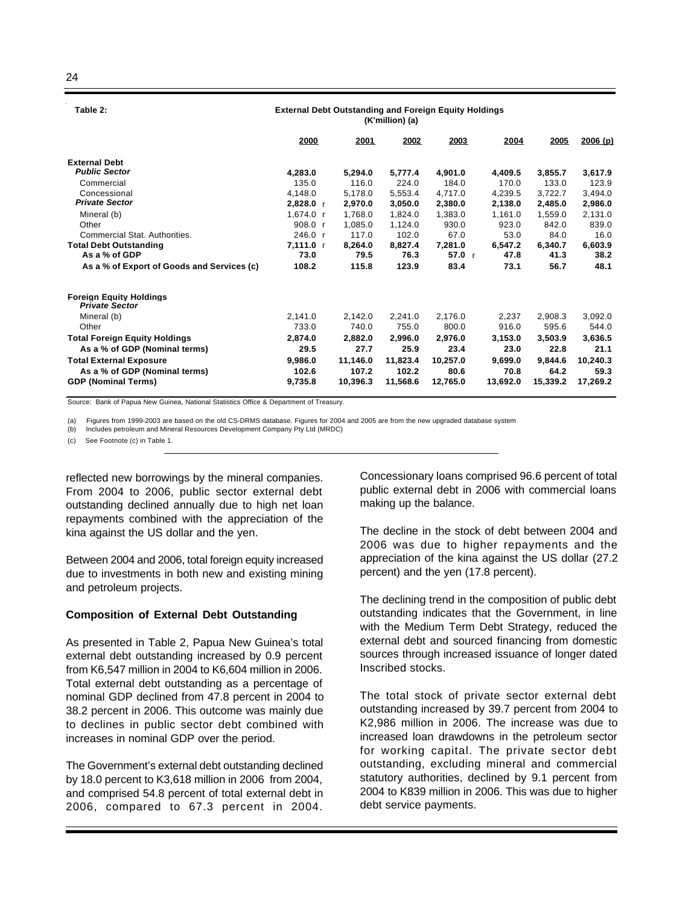24

 **Table 2:** 

| Table 4.                                                | External Debt Outstanding and Foreign Equity Holdings<br>(K'million) (a) |          |          |          |          |          |          |  |  |  |
|---------------------------------------------------------|--------------------------------------------------------------------------|----------|----------|----------|----------|----------|----------|--|--|--|
|                                                         | 2000                                                                     | 2001     | 2002     | 2003     | 2004     | 2005     | 2006(p)  |  |  |  |
| <b>External Debt</b>                                    |                                                                          |          |          |          |          |          |          |  |  |  |
| <b>Public Sector</b>                                    | 4.283.0                                                                  | 5.294.0  | 5.777.4  | 4.901.0  | 4.409.5  | 3,855.7  | 3,617.9  |  |  |  |
| Commercial                                              | 135.0                                                                    | 116.0    | 224.0    | 184.0    | 170.0    | 133.0    | 123.9    |  |  |  |
| Concessional                                            | 4,148.0                                                                  | 5,178.0  | 5,553.4  | 4,717.0  | 4,239.5  | 3,722.7  | 3,494.0  |  |  |  |
| <b>Private Sector</b>                                   | 2,828.0 r                                                                | 2,970.0  | 3,050.0  | 2,380.0  | 2,138.0  | 2,485.0  | 2,986.0  |  |  |  |
| Mineral (b)                                             | 1,674.0 r                                                                | 1.768.0  | 1,824.0  | 1,383.0  | 1.161.0  | 1,559.0  | 2,131.0  |  |  |  |
| Other                                                   | 908.0 r                                                                  | 1,085.0  | 1,124.0  | 930.0    | 923.0    | 842.0    | 839.0    |  |  |  |
| Commercial Stat. Authorities.                           | 246.0 r                                                                  | 117.0    | 102.0    | 67.0     | 53.0     | 84.0     | 16.0     |  |  |  |
| <b>Total Debt Outstanding</b>                           | $7,111.0$ r                                                              | 8.264.0  | 8,827.4  | 7.281.0  | 6,547.2  | 6,340.7  | 6,603.9  |  |  |  |
| As a % of GDP                                           | 73.0                                                                     | 79.5     | 76.3     | 57.0 r   | 47.8     | 41.3     | 38.2     |  |  |  |
| As a % of Export of Goods and Services (c)              | 108.2                                                                    | 115.8    | 123.9    | 83.4     | 73.1     | 56.7     | 48.1     |  |  |  |
| <b>Foreign Equity Holdings</b><br><b>Private Sector</b> |                                                                          |          |          |          |          |          |          |  |  |  |
| Mineral (b)                                             | 2,141.0                                                                  | 2,142.0  | 2,241.0  | 2,176.0  | 2,237    | 2,908.3  | 3,092.0  |  |  |  |
| Other                                                   | 733.0                                                                    | 740.0    | 755.0    | 800.0    | 916.0    | 595.6    | 544.0    |  |  |  |
| <b>Total Foreign Equity Holdings</b>                    | 2,874.0                                                                  | 2.882.0  | 2,996.0  | 2,976.0  | 3.153.0  | 3,503.9  | 3,636.5  |  |  |  |
| As a % of GDP (Nominal terms)                           | 29.5                                                                     | 27.7     | 25.9     | 23.4     | 23.0     | 22.8     | 21.1     |  |  |  |
| <b>Total External Exposure</b>                          | 9,986.0                                                                  | 11,146.0 | 11,823.4 | 10,257.0 | 9,699.0  | 9,844.6  | 10,240.3 |  |  |  |
| As a % of GDP (Nominal terms)                           | 102.6                                                                    | 107.2    | 102.2    | 80.6     | 70.8     | 64.2     | 59.3     |  |  |  |
| <b>GDP (Nominal Terms)</b>                              | 9,735.8                                                                  | 10,396.3 | 11,568.6 | 12,765.0 | 13,692.0 | 15,339.2 | 17,269.2 |  |  |  |

**External Debt Outstanding and Foreign Equity Holdings**

Source: Bank of Papua New Guinea, National Statistics Office & Department of Treasury.

(a) Figures from 1999-2003 are based on the old CS-DRMS database. Figures for 2004 and 2005 are from the new upgraded database system

(b) Includes petroleum and Mineral Resources Development Company Pty Ltd (MRDC)

(c) See Footnote (c) in Table 1.

reflected new borrowings by the mineral companies. From 2004 to 2006, public sector external debt outstanding declined annually due to high net loan repayments combined with the appreciation of the kina against the US dollar and the yen.

Between 2004 and 2006, total foreign equity increased due to investments in both new and existing mining and petroleum projects.

#### **Composition of External Debt Outstanding**

As presented in Table 2, Papua New Guinea's total external debt outstanding increased by 0.9 percent from K6,547 million in 2004 to K6,604 million in 2006. Total external debt outstanding as a percentage of nominal GDP declined from 47.8 percent in 2004 to 38.2 percent in 2006. This outcome was mainly due to declines in public sector debt combined with increases in nominal GDP over the period.

The Government's external debt outstanding declined by 18.0 percent to K3,618 million in 2006 from 2004, and comprised 54.8 percent of total external debt in 2006, compared to 67.3 percent in 2004.

Concessionary loans comprised 96.6 percent of total public external debt in 2006 with commercial loans making up the balance.

The decline in the stock of debt between 2004 and 2006 was due to higher repayments and the appreciation of the kina against the US dollar (27.2 percent) and the yen (17.8 percent).

The declining trend in the composition of public debt outstanding indicates that the Government, in line with the Medium Term Debt Strategy, reduced the external debt and sourced financing from domestic sources through increased issuance of longer dated Inscribed stocks.

The total stock of private sector external debt outstanding increased by 39.7 percent from 2004 to K2,986 million in 2006. The increase was due to increased loan drawdowns in the petroleum sector for working capital. The private sector debt outstanding, excluding mineral and commercial statutory authorities, declined by 9.1 percent from 2004 to K839 million in 2006. This was due to higher debt service payments.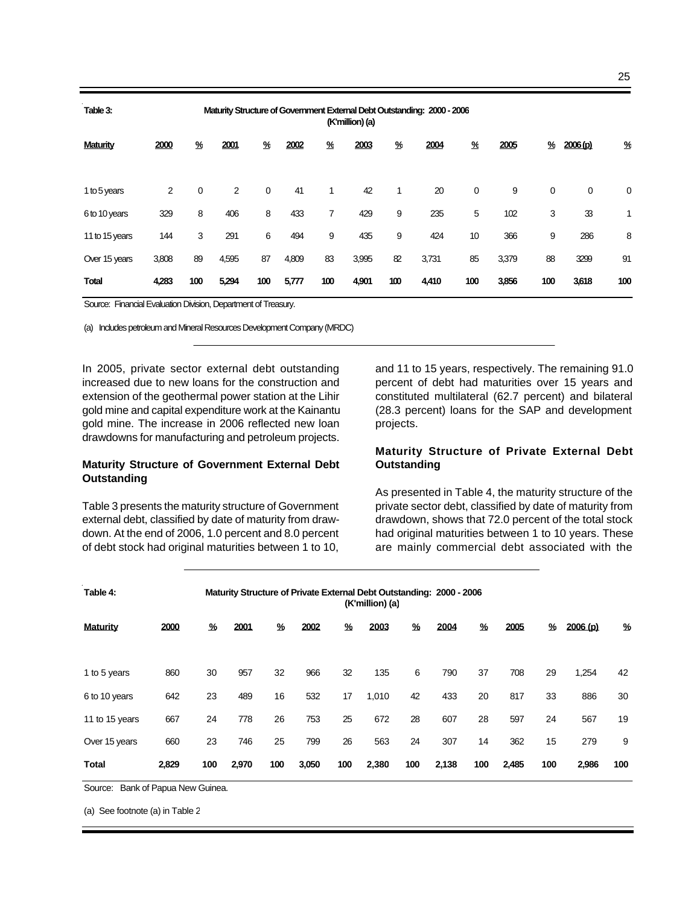| Table 3:        | Maturity Structure of Government External Debt Outstanding: 2000 - 2006<br>(K'million) (a) |     |       |             |       |     |       |              |       |     |       |             |                     |     |
|-----------------|--------------------------------------------------------------------------------------------|-----|-------|-------------|-------|-----|-------|--------------|-------|-----|-------|-------------|---------------------|-----|
| <b>Maturity</b> | 2000                                                                                       | ℀   | 2001  | ℀           | 2002  | ℀   | 2003  | ℀            | 2004  | ℀   | 2005  | ℀           | 2006 <sub>(p)</sub> | ℀   |
| 1 to 5 years    | 2                                                                                          | 0   | 2     | $\mathbf 0$ | 41    | 1   | 42    | $\mathbf{1}$ | 20    | 0   | 9     | $\mathbf 0$ | 0                   | 0   |
| 6 to 10 years   | 329                                                                                        | 8   | 406   | 8           | 433   | 7   | 429   | 9            | 235   | 5   | 102   | 3           | 33                  | 1   |
| 11 to 15 years  | 144                                                                                        | 3   | 291   | 6           | 494   | 9   | 435   | 9            | 424   | 10  | 366   | 9           | 286                 | 8   |
| Over 15 years   | 3,808                                                                                      | 89  | 4,595 | 87          | 4,809 | 83  | 3,995 | 82           | 3,731 | 85  | 3,379 | 88          | 3299                | 91  |
| <b>Total</b>    | 4,283                                                                                      | 100 | 5,294 | 100         | 5,777 | 100 | 4,901 | 100          | 4,410 | 100 | 3,856 | 100         | 3,618               | 100 |

Source: Financial Evaluation Division, Department of Treasury.

(a) Includes petroleum and Mineral Resources Development Company (MRDC)

In 2005, private sector external debt outstanding increased due to new loans for the construction and extension of the geothermal power station at the Lihir gold mine and capital expenditure work at the Kainantu gold mine. The increase in 2006 reflected new loan drawdowns for manufacturing and petroleum projects.

#### **Maturity Structure of Government External Debt Outstanding**

Table 3 presents the maturity structure of Government external debt, classified by date of maturity from drawdown. At the end of 2006, 1.0 percent and 8.0 percent of debt stock had original maturities between 1 to 10,

and 11 to 15 years, respectively. The remaining 91.0 percent of debt had maturities over 15 years and constituted multilateral (62.7 percent) and bilateral (28.3 percent) loans for the SAP and development projects.

#### **Maturity Structure of Private External Debt Outstanding**

As presented in Table 4, the maturity structure of the private sector debt, classified by date of maturity from drawdown, shows that 72.0 percent of the total stock had original maturities between 1 to 10 years. These are mainly commercial debt associated with the

| Table 4:        |       |     |       |     |       |     | (K'million) (a) |     | Maturity Structure of Private External Debt Outstanding: 2000 - 2006 |     |       |     |         |     |
|-----------------|-------|-----|-------|-----|-------|-----|-----------------|-----|----------------------------------------------------------------------|-----|-------|-----|---------|-----|
| <b>Maturity</b> | 2000  | %   | 2001  | %   | 2002  | %   | 2003            | %   | 2004                                                                 | %   | 2005  | %   | 2006(p) | %   |
| 1 to 5 years    | 860   | 30  | 957   | 32  | 966   | 32  | 135             | 6   | 790                                                                  | 37  | 708   | 29  | 1,254   | 42  |
| 6 to 10 years   | 642   | 23  | 489   | 16  | 532   | 17  | 1,010           | 42  | 433                                                                  | 20  | 817   | 33  | 886     | 30  |
| 11 to 15 years  | 667   | 24  | 778   | 26  | 753   | 25  | 672             | 28  | 607                                                                  | 28  | 597   | 24  | 567     | 19  |
| Over 15 years   | 660   | 23  | 746   | 25  | 799   | 26  | 563             | 24  | 307                                                                  | 14  | 362   | 15  | 279     | 9   |
| <b>Total</b>    | 2,829 | 100 | 2,970 | 100 | 3,050 | 100 | 2,380           | 100 | 2,138                                                                | 100 | 2,485 | 100 | 2,986   | 100 |

Source: Bank of Papua New Guinea.

(a) See footnote (a) in Table 2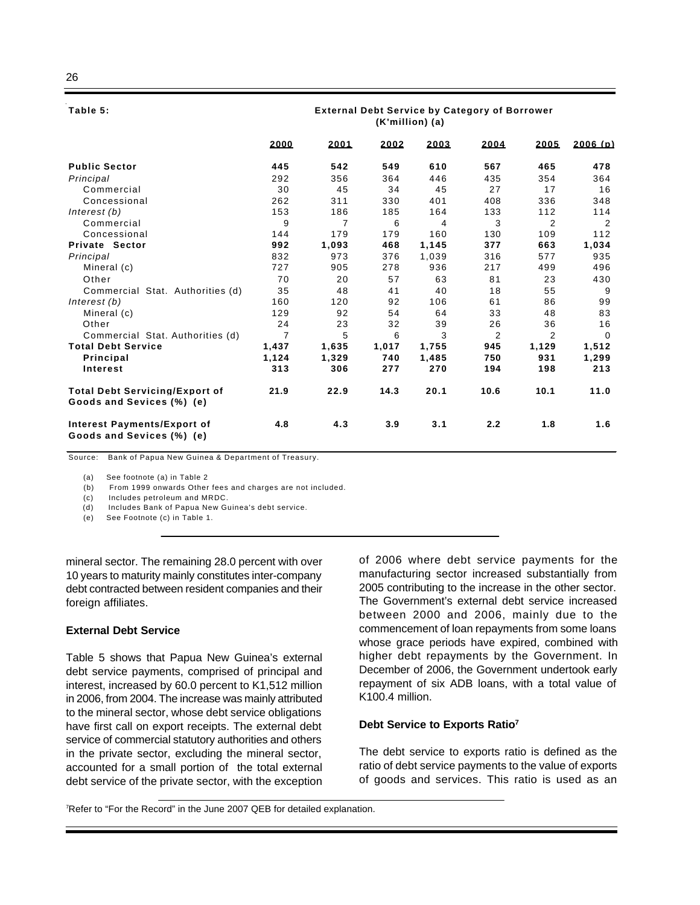#### **Table 5:**

#### **External Debt Service by Category of Borrower (K'million) (a)**

|                                                                    | 2000           | 2001  | 2002  | 2003  | 2004 | 2005           | 2006(b)  |
|--------------------------------------------------------------------|----------------|-------|-------|-------|------|----------------|----------|
| <b>Public Sector</b>                                               | 445            | 542   | 549   | 610   | 567  | 465            | 478      |
| Principal                                                          | 292            | 356   | 364   | 446   | 435  | 354            | 364      |
| Commercial                                                         | 30             | 45    | 34    | 45    | 27   | 17             | 16       |
| Concessional                                                       | 262            | 311   | 330   | 401   | 408  | 336            | 348      |
| Interest $(b)$                                                     | 153            | 186   | 185   | 164   | 133  | 112            | 114      |
| Commercial                                                         | 9              | 7     | 6     | 4     | 3    | 2              | 2        |
| Concessional                                                       | 144            | 179   | 179   | 160   | 130  | 109            | 112      |
| <b>Private Sector</b>                                              | 992            | 1,093 | 468   | 1,145 | 377  | 663            | 1,034    |
| Principal                                                          | 832            | 973   | 376   | 1,039 | 316  | 577            | 935      |
| Mineral (c)                                                        | 727            | 905   | 278   | 936   | 217  | 499            | 496      |
| Other                                                              | 70             | 20    | 57    | 63    | 81   | 23             | 430      |
| Commercial Stat. Authorities (d)                                   | 35             | 48    | 41    | 40    | 18   | 55             | 9        |
| Interest (b)                                                       | 160            | 120   | 92    | 106   | 61   | 86             | 99       |
| Mineral (c)                                                        | 129            | 92    | 54    | 64    | 33   | 48             | 83       |
| Other                                                              | 24             | 23    | 32    | 39    | 26   | 36             | 16       |
| Commercial Stat. Authorities (d)                                   | $\overline{7}$ | 5     | 6     | 3     | 2    | $\overline{2}$ | $\Omega$ |
| <b>Total Debt Service</b>                                          | 1.437          | 1.635 | 1.017 | 1.755 | 945  | 1.129          | 1.512    |
| Principal                                                          | 1,124          | 1,329 | 740   | 1,485 | 750  | 931            | 1,299    |
| Interest                                                           | 313            | 306   | 277   | 270   | 194  | 198            | 213      |
| <b>Total Debt Servicing/Export of</b><br>Goods and Sevices (%) (e) | 21.9           | 22.9  | 14.3  | 20.1  | 10.6 | 10.1           | 11.0     |
| Interest Payments/Export of<br>Goods and Sevices (%) (e)           | 4.8            | 4.3   | 3.9   | 3.1   | 2.2  | 1.8            | 1.6      |

Source: Bank of Papua New Guinea & Department of Treasury.

(a) See footnote (a) in Table 2

(b) From 1999 onwards Other fees and charges are not included.

(c) Includes petroleum and MRDC.

(d) Includes Bank of Papua New Guinea's debt service.

(e) See Footnote (c) in Table 1.

mineral sector. The remaining 28.0 percent with over 10 years to maturity mainly constitutes inter-company debt contracted between resident companies and their foreign affiliates.

#### **External Debt Service**

Table 5 shows that Papua New Guinea's external debt service payments, comprised of principal and interest, increased by 60.0 percent to K1,512 million in 2006, from 2004. The increase was mainly attributed to the mineral sector, whose debt service obligations have first call on export receipts. The external debt service of commercial statutory authorities and others in the private sector, excluding the mineral sector, accounted for a small portion of the total external debt service of the private sector, with the exception

of 2006 where debt service payments for the manufacturing sector increased substantially from 2005 contributing to the increase in the other sector. The Government's external debt service increased between 2000 and 2006, mainly due to the commencement of loan repayments from some loans whose grace periods have expired, combined with higher debt repayments by the Government. In December of 2006, the Government undertook early repayment of six ADB loans, with a total value of K100.4 million.

#### **Debt Service to Exports Ratio<sup>7</sup>**

The debt service to exports ratio is defined as the ratio of debt service payments to the value of exports of goods and services. This ratio is used as an

7Refer to "For the Record" in the June 2007 QEB for detailed explanation.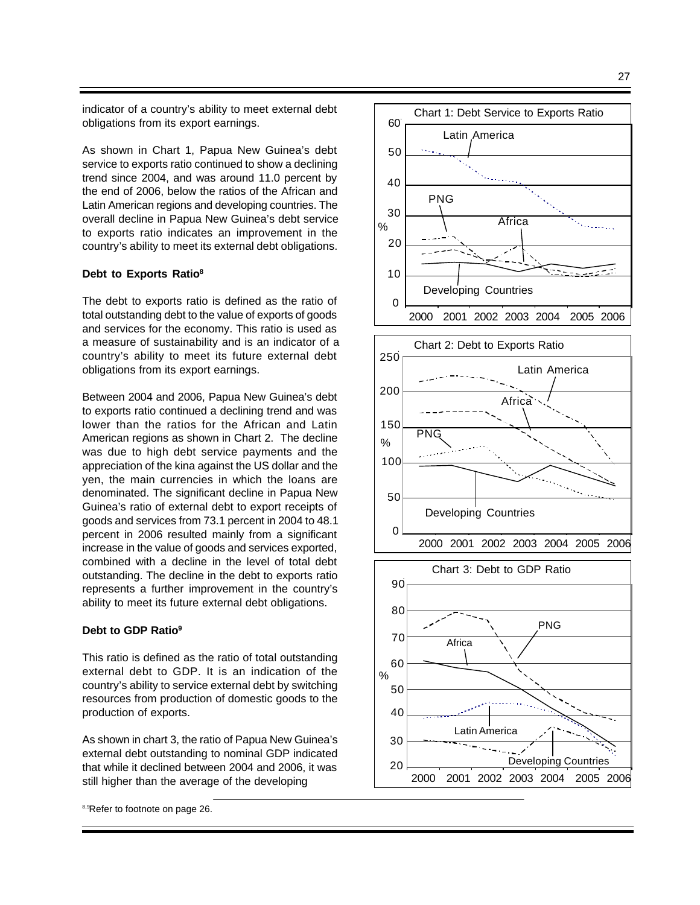indicator of a country's ability to meet external debt obligations from its export earnings.

As shown in Chart 1, Papua New Guinea's debt service to exports ratio continued to show a declining trend since 2004, and was around 11.0 percent by the end of 2006, below the ratios of the African and Latin American regions and developing countries. The overall decline in Papua New Guinea's debt service to exports ratio indicates an improvement in the country's ability to meet its external debt obligations.

#### **Debt to Exports Ratio<sup>8</sup>**

The debt to exports ratio is defined as the ratio of total outstanding debt to the value of exports of goods and services for the economy. This ratio is used as a measure of sustainability and is an indicator of a country's ability to meet its future external debt obligations from its export earnings.

Between 2004 and 2006, Papua New Guinea's debt to exports ratio continued a declining trend and was lower than the ratios for the African and Latin American regions as shown in Chart 2. The decline was due to high debt service payments and the appreciation of the kina against the US dollar and the yen, the main currencies in which the loans are denominated. The significant decline in Papua New Guinea's ratio of external debt to export receipts of goods and services from 73.1 percent in 2004 to 48.1 percent in 2006 resulted mainly from a significant increase in the value of goods and services exported, combined with a decline in the level of total debt outstanding. The decline in the debt to exports ratio represents a further improvement in the country's ability to meet its future external debt obligations.

#### **Debt to GDP Ratio<sup>9</sup>**

This ratio is defined as the ratio of total outstanding external debt to GDP. It is an indication of the country's ability to service external debt by switching resources from production of domestic goods to the production of exports.

As shown in chart 3, the ratio of Papua New Guinea's external debt outstanding to nominal GDP indicated that while it declined between 2004 and 2006, it was still higher than the average of the developing

8,9Refer to footnote on page 26.

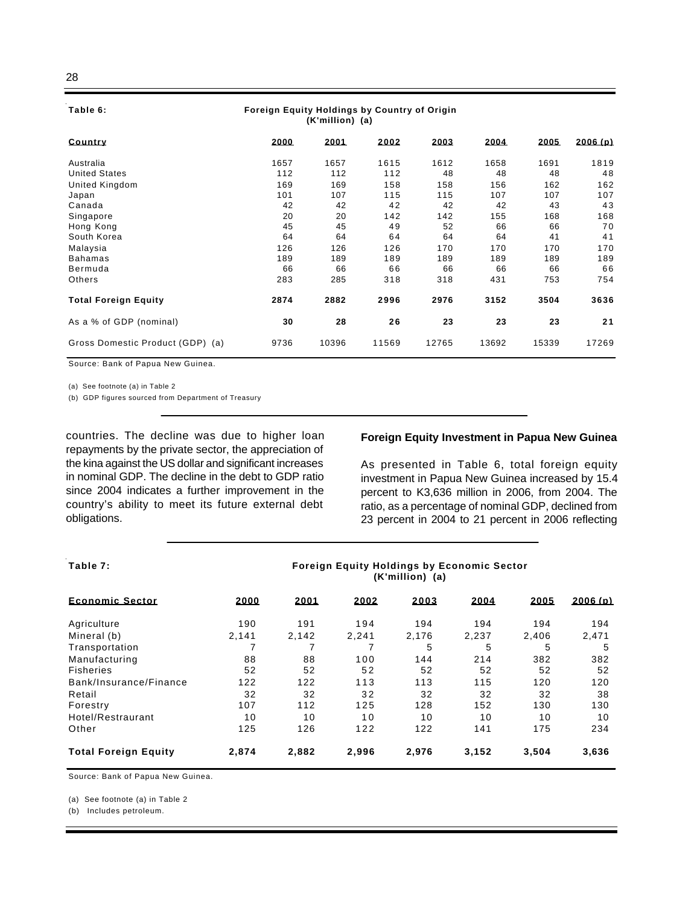#### **Table 6:**

#### **Foreign Equity Holdings by Country of Origin (K'million) (a)**

| <b>Country</b>                   | 2000 | 2001  | 2002  | 2003  | 2004  | 2005  | 2006(p) |
|----------------------------------|------|-------|-------|-------|-------|-------|---------|
| Australia                        | 1657 | 1657  | 1615  | 1612  | 1658  | 1691  | 1819    |
| <b>United States</b>             | 112  | 112   | 112   | 48    | 48    | 48    | 48      |
| United Kingdom                   | 169  | 169   | 158   | 158   | 156   | 162   | 162     |
| Japan                            | 101  | 107   | 115   | 115   | 107   | 107   | 107     |
| Canada                           | 42   | 42    | 42    | 42    | 42    | 43    | 43      |
| Singapore                        | 20   | 20    | 142   | 142   | 155   | 168   | 168     |
| Hong Kong                        | 45   | 45    | 49    | 52    | 66    | 66    | 70      |
| South Korea                      | 64   | 64    | 64    | 64    | 64    | 41    | 41      |
| Malaysia                         | 126  | 126   | 126   | 170   | 170   | 170   | 170     |
| <b>Bahamas</b>                   | 189  | 189   | 189   | 189   | 189   | 189   | 189     |
| Bermuda                          | 66   | 66    | 66    | 66    | 66    | 66    | 66      |
| Others                           | 283  | 285   | 318   | 318   | 431   | 753   | 754     |
| <b>Total Foreign Equity</b>      | 2874 | 2882  | 2996  | 2976  | 3152  | 3504  | 3636    |
| As a % of GDP (nominal)          | 30   | 28    | 26    | 23    | 23    | 23    | 21      |
| Gross Domestic Product (GDP) (a) | 9736 | 10396 | 11569 | 12765 | 13692 | 15339 | 17269   |

Source: Bank of Papua New Guinea.

(a) See footnote (a) in Table 2

(b) GDP figures sourced from Department of Treasury

countries. The decline was due to higher loan repayments by the private sector, the appreciation of the kina against the US dollar and significant increases in nominal GDP. The decline in the debt to GDP ratio since 2004 indicates a further improvement in the country's ability to meet its future external debt obligations.

#### **Foreign Equity Investment in Papua New Guinea**

As presented in Table 6, total foreign equity investment in Papua New Guinea increased by 15.4 percent to K3,636 million in 2006, from 2004. The ratio, as a percentage of nominal GDP, declined from 23 percent in 2004 to 21 percent in 2006 reflecting

#### **Table 7:**

**Foreign Equity Holdings by Economic Sector (K'million) (a)**

| <b>Economic Sector</b>      | 2000  | 2001  | 2002  | 2003  | 2004  | 2005  | 2006(p) |
|-----------------------------|-------|-------|-------|-------|-------|-------|---------|
| Agriculture                 | 190   | 191   | 194   | 194   | 194   | 194   | 194     |
| Mineral (b)                 | 2.141 | 2.142 | 2.241 | 2.176 | 2.237 | 2.406 | 2.471   |
| Transportation              |       |       |       | 5     | 5     | 5     | 5       |
| Manufacturing               | 88    | 88    | 100   | 144   | 214   | 382   | 382     |
| <b>Fisheries</b>            | 52    | 52    | 52    | 52    | 52    | 52    | 52      |
| Bank/Insurance/Finance      | 122   | 122   | 113   | 113   | 115   | 120   | 120     |
| Retail                      | 32    | 32    | 32    | 32    | 32    | 32    | 38      |
| Forestry                    | 107   | 112   | 125   | 128   | 152   | 130   | 130     |
| Hotel/Restraurant           | 10    | 10    | 10    | 10    | 10    | 10    | 10      |
| Other                       | 125   | 126   | 122   | 122   | 141   | 175   | 234     |
| <b>Total Foreign Equity</b> | 2.874 | 2.882 | 2.996 | 2.976 | 3,152 | 3.504 | 3,636   |

Source: Bank of Papua New Guinea.

(a) See footnote (a) in Table 2

(b) Includes petroleum.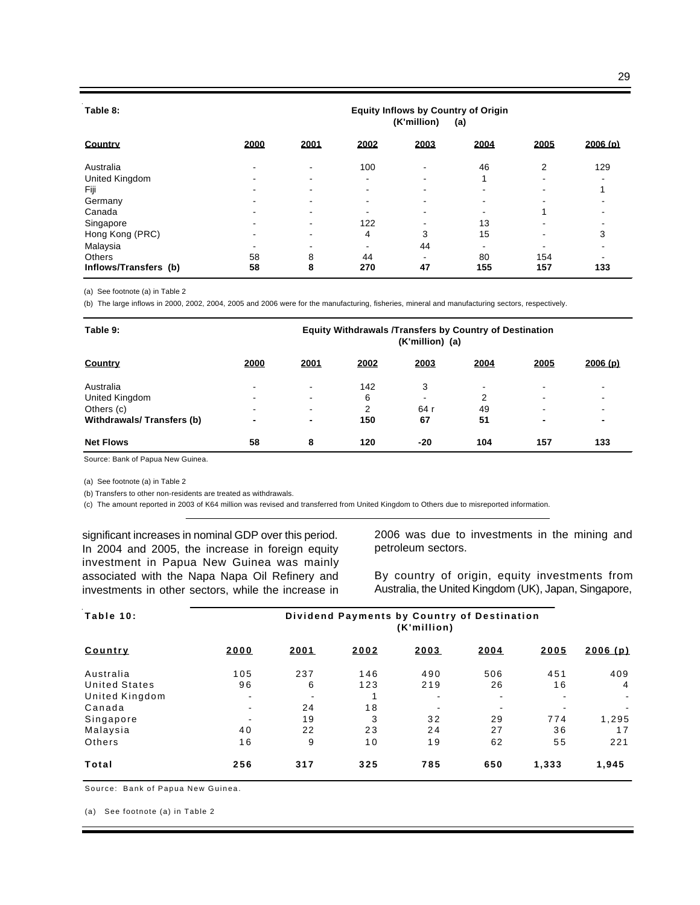#### **Table 8:**

#### **Equity Inflows by Country of Origin (K'million) (a)**

| <b>Country</b>        | 2000 | 2001                     | 2002                     | 2003                     | 2004                     | 2005                     | 2006(p)                  |
|-----------------------|------|--------------------------|--------------------------|--------------------------|--------------------------|--------------------------|--------------------------|
| Australia             |      | $\overline{\phantom{0}}$ | 100                      | $\overline{\phantom{0}}$ | 46                       | 2                        | 129                      |
| United Kingdom        |      | $\overline{\phantom{a}}$ | $\overline{\phantom{a}}$ | -                        |                          | ۰.                       |                          |
| Fiji                  |      | $\overline{\phantom{0}}$ | $\overline{\phantom{0}}$ |                          | $\overline{\phantom{0}}$ | $\overline{\phantom{0}}$ |                          |
| Germany               |      | $\overline{\phantom{0}}$ | $\overline{\phantom{0}}$ |                          | $\overline{\phantom{0}}$ | -                        |                          |
| Canada                |      | $\overline{\phantom{0}}$ | $\overline{\phantom{0}}$ |                          | $\overline{\phantom{0}}$ |                          |                          |
| Singapore             |      | $\overline{\phantom{0}}$ | 122                      |                          | 13                       | $\overline{\phantom{a}}$ |                          |
| Hong Kong (PRC)       |      | $\overline{\phantom{a}}$ | 4                        | 3                        | 15                       | ۰                        | 3                        |
| Malaysia              |      |                          |                          | 44                       | -                        | ۰                        |                          |
| Others                | 58   | 8                        | 44                       | $\overline{\phantom{0}}$ | 80                       | 154                      | $\overline{\phantom{a}}$ |
| Inflows/Transfers (b) | 58   | 8                        | 270                      | 47                       | 155                      | 157                      | 133                      |

(a) See footnote (a) in Table 2

(b) The large inflows in 2000, 2002, 2004, 2005 and 2006 were for the manufacturing, fisheries, mineral and manufacturing sectors, respectively.

| Table 9:                  |                          | <b>Equity Withdrawals /Transfers by Country of Destination</b><br>(K'million) (a) |      |                          |      |                          |                          |  |  |  |
|---------------------------|--------------------------|-----------------------------------------------------------------------------------|------|--------------------------|------|--------------------------|--------------------------|--|--|--|
| <b>Country</b>            | 2000                     | 2001                                                                              | 2002 | 2003                     | 2004 | 2005                     | 2006(p)                  |  |  |  |
| Australia                 | -                        | $\overline{\phantom{a}}$                                                          | 142  | 3                        | -    | $\overline{\phantom{a}}$ | $\overline{\phantom{0}}$ |  |  |  |
| United Kingdom            | $\overline{\phantom{0}}$ | $\overline{\phantom{a}}$                                                          | 6    | $\overline{\phantom{0}}$ | 2    | $\overline{\phantom{0}}$ | $\overline{\phantom{0}}$ |  |  |  |
| Others (c)                | -                        | $\blacksquare$                                                                    | 2    | 64 r                     | 49   | $\overline{\phantom{0}}$ | $\overline{\phantom{0}}$ |  |  |  |
| Withdrawals/Transfers (b) | $\blacksquare$           | ۰                                                                                 | 150  | 67                       | 51   | -                        |                          |  |  |  |
| <b>Net Flows</b>          | 58                       | 8                                                                                 | 120  | -20                      | 104  | 157                      | 133                      |  |  |  |

Source: Bank of Papua New Guinea.

(a) See footnote (a) in Table 2

(b) Transfers to other non-residents are treated as withdrawals.

(c) The amount reported in 2003 of K64 million was revised and transferred from United Kingdom to Others due to misreported information.

significant increases in nominal GDP over this period. In 2004 and 2005, the increase in foreign equity investment in Papua New Guinea was mainly associated with the Napa Napa Oil Refinery and investments in other sectors, while the increase in

2006 was due to investments in the mining and petroleum sectors.

By country of origin, equity investments from Australia, the United Kingdom (UK), Japan, Singapore,

| Table 10:            | Dividend Payments by Country of Destination<br>(K'million) |      |      |                |                          |       |                |  |  |  |
|----------------------|------------------------------------------------------------|------|------|----------------|--------------------------|-------|----------------|--|--|--|
| <b>Country</b>       | 2000                                                       | 2001 | 2002 | 2003           | 2004                     | 2005  | 2006(p)        |  |  |  |
| Australia            | 105                                                        | 237  | 146  | 490            | 506                      | 451   | 409            |  |  |  |
| <b>United States</b> | 96                                                         | 6    | 123  | 219            | 26                       | 16    | $\overline{4}$ |  |  |  |
| United Kingdom       |                                                            |      |      | $\blacksquare$ | $\blacksquare$           |       | $\sim$         |  |  |  |
| Canada               | $\blacksquare$                                             | 24   | 18   | $\blacksquare$ | $\overline{\phantom{0}}$ |       |                |  |  |  |
| Singapore            |                                                            | 19   | 3    | 32             | 29                       | 774   | 1,295          |  |  |  |
| Malaysia             | 40                                                         | 22   | 23   | 24             | 27                       | 36    | 17             |  |  |  |
| Others               | 16                                                         | 9    | 10   | 19             | 62                       | 55    | 221            |  |  |  |
| Total                | 256                                                        | 317  | 325  | 785            | 650                      | 1,333 | 1,945          |  |  |  |

Source: Bank of Papua New Guinea.

(a) See footnote (a) in Table 2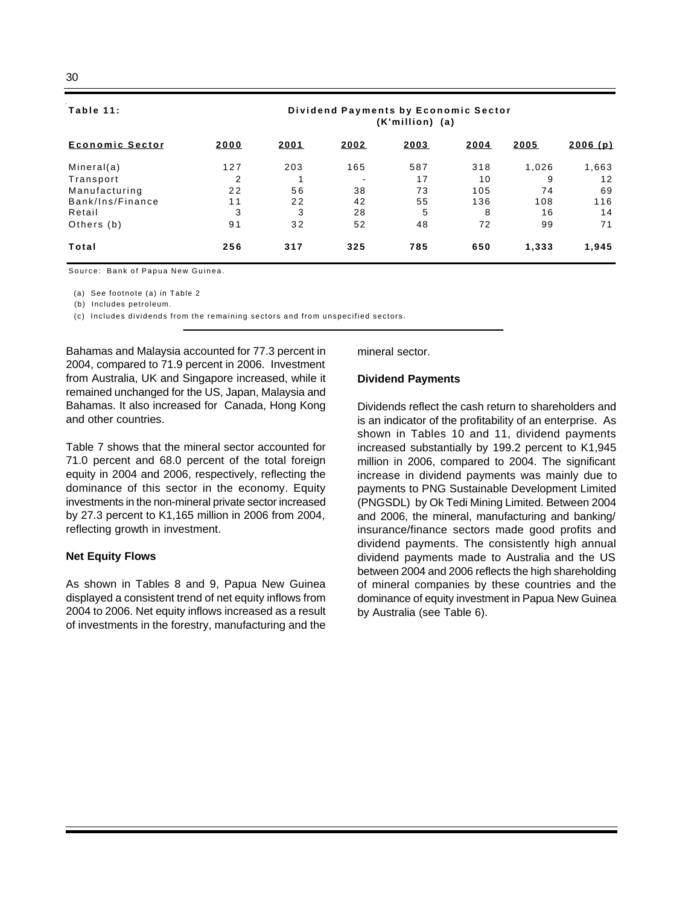# **Table 11:**

| Table 11:              | Dividend Payments by Economic Sector<br>(K'million) (a) |      |                |      |      |       |         |  |  |  |
|------------------------|---------------------------------------------------------|------|----------------|------|------|-------|---------|--|--|--|
| <b>Economic Sector</b> | 2000                                                    | 2001 | 2002           | 2003 | 2004 | 2005  | 2006(p) |  |  |  |
| Mineral(a)             | 127                                                     | 203  | 165            | 587  | 318  | 1.026 | 1,663   |  |  |  |
| Transport              | 2                                                       |      | $\blacksquare$ | 17   | 10   | 9     | 12      |  |  |  |
| Manufacturing          | 22                                                      | 56   | 38             | 73   | 105  | 74    | 69      |  |  |  |
| Bank/Ins/Finance       | 11                                                      | 22   | 42             | 55   | 136  | 108   | 116     |  |  |  |

Retail 3 3 28 5 8 16 14 Others (b) 91 32 52 48 72 99 71 **Total 256 317 325 785 650 1,333 1,945**

Source: Bank of Papua New Guinea.

(a) See footnote (a) in Table 2

(b) Includes petroleum.

(c) Includes dividends from the remaining sectors and from unspecified sectors.

Bahamas and Malaysia accounted for 77.3 percent in 2004, compared to 71.9 percent in 2006. Investment from Australia, UK and Singapore increased, while it remained unchanged for the US, Japan, Malaysia and Bahamas. It also increased for Canada, Hong Kong and other countries.

Table 7 shows that the mineral sector accounted for 71.0 percent and 68.0 percent of the total foreign equity in 2004 and 2006, respectively, reflecting the dominance of this sector in the economy. Equity investments in the non-mineral private sector increased by 27.3 percent to K1,165 million in 2006 from 2004, reflecting growth in investment.

#### **Net Equity Flows**

As shown in Tables 8 and 9, Papua New Guinea displayed a consistent trend of net equity inflows from 2004 to 2006. Net equity inflows increased as a result of investments in the forestry, manufacturing and the

mineral sector.

#### **Dividend Payments**

Dividends reflect the cash return to shareholders and is an indicator of the profitability of an enterprise. As shown in Tables 10 and 11, dividend payments increased substantially by 199.2 percent to K1,945 million in 2006, compared to 2004. The significant increase in dividend payments was mainly due to payments to PNG Sustainable Development Limited (PNGSDL) by Ok Tedi Mining Limited. Between 2004 and 2006, the mineral, manufacturing and banking/ insurance/finance sectors made good profits and dividend payments. The consistently high annual dividend payments made to Australia and the US between 2004 and 2006 reflects the high shareholding of mineral companies by these countries and the dominance of equity investment in Papua New Guinea by Australia (see Table 6).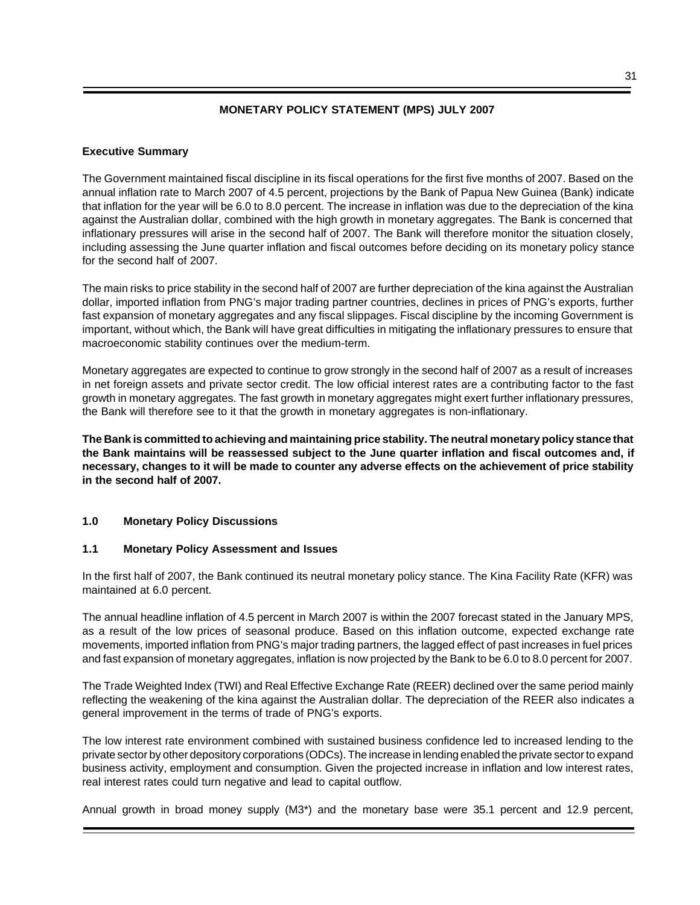## **MONETARY POLICY STATEMENT (MPS) JULY 2007**

#### **Executive Summary**

The Government maintained fiscal discipline in its fiscal operations for the first five months of 2007. Based on the annual inflation rate to March 2007 of 4.5 percent, projections by the Bank of Papua New Guinea (Bank) indicate that inflation for the year will be 6.0 to 8.0 percent. The increase in inflation was due to the depreciation of the kina against the Australian dollar, combined with the high growth in monetary aggregates. The Bank is concerned that inflationary pressures will arise in the second half of 2007. The Bank will therefore monitor the situation closely, including assessing the June quarter inflation and fiscal outcomes before deciding on its monetary policy stance for the second half of 2007.

The main risks to price stability in the second half of 2007 are further depreciation of the kina against the Australian dollar, imported inflation from PNG's major trading partner countries, declines in prices of PNG's exports, further fast expansion of monetary aggregates and any fiscal slippages. Fiscal discipline by the incoming Government is important, without which, the Bank will have great difficulties in mitigating the inflationary pressures to ensure that macroeconomic stability continues over the medium-term.

Monetary aggregates are expected to continue to grow strongly in the second half of 2007 as a result of increases in net foreign assets and private sector credit. The low official interest rates are a contributing factor to the fast growth in monetary aggregates. The fast growth in monetary aggregates might exert further inflationary pressures, the Bank will therefore see to it that the growth in monetary aggregates is non-inflationary.

**The Bank is committed to achieving and maintaining price stability. The neutral monetary policy stance that the Bank maintains will be reassessed subject to the June quarter inflation and fiscal outcomes and, if necessary, changes to it will be made to counter any adverse effects on the achievement of price stability in the second half of 2007.**

## **1.0 Monetary Policy Discussions**

#### **1.1 Monetary Policy Assessment and Issues**

In the first half of 2007, the Bank continued its neutral monetary policy stance. The Kina Facility Rate (KFR) was maintained at 6.0 percent.

The annual headline inflation of 4.5 percent in March 2007 is within the 2007 forecast stated in the January MPS, as a result of the low prices of seasonal produce. Based on this inflation outcome, expected exchange rate movements, imported inflation from PNG's major trading partners, the lagged effect of past increases in fuel prices and fast expansion of monetary aggregates, inflation is now projected by the Bank to be 6.0 to 8.0 percent for 2007.

The Trade Weighted Index (TWI) and Real Effective Exchange Rate (REER) declined over the same period mainly reflecting the weakening of the kina against the Australian dollar. The depreciation of the REER also indicates a general improvement in the terms of trade of PNG's exports.

The low interest rate environment combined with sustained business confidence led to increased lending to the private sector by other depository corporations (ODCs). The increase in lending enabled the private sector to expand business activity, employment and consumption. Given the projected increase in inflation and low interest rates, real interest rates could turn negative and lead to capital outflow.

Annual growth in broad money supply (M3\*) and the monetary base were 35.1 percent and 12.9 percent,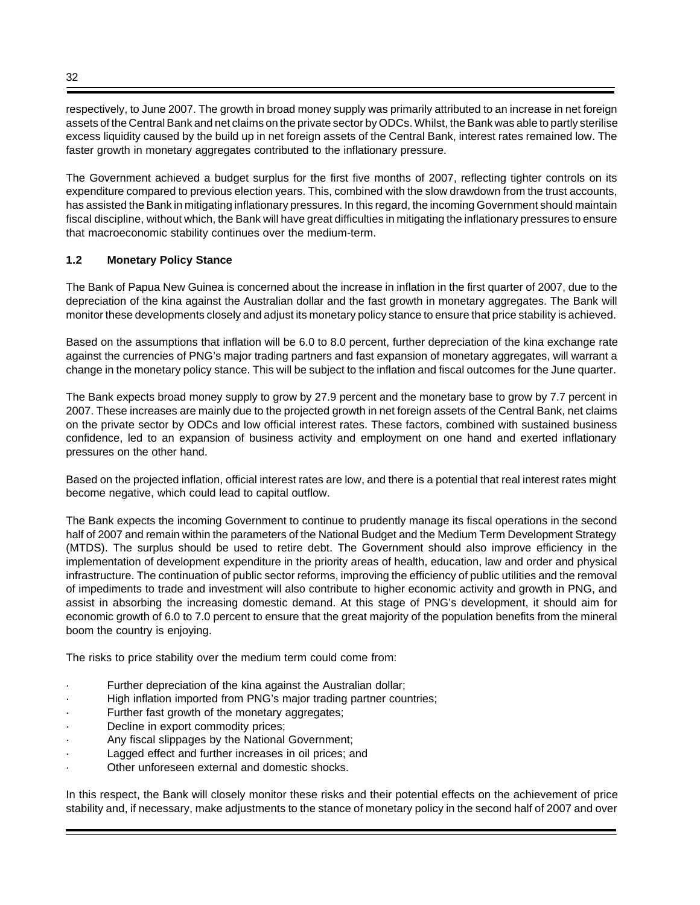respectively, to June 2007. The growth in broad money supply was primarily attributed to an increase in net foreign assets of the Central Bank and net claims on the private sector by ODCs. Whilst, the Bank was able to partly sterilise excess liquidity caused by the build up in net foreign assets of the Central Bank, interest rates remained low. The faster growth in monetary aggregates contributed to the inflationary pressure.

The Government achieved a budget surplus for the first five months of 2007, reflecting tighter controls on its expenditure compared to previous election years. This, combined with the slow drawdown from the trust accounts, has assisted the Bank in mitigating inflationary pressures. In this regard, the incoming Government should maintain fiscal discipline, without which, the Bank will have great difficulties in mitigating the inflationary pressures to ensure that macroeconomic stability continues over the medium-term.

## **1.2 Monetary Policy Stance**

The Bank of Papua New Guinea is concerned about the increase in inflation in the first quarter of 2007, due to the depreciation of the kina against the Australian dollar and the fast growth in monetary aggregates. The Bank will monitor these developments closely and adjust its monetary policy stance to ensure that price stability is achieved.

Based on the assumptions that inflation will be 6.0 to 8.0 percent, further depreciation of the kina exchange rate against the currencies of PNG's major trading partners and fast expansion of monetary aggregates, will warrant a change in the monetary policy stance. This will be subject to the inflation and fiscal outcomes for the June quarter.

The Bank expects broad money supply to grow by 27.9 percent and the monetary base to grow by 7.7 percent in 2007. These increases are mainly due to the projected growth in net foreign assets of the Central Bank, net claims on the private sector by ODCs and low official interest rates. These factors, combined with sustained business confidence, led to an expansion of business activity and employment on one hand and exerted inflationary pressures on the other hand.

Based on the projected inflation, official interest rates are low, and there is a potential that real interest rates might become negative, which could lead to capital outflow.

The Bank expects the incoming Government to continue to prudently manage its fiscal operations in the second half of 2007 and remain within the parameters of the National Budget and the Medium Term Development Strategy (MTDS). The surplus should be used to retire debt. The Government should also improve efficiency in the implementation of development expenditure in the priority areas of health, education, law and order and physical infrastructure. The continuation of public sector reforms, improving the efficiency of public utilities and the removal of impediments to trade and investment will also contribute to higher economic activity and growth in PNG, and assist in absorbing the increasing domestic demand. At this stage of PNG's development, it should aim for economic growth of 6.0 to 7.0 percent to ensure that the great majority of the population benefits from the mineral boom the country is enjoying.

The risks to price stability over the medium term could come from:

- Further depreciation of the kina against the Australian dollar;
- High inflation imported from PNG's major trading partner countries;
- Further fast growth of the monetary aggregates;
- Decline in export commodity prices;
- Any fiscal slippages by the National Government;
- Lagged effect and further increases in oil prices; and
- · Other unforeseen external and domestic shocks.

In this respect, the Bank will closely monitor these risks and their potential effects on the achievement of price stability and, if necessary, make adjustments to the stance of monetary policy in the second half of 2007 and over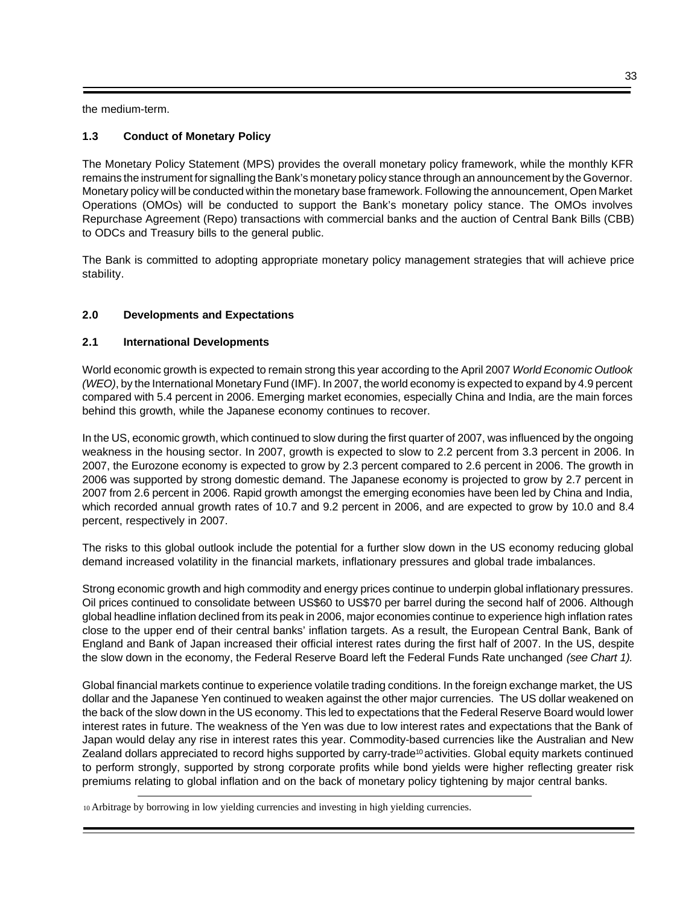the medium-term.

## **1.3 Conduct of Monetary Policy**

The Monetary Policy Statement (MPS) provides the overall monetary policy framework, while the monthly KFR remains the instrument for signalling the Bank's monetary policy stance through an announcement by the Governor. Monetary policy will be conducted within the monetary base framework. Following the announcement, Open Market Operations (OMOs) will be conducted to support the Bank's monetary policy stance. The OMOs involves Repurchase Agreement (Repo) transactions with commercial banks and the auction of Central Bank Bills (CBB) to ODCs and Treasury bills to the general public.

The Bank is committed to adopting appropriate monetary policy management strategies that will achieve price stability.

## **2.0 Developments and Expectations**

## **2.1 International Developments**

World economic growth is expected to remain strong this year according to the April 2007 *World Economic Outlook (WEO)*, by the International Monetary Fund (IMF). In 2007, the world economy is expected to expand by 4.9 percent compared with 5.4 percent in 2006. Emerging market economies, especially China and India, are the main forces behind this growth, while the Japanese economy continues to recover.

In the US, economic growth, which continued to slow during the first quarter of 2007, was influenced by the ongoing weakness in the housing sector. In 2007, growth is expected to slow to 2.2 percent from 3.3 percent in 2006. In 2007, the Eurozone economy is expected to grow by 2.3 percent compared to 2.6 percent in 2006. The growth in 2006 was supported by strong domestic demand. The Japanese economy is projected to grow by 2.7 percent in 2007 from 2.6 percent in 2006. Rapid growth amongst the emerging economies have been led by China and India, which recorded annual growth rates of 10.7 and 9.2 percent in 2006, and are expected to grow by 10.0 and 8.4 percent, respectively in 2007.

The risks to this global outlook include the potential for a further slow down in the US economy reducing global demand increased volatility in the financial markets, inflationary pressures and global trade imbalances.

Strong economic growth and high commodity and energy prices continue to underpin global inflationary pressures. Oil prices continued to consolidate between US\$60 to US\$70 per barrel during the second half of 2006. Although global headline inflation declined from its peak in 2006, major economies continue to experience high inflation rates close to the upper end of their central banks' inflation targets. As a result, the European Central Bank, Bank of England and Bank of Japan increased their official interest rates during the first half of 2007. In the US, despite the slow down in the economy, the Federal Reserve Board left the Federal Funds Rate unchanged *(see Chart 1).*

Global financial markets continue to experience volatile trading conditions. In the foreign exchange market, the US dollar and the Japanese Yen continued to weaken against the other major currencies. The US dollar weakened on the back of the slow down in the US economy. This led to expectations that the Federal Reserve Board would lower interest rates in future. The weakness of the Yen was due to low interest rates and expectations that the Bank of Japan would delay any rise in interest rates this year. Commodity-based currencies like the Australian and New Zealand dollars appreciated to record highs supported by carry-trade<sup>10</sup> activities. Global equity markets continued to perform strongly, supported by strong corporate profits while bond yields were higher reflecting greater risk premiums relating to global inflation and on the back of monetary policy tightening by major central banks.

10 Arbitrage by borrowing in low yielding currencies and investing in high yielding currencies.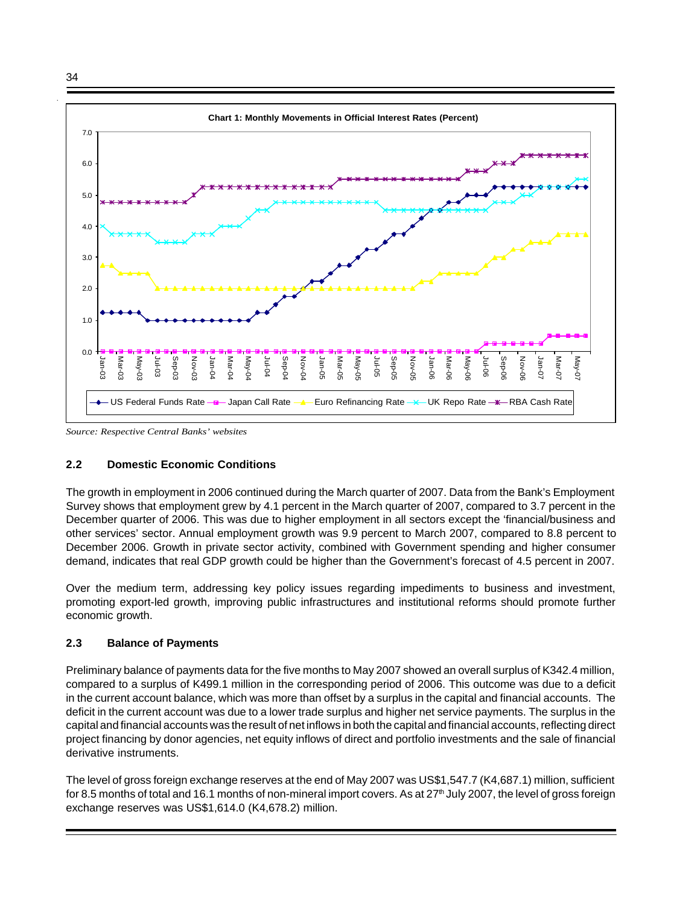34



*Source: Respective Central Banks' websites*

## **2.2 Domestic Economic Conditions**

The growth in employment in 2006 continued during the March quarter of 2007. Data from the Bank's Employment Survey shows that employment grew by 4.1 percent in the March quarter of 2007, compared to 3.7 percent in the December quarter of 2006. This was due to higher employment in all sectors except the 'financial/business and other services' sector. Annual employment growth was 9.9 percent to March 2007, compared to 8.8 percent to December 2006. Growth in private sector activity, combined with Government spending and higher consumer demand, indicates that real GDP growth could be higher than the Government's forecast of 4.5 percent in 2007.

Over the medium term, addressing key policy issues regarding impediments to business and investment, promoting export-led growth, improving public infrastructures and institutional reforms should promote further economic growth.

#### **2.3 Balance of Payments**

Preliminary balance of payments data for the five months to May 2007 showed an overall surplus of K342.4 million, compared to a surplus of K499.1 million in the corresponding period of 2006. This outcome was due to a deficit in the current account balance, which was more than offset by a surplus in the capital and financial accounts. The deficit in the current account was due to a lower trade surplus and higher net service payments. The surplus in the capital and financial accounts was the result of net inflows in both the capital and financial accounts, reflecting direct project financing by donor agencies, net equity inflows of direct and portfolio investments and the sale of financial derivative instruments.

The level of gross foreign exchange reserves at the end of May 2007 was US\$1,547.7 (K4,687.1) million, sufficient for 8.5 months of total and 16.1 months of non-mineral import covers. As at  $27<sup>th</sup>$  July 2007, the level of gross foreign exchange reserves was US\$1,614.0 (K4,678.2) million.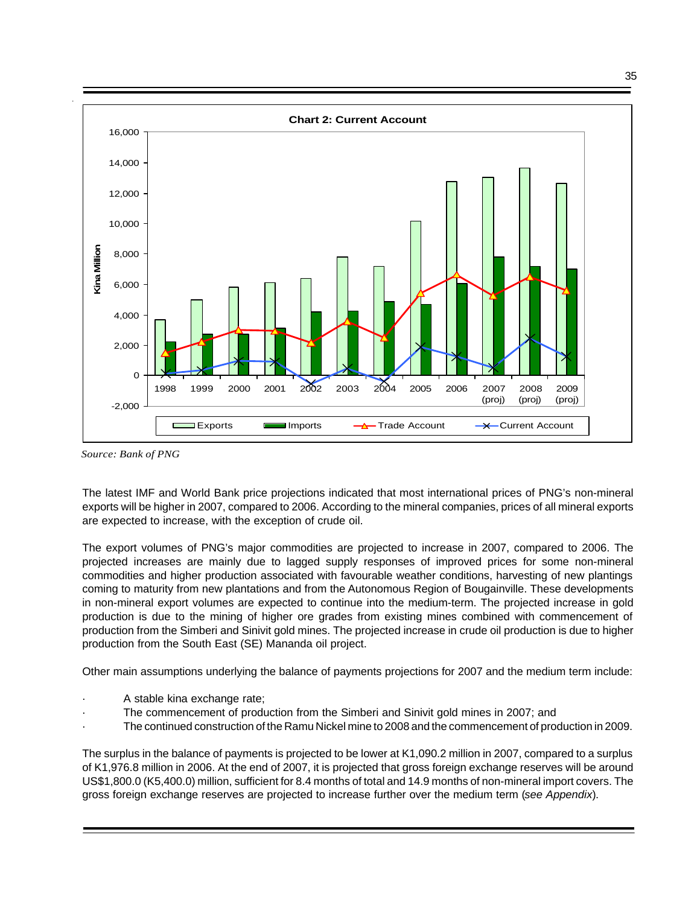

*Source: Bank of PNG*

The latest IMF and World Bank price projections indicated that most international prices of PNG's non-mineral exports will be higher in 2007, compared to 2006. According to the mineral companies, prices of all mineral exports are expected to increase, with the exception of crude oil.

The export volumes of PNG's major commodities are projected to increase in 2007, compared to 2006. The projected increases are mainly due to lagged supply responses of improved prices for some non-mineral commodities and higher production associated with favourable weather conditions, harvesting of new plantings coming to maturity from new plantations and from the Autonomous Region of Bougainville. These developments in non-mineral export volumes are expected to continue into the medium-term. The projected increase in gold production is due to the mining of higher ore grades from existing mines combined with commencement of production from the Simberi and Sinivit gold mines. The projected increase in crude oil production is due to higher production from the South East (SE) Mananda oil project.

Other main assumptions underlying the balance of payments projections for 2007 and the medium term include:

- A stable kina exchange rate;
- The commencement of production from the Simberi and Sinivit gold mines in 2007; and
- · The continued construction of the Ramu Nickel mine to 2008 and the commencement of production in 2009.

The surplus in the balance of payments is projected to be lower at K1,090.2 million in 2007, compared to a surplus of K1,976.8 million in 2006. At the end of 2007, it is projected that gross foreign exchange reserves will be around US\$1,800.0 (K5,400.0) million, sufficient for 8.4 months of total and 14.9 months of non-mineral import covers. The gross foreign exchange reserves are projected to increase further over the medium term (*see Appendix*).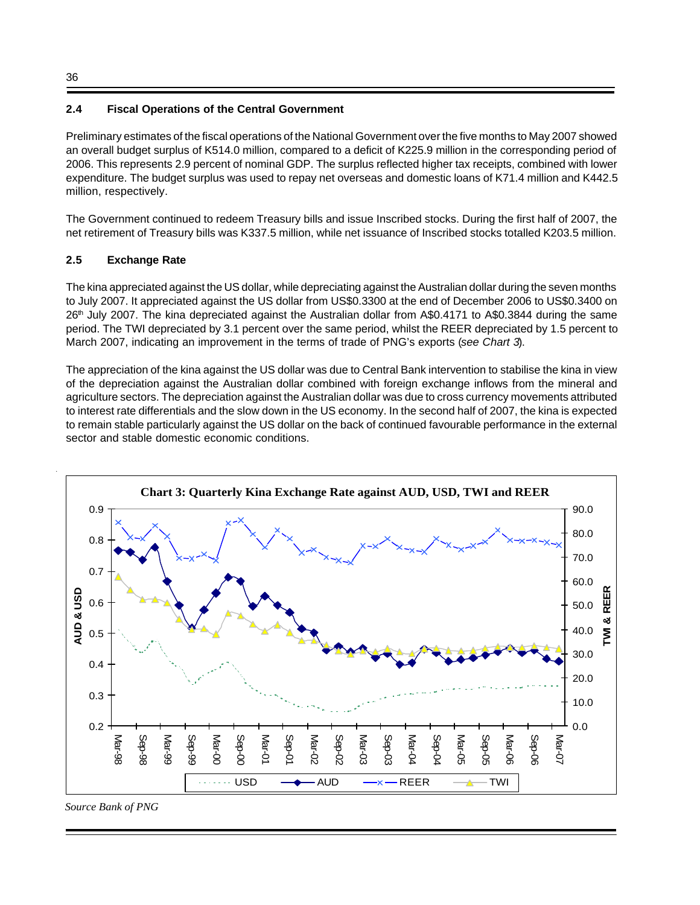## **2.4 Fiscal Operations of the Central Government**

Preliminary estimates of the fiscal operations of the National Government over the five months to May 2007 showed an overall budget surplus of K514.0 million, compared to a deficit of K225.9 million in the corresponding period of 2006. This represents 2.9 percent of nominal GDP. The surplus reflected higher tax receipts, combined with lower expenditure. The budget surplus was used to repay net overseas and domestic loans of K71.4 million and K442.5 million, respectively.

The Government continued to redeem Treasury bills and issue Inscribed stocks. During the first half of 2007, the net retirement of Treasury bills was K337.5 million, while net issuance of Inscribed stocks totalled K203.5 million.

## **2.5 Exchange Rate**

The kina appreciated against the US dollar, while depreciating against the Australian dollar during the seven months to July 2007. It appreciated against the US dollar from US\$0.3300 at the end of December 2006 to US\$0.3400 on 26<sup>th</sup> July 2007. The kina depreciated against the Australian dollar from A\$0.4171 to A\$0.3844 during the same period. The TWI depreciated by 3.1 percent over the same period, whilst the REER depreciated by 1.5 percent to March 2007, indicating an improvement in the terms of trade of PNG's exports (*see Chart 3*).

The appreciation of the kina against the US dollar was due to Central Bank intervention to stabilise the kina in view of the depreciation against the Australian dollar combined with foreign exchange inflows from the mineral and agriculture sectors. The depreciation against the Australian dollar was due to cross currency movements attributed to interest rate differentials and the slow down in the US economy. In the second half of 2007, the kina is expected to remain stable particularly against the US dollar on the back of continued favourable performance in the external sector and stable domestic economic conditions.



*Source Bank of PNG*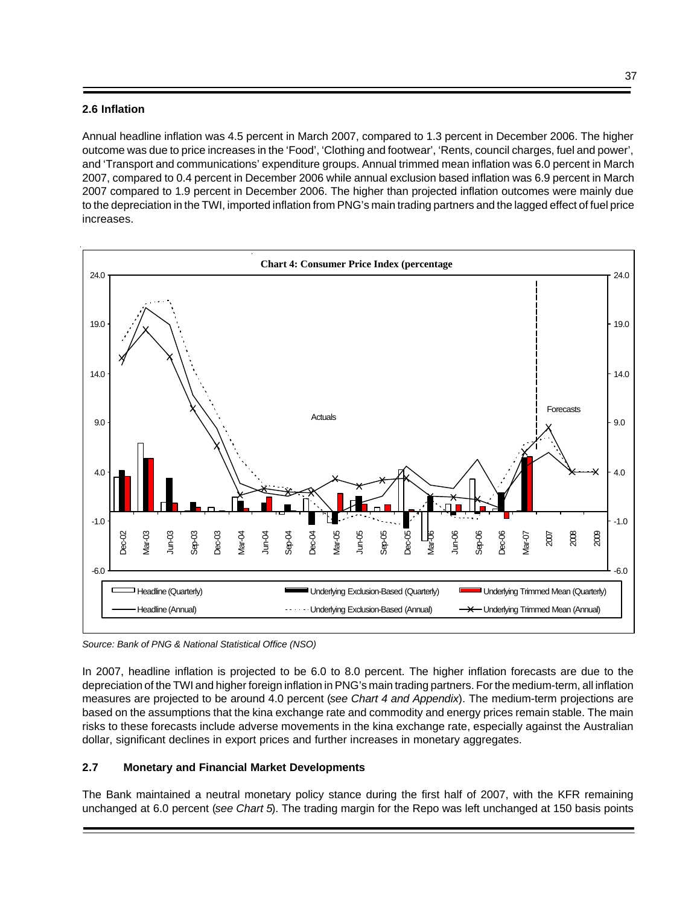## **2.6 Inflation**

Annual headline inflation was 4.5 percent in March 2007, compared to 1.3 percent in December 2006. The higher outcome was due to price increases in the 'Food', 'Clothing and footwear', 'Rents, council charges, fuel and power', and 'Transport and communications' expenditure groups. Annual trimmed mean inflation was 6.0 percent in March 2007, compared to 0.4 percent in December 2006 while annual exclusion based inflation was 6.9 percent in March 2007 compared to 1.9 percent in December 2006. The higher than projected inflation outcomes were mainly due to the depreciation in the TWI, imported inflation from PNG's main trading partners and the lagged effect of fuel price increases.



*Source: Bank of PNG & National Statistical Office (NSO)*

In 2007, headline inflation is projected to be 6.0 to 8.0 percent. The higher inflation forecasts are due to the depreciation of the TWI and higher foreign inflation in PNG's main trading partners. For the medium-term, all inflation measures are projected to be around 4.0 percent (*see Chart 4 and Appendix*). The medium-term projections are based on the assumptions that the kina exchange rate and commodity and energy prices remain stable. The main risks to these forecasts include adverse movements in the kina exchange rate, especially against the Australian dollar, significant declines in export prices and further increases in monetary aggregates.

## **2.7 Monetary and Financial Market Developments**

The Bank maintained a neutral monetary policy stance during the first half of 2007, with the KFR remaining unchanged at 6.0 percent (*see Chart 5*). The trading margin for the Repo was left unchanged at 150 basis points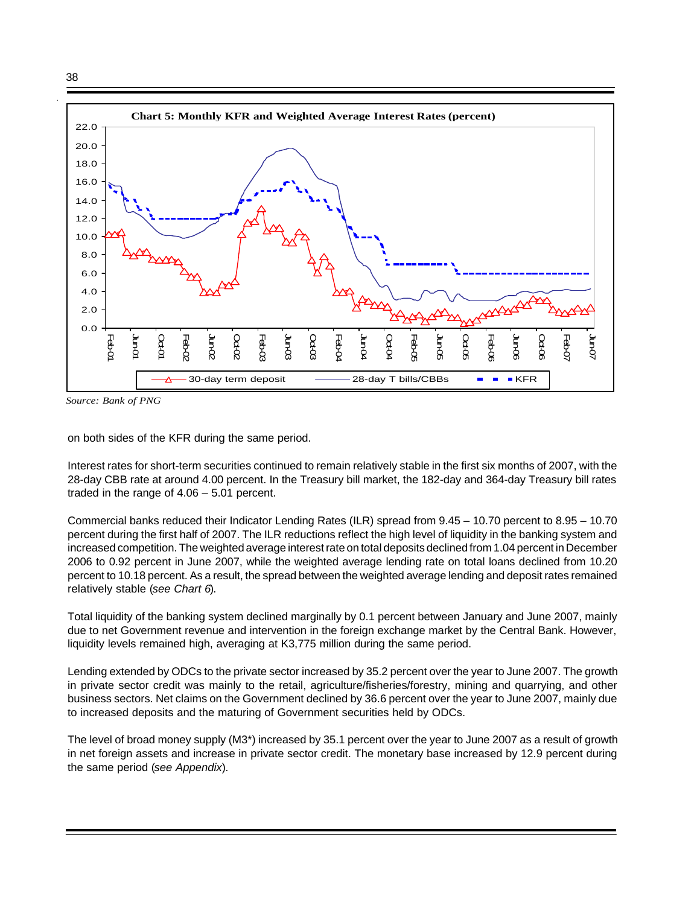

*Source: Bank of PNG*

on both sides of the KFR during the same period.

Interest rates for short-term securities continued to remain relatively stable in the first six months of 2007, with the 28-day CBB rate at around 4.00 percent. In the Treasury bill market, the 182-day and 364-day Treasury bill rates traded in the range of 4.06 – 5.01 percent.

Commercial banks reduced their Indicator Lending Rates (ILR) spread from 9.45 – 10.70 percent to 8.95 – 10.70 percent during the first half of 2007. The ILR reductions reflect the high level of liquidity in the banking system and increased competition. The weighted average interest rate on total deposits declined from 1.04 percent in December 2006 to 0.92 percent in June 2007, while the weighted average lending rate on total loans declined from 10.20 percent to 10.18 percent. As a result, the spread between the weighted average lending and deposit rates remained relatively stable (*see Chart 6*).

Total liquidity of the banking system declined marginally by 0.1 percent between January and June 2007, mainly due to net Government revenue and intervention in the foreign exchange market by the Central Bank. However, liquidity levels remained high, averaging at K3,775 million during the same period.

Lending extended by ODCs to the private sector increased by 35.2 percent over the year to June 2007. The growth in private sector credit was mainly to the retail, agriculture/fisheries/forestry, mining and quarrying, and other business sectors. Net claims on the Government declined by 36.6 percent over the year to June 2007, mainly due to increased deposits and the maturing of Government securities held by ODCs.

The level of broad money supply (M3\*) increased by 35.1 percent over the year to June 2007 as a result of growth in net foreign assets and increase in private sector credit. The monetary base increased by 12.9 percent during the same period (*see Appendix*).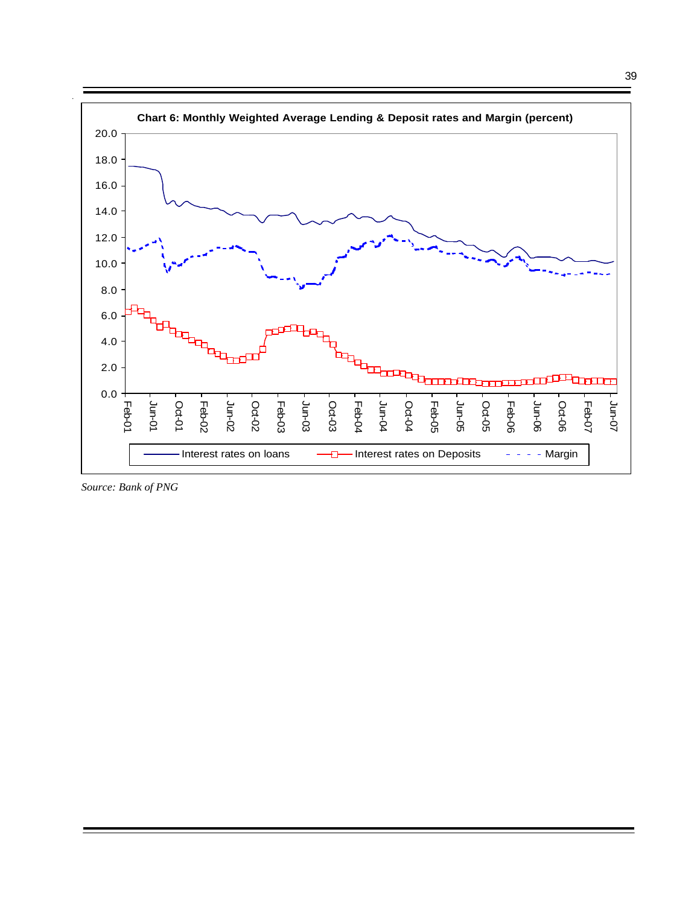

*Source: Bank of PNG*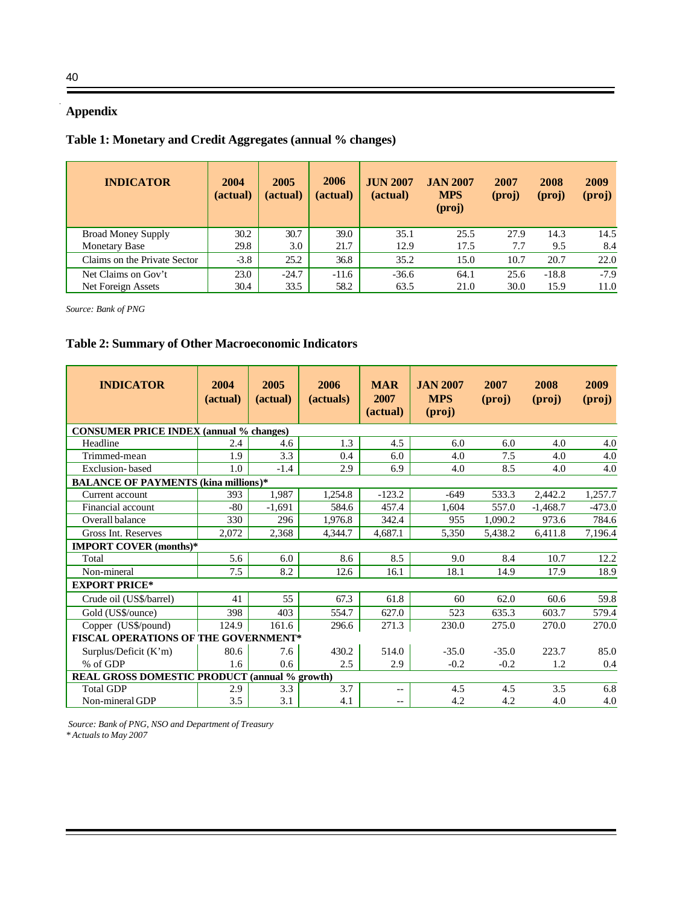# **Appendix**

# **Table 1: Monetary and Credit Aggregates (annual % changes)**

| <b>INDICATOR</b>             | 2004<br>(actual) | 2005<br>(actual) | 2006<br>(actual) | <b>JUN 2007</b><br>(actual) | <b>JAN 2007</b><br><b>MPS</b><br>$(\text{proj})$ | 2007<br>(proj) | 2008<br>(proj) | 2009<br>(proj) |
|------------------------------|------------------|------------------|------------------|-----------------------------|--------------------------------------------------|----------------|----------------|----------------|
| <b>Broad Money Supply</b>    | 30.2             | 30.7             | 39.0             | 35.1                        | 25.5                                             | 27.9           | 14.3           | 14.5           |
| <b>Monetary Base</b>         | 29.8             | 3.0              | 21.7             | 12.9                        | 17.5                                             | 7.7            | 9.5            | 8.4            |
| Claims on the Private Sector | $-3.8$           | 25.2             | 36.8             | 35.2                        | 15.0                                             | 10.7           | 20.7           | 22.0           |
| Net Claims on Gov't          | 23.0             | $-24.7$          | $-11.6$          | $-36.6$                     | 64.1                                             | 25.6           | $-18.8$        | $-7.9$         |
| Net Foreign Assets           | 30.4             | 33.5             | 58.2             | 63.5                        | 21.0                                             | 30.0           | 15.9           | 11.0           |

*Source: Bank of PNG*

# **Table 2: Summary of Other Macroeconomic Indicators**

| <b>INDICATOR</b>                                     | 2004<br>(actual) | 2005<br>(actual) | 2006<br>(actuals) | <b>MAR</b><br>2007<br>(actual) | <b>JAN 2007</b><br><b>MPS</b><br>(proj) | 2007<br>$(\text{proj})$ | 2008<br>(proj) | 2009<br>(proj) |
|------------------------------------------------------|------------------|------------------|-------------------|--------------------------------|-----------------------------------------|-------------------------|----------------|----------------|
| <b>CONSUMER PRICE INDEX (annual % changes)</b>       |                  |                  |                   |                                |                                         |                         |                |                |
| Headline                                             | 2.4              | 4.6              | 1.3               | 4.5                            | 6.0                                     | 6.0                     | 4.0            | 4.0            |
| Trimmed-mean                                         | 1.9              | 3.3              | 0.4               | 6.0                            | 4.0                                     | 7.5                     | 4.0            | 4.0            |
| Exclusion-based                                      | 1.0              | $-1.4$           | 2.9               | 6.9                            | 4.0                                     | 8.5                     | 4.0            | 4.0            |
| <b>BALANCE OF PAYMENTS (kina millions)*</b>          |                  |                  |                   |                                |                                         |                         |                |                |
| Current account                                      | 393              | 1,987            | 1,254.8           | $-123.2$                       | $-649$                                  | 533.3                   | 2,442.2        | 1,257.7        |
| Financial account                                    | $-80$            | $-1.691$         | 584.6             | 457.4                          | 1,604                                   | 557.0                   | $-1,468.7$     | $-473.0$       |
| Overall balance                                      | 330              | 296              | 1.976.8           | 342.4                          | 955                                     | 1.090.2                 | 973.6          | 784.6          |
| Gross Int. Reserves                                  | 2,072            | 2,368            | 4,344.7           | 4,687.1                        | 5,350                                   | 5,438.2                 | 6,411.8        | 7,196.4        |
| <b>IMPORT COVER (months)*</b>                        |                  |                  |                   |                                |                                         |                         |                |                |
| Total                                                | 5.6              | 6.0              | 8.6               | 8.5                            | 9.0                                     | 8.4                     | 10.7           | 12.2           |
| Non-mineral                                          | 7.5              | 8.2              | 12.6              | 16.1                           | 18.1                                    | 14.9                    | 17.9           | 18.9           |
| <b>EXPORT PRICE*</b>                                 |                  |                  |                   |                                |                                         |                         |                |                |
| Crude oil (US\$/barrel)                              | 41               | 55               | 67.3              | 61.8                           | 60                                      | 62.0                    | 60.6           | 59.8           |
| Gold (US\$/ounce)                                    | 398              | 403              | 554.7             | 627.0                          | 523                                     | 635.3                   | 603.7          | 579.4          |
| Copper (US\$/pound)                                  | 124.9            | 161.6            | 296.6             | 271.3                          | 230.0                                   | 275.0                   | 270.0          | 270.0          |
| FISCAL OPERATIONS OF THE GOVERNMENT*                 |                  |                  |                   |                                |                                         |                         |                |                |
| Surplus/Deficit (K'm)                                | 80.6             | 7.6              | 430.2             | 514.0                          | $-35.0$                                 | $-35.0$                 | 223.7          | 85.0           |
| % of GDP                                             | 1.6              | 0.6              | 2.5               | 2.9                            | $-0.2$                                  | $-0.2$                  | 1.2            | 0.4            |
| <b>REAL GROSS DOMESTIC PRODUCT (annual % growth)</b> |                  |                  |                   |                                |                                         |                         |                |                |
| <b>Total GDP</b>                                     | 2.9              | 3.3              | 3.7               | $-$                            | 4.5                                     | 4.5                     | 3.5            | 6.8            |
| Non-mineral GDP                                      | 3.5              | 3.1              | 4.1               | --                             | 4.2                                     | 4.2                     | 4.0            | 4.0            |

Ξ

 *Source: Bank of PNG, NSO and Department of Treasury \* Actuals to May 2007*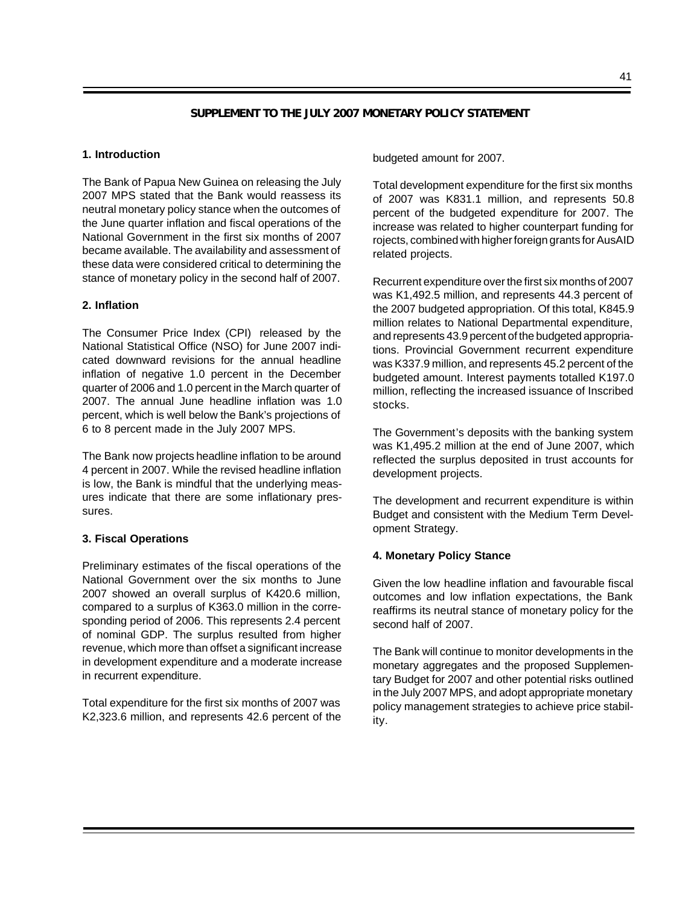## **SUPPLEMENT TO THE JULY 2007 MONETARY POLICY STATEMENT**

#### **1. Introduction**

The Bank of Papua New Guinea on releasing the July 2007 MPS stated that the Bank would reassess its neutral monetary policy stance when the outcomes of the June quarter inflation and fiscal operations of the National Government in the first six months of 2007 became available. The availability and assessment of these data were considered critical to determining the stance of monetary policy in the second half of 2007.

#### **2. Inflation**

The Consumer Price Index (CPI) released by the National Statistical Office (NSO) for June 2007 indicated downward revisions for the annual headline inflation of negative 1.0 percent in the December quarter of 2006 and 1.0 percent in the March quarter of 2007. The annual June headline inflation was 1.0 percent, which is well below the Bank's projections of 6 to 8 percent made in the July 2007 MPS.

The Bank now projects headline inflation to be around 4 percent in 2007. While the revised headline inflation is low, the Bank is mindful that the underlying measures indicate that there are some inflationary pressures.

#### **3. Fiscal Operations**

Preliminary estimates of the fiscal operations of the National Government over the six months to June 2007 showed an overall surplus of K420.6 million, compared to a surplus of K363.0 million in the corresponding period of 2006. This represents 2.4 percent of nominal GDP. The surplus resulted from higher revenue, which more than offset a significant increase in development expenditure and a moderate increase in recurrent expenditure.

Total expenditure for the first six months of 2007 was K2,323.6 million, and represents 42.6 percent of the budgeted amount for 2007.

Total development expenditure for the first six months of 2007 was K831.1 million, and represents 50.8 percent of the budgeted expenditure for 2007. The increase was related to higher counterpart funding for rojects, combined with higher foreign grants for AusAID related projects.

Recurrent expenditure over the first six months of 2007 was K1,492.5 million, and represents 44.3 percent of the 2007 budgeted appropriation. Of this total, K845.9 million relates to National Departmental expenditure, and represents 43.9 percent of the budgeted appropriations. Provincial Government recurrent expenditure was K337.9 million, and represents 45.2 percent of the budgeted amount. Interest payments totalled K197.0 million, reflecting the increased issuance of Inscribed stocks.

The Government's deposits with the banking system was K1,495.2 million at the end of June 2007, which reflected the surplus deposited in trust accounts for development projects.

The development and recurrent expenditure is within Budget and consistent with the Medium Term Development Strategy.

## **4. Monetary Policy Stance**

Given the low headline inflation and favourable fiscal outcomes and low inflation expectations, the Bank reaffirms its neutral stance of monetary policy for the second half of 2007.

The Bank will continue to monitor developments in the monetary aggregates and the proposed Supplementary Budget for 2007 and other potential risks outlined in the July 2007 MPS, and adopt appropriate monetary policy management strategies to achieve price stability.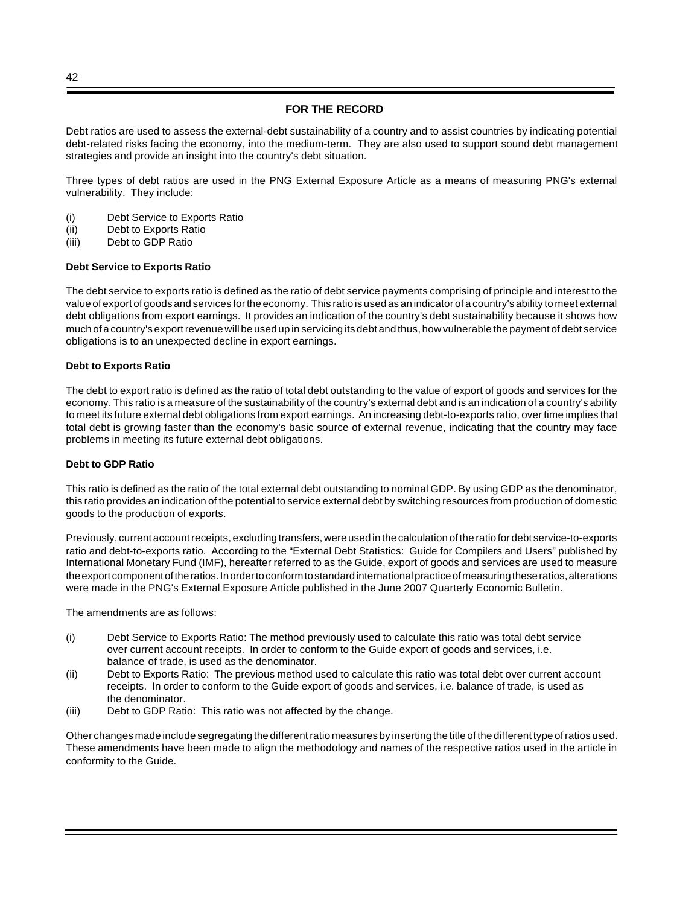#### **FOR THE RECORD**

Debt ratios are used to assess the external-debt sustainability of a country and to assist countries by indicating potential debt-related risks facing the economy, into the medium-term. They are also used to support sound debt management strategies and provide an insight into the country's debt situation.

Three types of debt ratios are used in the PNG External Exposure Article as a means of measuring PNG's external vulnerability. They include:

- (i) Debt Service to Exports Ratio
- (ii) Debt to Exports Ratio
- (iii) Debt to GDP Ratio

#### **Debt Service to Exports Ratio**

The debt service to exports ratio is defined as the ratio of debt service payments comprising of principle and interest to the value of export of goods and services for the economy. This ratio is used as an indicator of a country's ability to meet external debt obligations from export earnings. It provides an indication of the country's debt sustainability because it shows how much of a country's export revenue will be used up in servicing its debt and thus, how vulnerable the payment of debt service obligations is to an unexpected decline in export earnings.

#### **Debt to Exports Ratio**

The debt to export ratio is defined as the ratio of total debt outstanding to the value of export of goods and services for the economy. This ratio is a measure of the sustainability of the country's external debt and is an indication of a country's ability to meet its future external debt obligations from export earnings. An increasing debt-to-exports ratio, over time implies that total debt is growing faster than the economy's basic source of external revenue, indicating that the country may face problems in meeting its future external debt obligations.

#### **Debt to GDP Ratio**

This ratio is defined as the ratio of the total external debt outstanding to nominal GDP. By using GDP as the denominator, this ratio provides an indication of the potential to service external debt by switching resources from production of domestic goods to the production of exports.

Previously, current account receipts, excluding transfers, were used in the calculation of the ratio for debt service-to-exports ratio and debt-to-exports ratio. According to the "External Debt Statistics: Guide for Compilers and Users" published by International Monetary Fund (IMF), hereafter referred to as the Guide, export of goods and services are used to measure the export component of the ratios. In order to conform to standard international practice of measuring these ratios, alterations were made in the PNG's External Exposure Article published in the June 2007 Quarterly Economic Bulletin.

The amendments are as follows:

- (i) Debt Service to Exports Ratio: The method previously used to calculate this ratio was total debt service over current account receipts. In order to conform to the Guide export of goods and services, i.e. balance of trade, is used as the denominator.
- (ii) Debt to Exports Ratio: The previous method used to calculate this ratio was total debt over current account receipts. In order to conform to the Guide export of goods and services, i.e. balance of trade, is used as the denominator.
- (iii) Debt to GDP Ratio: This ratio was not affected by the change.

Other changes made include segregating the different ratio measures by inserting the title of the different type of ratios used. These amendments have been made to align the methodology and names of the respective ratios used in the article in conformity to the Guide.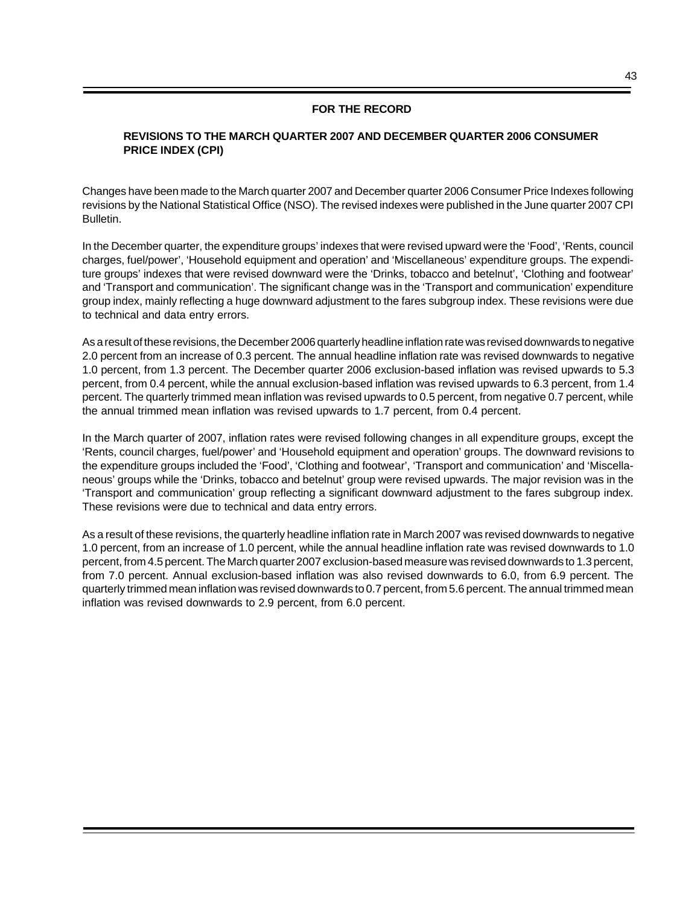## **FOR THE RECORD**

## **REVISIONS TO THE MARCH QUARTER 2007 AND DECEMBER QUARTER 2006 CONSUMER PRICE INDEX (CPI)**

Changes have been made to the March quarter 2007 and December quarter 2006 Consumer Price Indexes following revisions by the National Statistical Office (NSO). The revised indexes were published in the June quarter 2007 CPI Bulletin.

In the December quarter, the expenditure groups' indexes that were revised upward were the 'Food', 'Rents, council charges, fuel/power', 'Household equipment and operation' and 'Miscellaneous' expenditure groups. The expenditure groups' indexes that were revised downward were the 'Drinks, tobacco and betelnut', 'Clothing and footwear' and 'Transport and communication'. The significant change was in the 'Transport and communication' expenditure group index, mainly reflecting a huge downward adjustment to the fares subgroup index. These revisions were due to technical and data entry errors.

As a result of these revisions, the December 2006 quarterly headline inflation rate was revised downwards to negative 2.0 percent from an increase of 0.3 percent. The annual headline inflation rate was revised downwards to negative 1.0 percent, from 1.3 percent. The December quarter 2006 exclusion-based inflation was revised upwards to 5.3 percent, from 0.4 percent, while the annual exclusion-based inflation was revised upwards to 6.3 percent, from 1.4 percent. The quarterly trimmed mean inflation was revised upwards to 0.5 percent, from negative 0.7 percent, while the annual trimmed mean inflation was revised upwards to 1.7 percent, from 0.4 percent.

In the March quarter of 2007, inflation rates were revised following changes in all expenditure groups, except the 'Rents, council charges, fuel/power' and 'Household equipment and operation' groups. The downward revisions to the expenditure groups included the 'Food', 'Clothing and footwear', 'Transport and communication' and 'Miscellaneous' groups while the 'Drinks, tobacco and betelnut' group were revised upwards. The major revision was in the 'Transport and communication' group reflecting a significant downward adjustment to the fares subgroup index. These revisions were due to technical and data entry errors.

As a result of these revisions, the quarterly headline inflation rate in March 2007 was revised downwards to negative 1.0 percent, from an increase of 1.0 percent, while the annual headline inflation rate was revised downwards to 1.0 percent, from 4.5 percent. The March quarter 2007 exclusion-based measure was revised downwards to 1.3 percent, from 7.0 percent. Annual exclusion-based inflation was also revised downwards to 6.0, from 6.9 percent. The quarterly trimmed mean inflation was revised downwards to 0.7 percent, from 5.6 percent. The annual trimmed mean inflation was revised downwards to 2.9 percent, from 6.0 percent.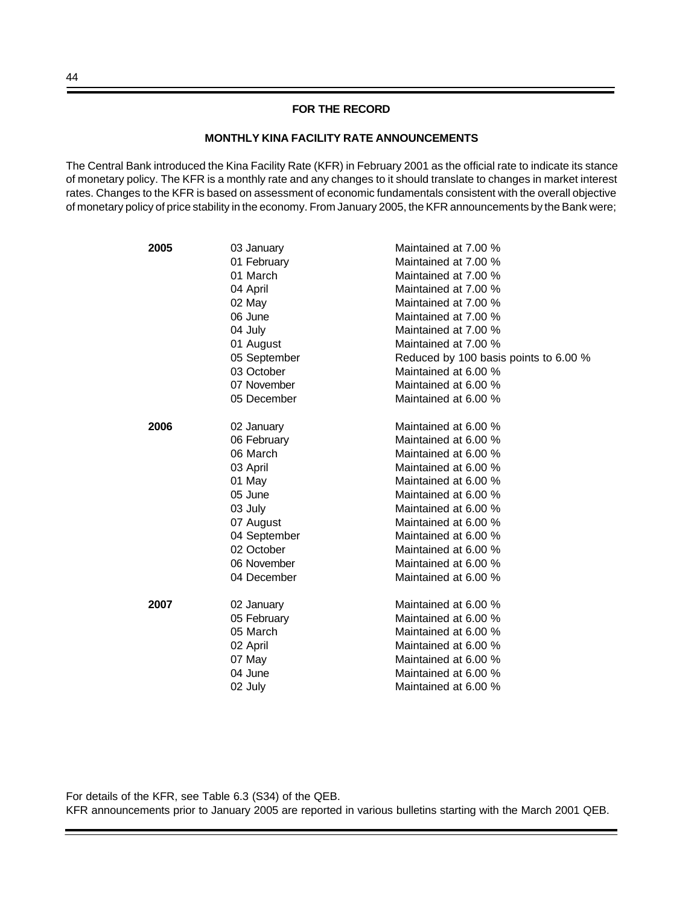#### **FOR THE RECORD**

#### **MONTHLY KINA FACILITY RATE ANNOUNCEMENTS**

The Central Bank introduced the Kina Facility Rate (KFR) in February 2001 as the official rate to indicate its stance of monetary policy. The KFR is a monthly rate and any changes to it should translate to changes in market interest rates. Changes to the KFR is based on assessment of economic fundamentals consistent with the overall objective of monetary policy of price stability in the economy. From January 2005, the KFR announcements by the Bank were;

| 2005 | 03 January   | Maintained at 7.00 %                  |
|------|--------------|---------------------------------------|
|      | 01 February  | Maintained at 7.00 %                  |
|      | 01 March     | Maintained at 7.00 %                  |
|      | 04 April     | Maintained at 7.00 %                  |
|      | 02 May       | Maintained at 7.00 %                  |
|      | 06 June      | Maintained at 7.00 %                  |
|      | 04 July      | Maintained at 7.00 %                  |
|      | 01 August    | Maintained at 7.00 %                  |
|      | 05 September | Reduced by 100 basis points to 6.00 % |
|      | 03 October   | Maintained at 6.00 %                  |
|      | 07 November  | Maintained at 6.00 %                  |
|      | 05 December  | Maintained at 6.00 %                  |
| 2006 | 02 January   | Maintained at 6.00 %                  |
|      | 06 February  | Maintained at 6.00 %                  |
|      | 06 March     | Maintained at 6.00 %                  |
|      | 03 April     | Maintained at 6.00 %                  |
|      | 01 May       | Maintained at 6.00 %                  |
|      | 05 June      | Maintained at 6.00 %                  |
|      | 03 July      | Maintained at 6.00 %                  |
|      | 07 August    | Maintained at 6.00 %                  |
|      | 04 September | Maintained at 6.00 %                  |
|      | 02 October   | Maintained at 6.00 %                  |
|      | 06 November  | Maintained at 6.00 %                  |
|      | 04 December  | Maintained at 6.00 %                  |
| 2007 | 02 January   | Maintained at 6.00 %                  |
|      | 05 February  | Maintained at 6.00 %                  |
|      | 05 March     | Maintained at 6.00 %                  |
|      | 02 April     | Maintained at 6.00 %                  |
|      | 07 May       | Maintained at 6.00 %                  |
|      | 04 June      | Maintained at 6.00 %                  |
|      | 02 July      | Maintained at 6.00 %                  |
|      |              |                                       |

For details of the KFR, see Table 6.3 (S34) of the QEB. KFR announcements prior to January 2005 are reported in various bulletins starting with the March 2001 QEB.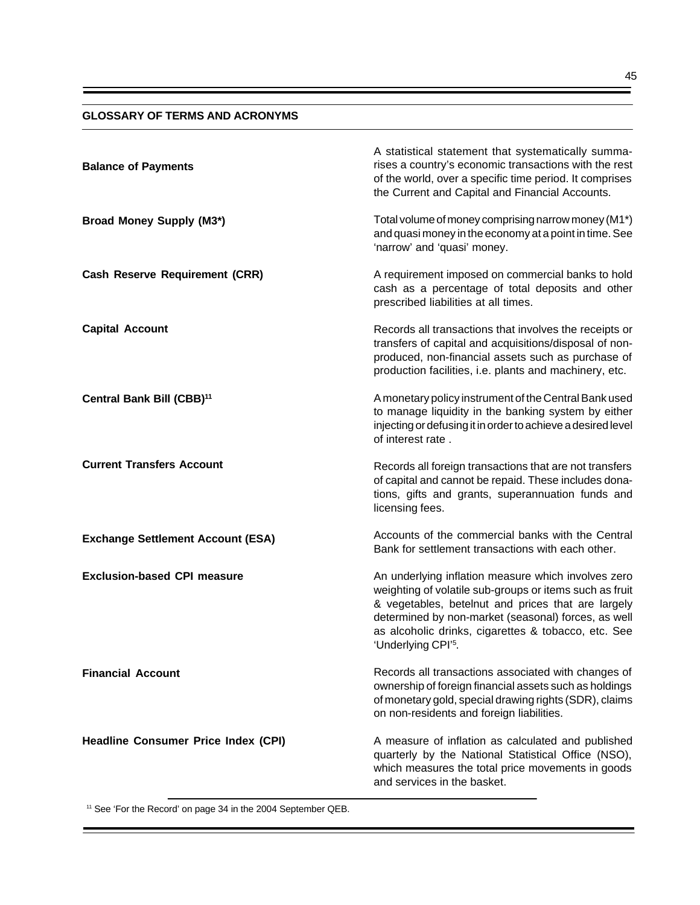#### **GLOSSARY OF TERMS AND ACRONYMS**

| <b>Balance of Payments</b>                 | A statistical statement that systematically summa-<br>rises a country's economic transactions with the rest<br>of the world, over a specific time period. It comprises<br>the Current and Capital and Financial Accounts.                                                                                             |
|--------------------------------------------|-----------------------------------------------------------------------------------------------------------------------------------------------------------------------------------------------------------------------------------------------------------------------------------------------------------------------|
| <b>Broad Money Supply (M3*)</b>            | Total volume of money comprising narrow money (M1*)<br>and quasi money in the economy at a point in time. See<br>'narrow' and 'quasi' money.                                                                                                                                                                          |
| <b>Cash Reserve Requirement (CRR)</b>      | A requirement imposed on commercial banks to hold<br>cash as a percentage of total deposits and other<br>prescribed liabilities at all times.                                                                                                                                                                         |
| <b>Capital Account</b>                     | Records all transactions that involves the receipts or<br>transfers of capital and acquisitions/disposal of non-<br>produced, non-financial assets such as purchase of<br>production facilities, i.e. plants and machinery, etc.                                                                                      |
| Central Bank Bill (CBB) <sup>11</sup>      | A monetary policy instrument of the Central Bank used<br>to manage liquidity in the banking system by either<br>injecting or defusing it in order to achieve a desired level<br>of interest rate.                                                                                                                     |
| <b>Current Transfers Account</b>           | Records all foreign transactions that are not transfers<br>of capital and cannot be repaid. These includes dona-<br>tions, gifts and grants, superannuation funds and<br>licensing fees.                                                                                                                              |
| <b>Exchange Settlement Account (ESA)</b>   | Accounts of the commercial banks with the Central<br>Bank for settlement transactions with each other.                                                                                                                                                                                                                |
| <b>Exclusion-based CPI measure</b>         | An underlying inflation measure which involves zero<br>weighting of volatile sub-groups or items such as fruit<br>& vegetables, betelnut and prices that are largely<br>determined by non-market (seasonal) forces, as well<br>as alcoholic drinks, cigarettes & tobacco, etc. See<br>'Underlying CPI' <sup>5</sup> . |
| <b>Financial Account</b>                   | Records all transactions associated with changes of<br>ownership of foreign financial assets such as holdings<br>of monetary gold, special drawing rights (SDR), claims<br>on non-residents and foreign liabilities.                                                                                                  |
| <b>Headline Consumer Price Index (CPI)</b> | A measure of inflation as calculated and published<br>quarterly by the National Statistical Office (NSO),<br>which measures the total price movements in goods<br>and services in the basket.                                                                                                                         |

11 See 'For the Record' on page 34 in the 2004 September QEB.

Ξ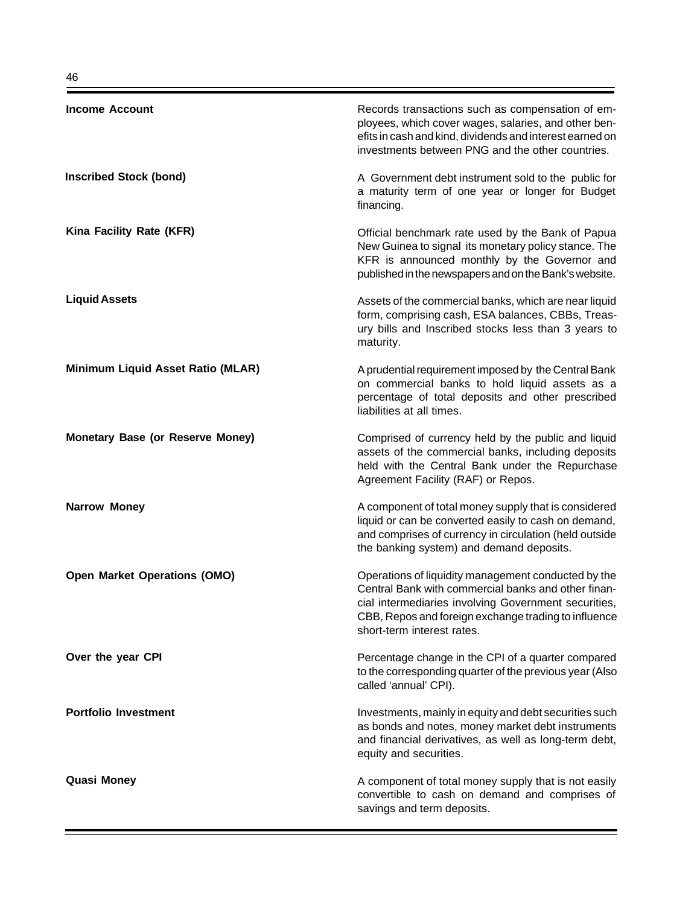| <b>Income Account</b>                   | Records transactions such as compensation of em-<br>ployees, which cover wages, salaries, and other ben-<br>efits in cash and kind, dividends and interest earned on<br>investments between PNG and the other countries.                                 |
|-----------------------------------------|----------------------------------------------------------------------------------------------------------------------------------------------------------------------------------------------------------------------------------------------------------|
| <b>Inscribed Stock (bond)</b>           | A Government debt instrument sold to the public for<br>a maturity term of one year or longer for Budget<br>financing.                                                                                                                                    |
| Kina Facility Rate (KFR)                | Official benchmark rate used by the Bank of Papua<br>New Guinea to signal its monetary policy stance. The<br>KFR is announced monthly by the Governor and<br>published in the newspapers and on the Bank's website.                                      |
| <b>Liquid Assets</b>                    | Assets of the commercial banks, which are near liquid<br>form, comprising cash, ESA balances, CBBs, Treas-<br>ury bills and Inscribed stocks less than 3 years to<br>maturity.                                                                           |
| Minimum Liquid Asset Ratio (MLAR)       | A prudential requirement imposed by the Central Bank<br>on commercial banks to hold liquid assets as a<br>percentage of total deposits and other prescribed<br>liabilities at all times.                                                                 |
| <b>Monetary Base (or Reserve Money)</b> | Comprised of currency held by the public and liquid<br>assets of the commercial banks, including deposits<br>held with the Central Bank under the Repurchase<br>Agreement Facility (RAF) or Repos.                                                       |
| <b>Narrow Money</b>                     | A component of total money supply that is considered<br>liquid or can be converted easily to cash on demand,<br>and comprises of currency in circulation (held outside<br>the banking system) and demand deposits.                                       |
| <b>Open Market Operations (OMO)</b>     | Operations of liquidity management conducted by the<br>Central Bank with commercial banks and other finan-<br>cial intermediaries involving Government securities,<br>CBB, Repos and foreign exchange trading to influence<br>short-term interest rates. |
| Over the year CPI                       | Percentage change in the CPI of a quarter compared<br>to the corresponding quarter of the previous year (Also<br>called 'annual' CPI).                                                                                                                   |
| <b>Portfolio Investment</b>             | Investments, mainly in equity and debt securities such<br>as bonds and notes, money market debt instruments<br>and financial derivatives, as well as long-term debt,<br>equity and securities.                                                           |
| <b>Quasi Money</b>                      | A component of total money supply that is not easily<br>convertible to cash on demand and comprises of<br>savings and term deposits.                                                                                                                     |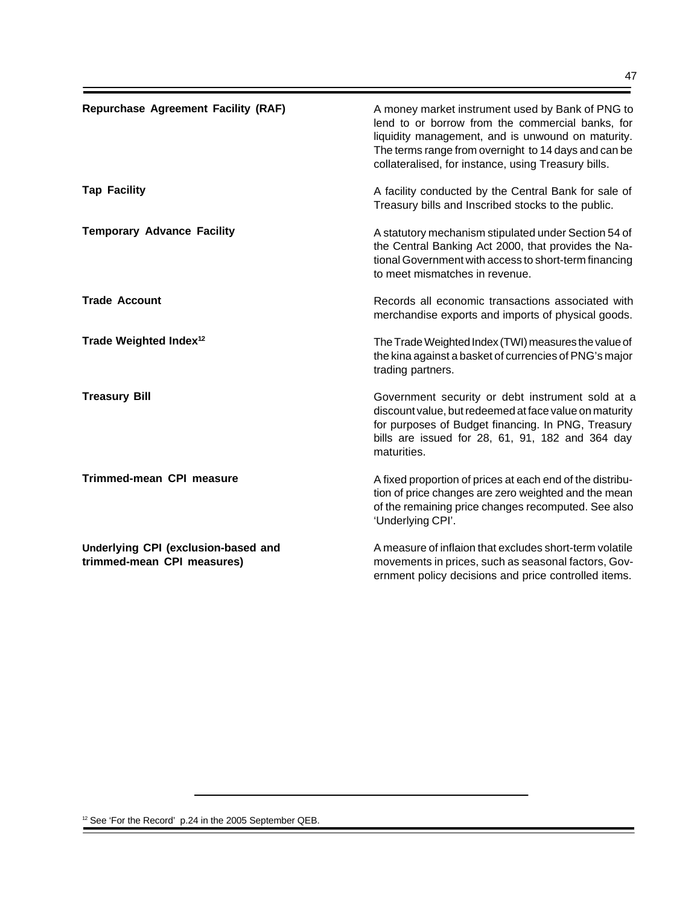| <b>Repurchase Agreement Facility (RAF)</b> | A money market instrument used by Bank of PNG to<br>lend to or borrow from the commercial banks, for<br>liquidity management, and is unwound on maturity.<br>The terms range from overnight to 14 days and can be<br>collateralised, for instance, using Treasury bills. |
|--------------------------------------------|--------------------------------------------------------------------------------------------------------------------------------------------------------------------------------------------------------------------------------------------------------------------------|
| <b>Tap Facility</b>                        | A facility conducted by the Central Bank for sale of<br>Treasury bills and Inscribed stocks to the public.                                                                                                                                                               |
| <b>Temporary Advance Facility</b>          | A statutory mechanism stipulated under Section 54 of<br>the Central Banking Act 2000, that provides the Na-<br>tional Government with access to short-term financing<br>to meet mismatches in revenue.                                                                   |
| <b>Trade Account</b>                       | Records all economic transactions associated with<br>merchandise exports and imports of physical goods.                                                                                                                                                                  |
| Trade Weighted Index <sup>12</sup>         | The Trade Weighted Index (TWI) measures the value of<br>the kina against a basket of currencies of PNG's major<br>trading partners.                                                                                                                                      |
| <b>Treasury Bill</b>                       | Government security or debt instrument sold at a<br>discount value, but redeemed at face value on maturity<br>for purposes of Budget financing. In PNG, Treasury<br>bills are issued for 28, 61, 91, 182 and 364 day<br>maturities.                                      |
| <b>Trimmed-mean CPI measure</b>            | A fixed proportion of prices at each end of the distribu-<br>tion of price changes are zero weighted and the mean<br>of the remaining price changes recomputed. See also<br>'Underlying CPI'.                                                                            |

**Underlying CPI (exclusion-based and trimmed-mean CPI measures)**

A measure of inflaion that excludes short-term volatile movements in prices, such as seasonal factors, Government policy decisions and price controlled items.

<sup>12</sup> See 'For the Record' p.24 in the 2005 September QEB.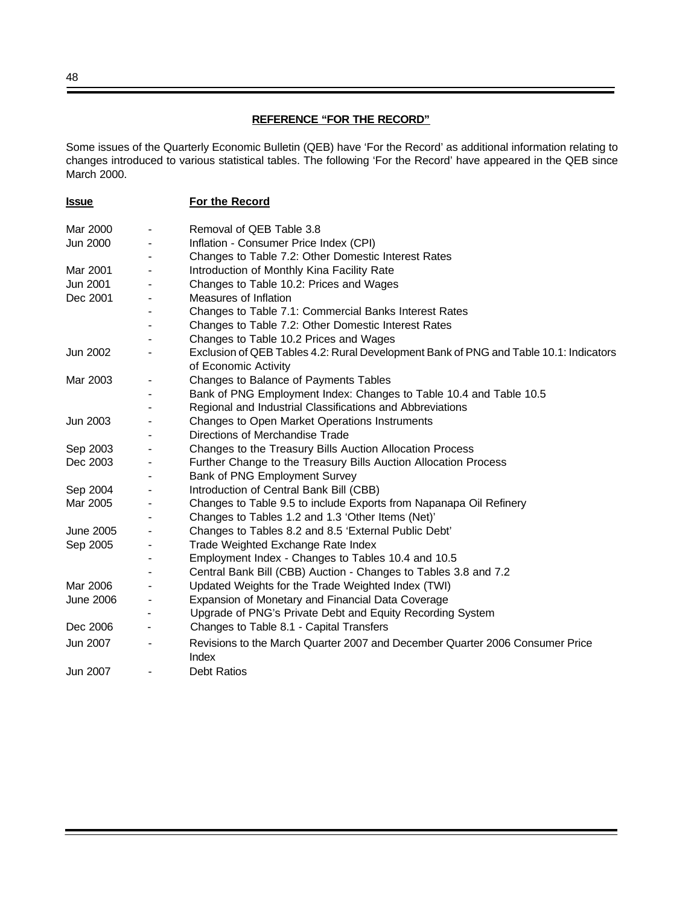# **REFERENCE "FOR THE RECORD"**

Some issues of the Quarterly Economic Bulletin (QEB) have 'For the Record' as additional information relating to changes introduced to various statistical tables. The following 'For the Record' have appeared in the QEB since March 2000.

|                          | For the Record                                                                                                |
|--------------------------|---------------------------------------------------------------------------------------------------------------|
| $\blacksquare$           | Removal of QEB Table 3.8                                                                                      |
|                          | Inflation - Consumer Price Index (CPI)                                                                        |
|                          | Changes to Table 7.2: Other Domestic Interest Rates                                                           |
|                          | Introduction of Monthly Kina Facility Rate                                                                    |
| $\overline{\phantom{a}}$ | Changes to Table 10.2: Prices and Wages                                                                       |
|                          | Measures of Inflation                                                                                         |
|                          | Changes to Table 7.1: Commercial Banks Interest Rates                                                         |
|                          | Changes to Table 7.2: Other Domestic Interest Rates                                                           |
|                          | Changes to Table 10.2 Prices and Wages                                                                        |
| $\overline{\phantom{a}}$ | Exclusion of QEB Tables 4.2: Rural Development Bank of PNG and Table 10.1: Indicators<br>of Economic Activity |
| $\blacksquare$           | Changes to Balance of Payments Tables                                                                         |
|                          | Bank of PNG Employment Index: Changes to Table 10.4 and Table 10.5                                            |
|                          | Regional and Industrial Classifications and Abbreviations                                                     |
|                          | Changes to Open Market Operations Instruments                                                                 |
|                          | Directions of Merchandise Trade                                                                               |
|                          | Changes to the Treasury Bills Auction Allocation Process                                                      |
|                          | Further Change to the Treasury Bills Auction Allocation Process                                               |
|                          | Bank of PNG Employment Survey                                                                                 |
| $\overline{\phantom{a}}$ | Introduction of Central Bank Bill (CBB)                                                                       |
|                          | Changes to Table 9.5 to include Exports from Napanapa Oil Refinery                                            |
|                          | Changes to Tables 1.2 and 1.3 'Other Items (Net)'                                                             |
|                          | Changes to Tables 8.2 and 8.5 'External Public Debt'                                                          |
|                          | Trade Weighted Exchange Rate Index                                                                            |
|                          | Employment Index - Changes to Tables 10.4 and 10.5                                                            |
|                          | Central Bank Bill (CBB) Auction - Changes to Tables 3.8 and 7.2                                               |
|                          | Updated Weights for the Trade Weighted Index (TWI)                                                            |
|                          | Expansion of Monetary and Financial Data Coverage                                                             |
|                          | Upgrade of PNG's Private Debt and Equity Recording System                                                     |
|                          | Changes to Table 8.1 - Capital Transfers                                                                      |
|                          | Revisions to the March Quarter 2007 and December Quarter 2006 Consumer Price<br>Index                         |
|                          | <b>Debt Ratios</b>                                                                                            |
|                          |                                                                                                               |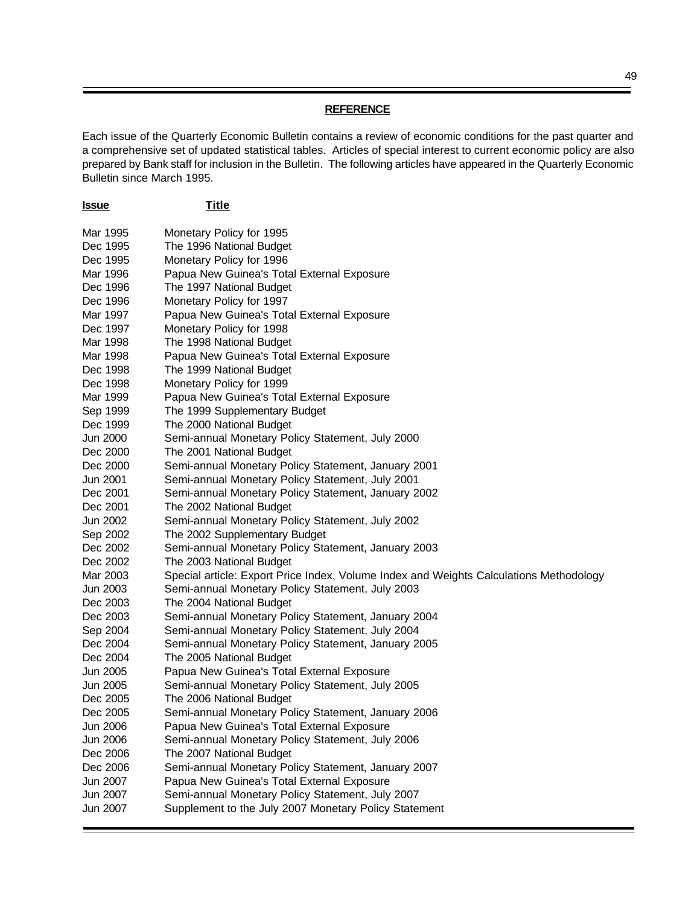#### **REFERENCE**

Each issue of the Quarterly Economic Bulletin contains a review of economic conditions for the past quarter and a comprehensive set of updated statistical tables. Articles of special interest to current economic policy are also prepared by Bank staff for inclusion in the Bulletin. The following articles have appeared in the Quarterly Economic Bulletin since March 1995.

| <u>Issue</u> | <u>Title</u>                                                                           |
|--------------|----------------------------------------------------------------------------------------|
| Mar 1995     | Monetary Policy for 1995                                                               |
| Dec 1995     | The 1996 National Budget                                                               |
| Dec 1995     | Monetary Policy for 1996                                                               |
| Mar 1996     | Papua New Guinea's Total External Exposure                                             |
| Dec 1996     | The 1997 National Budget                                                               |
| Dec 1996     | Monetary Policy for 1997                                                               |
| Mar 1997     | Papua New Guinea's Total External Exposure                                             |
| Dec 1997     | Monetary Policy for 1998                                                               |
| Mar 1998     | The 1998 National Budget                                                               |
| Mar 1998     | Papua New Guinea's Total External Exposure                                             |
| Dec 1998     | The 1999 National Budget                                                               |
| Dec 1998     | Monetary Policy for 1999                                                               |
| Mar 1999     | Papua New Guinea's Total External Exposure                                             |
| Sep 1999     | The 1999 Supplementary Budget                                                          |
| Dec 1999     | The 2000 National Budget                                                               |
| Jun 2000     | Semi-annual Monetary Policy Statement, July 2000                                       |
| Dec 2000     | The 2001 National Budget                                                               |
| Dec 2000     | Semi-annual Monetary Policy Statement, January 2001                                    |
| Jun 2001     | Semi-annual Monetary Policy Statement, July 2001                                       |
| Dec 2001     | Semi-annual Monetary Policy Statement, January 2002                                    |
| Dec 2001     | The 2002 National Budget                                                               |
| Jun 2002     | Semi-annual Monetary Policy Statement, July 2002                                       |
| Sep 2002     | The 2002 Supplementary Budget                                                          |
| Dec 2002     | Semi-annual Monetary Policy Statement, January 2003                                    |
| Dec 2002     | The 2003 National Budget                                                               |
| Mar 2003     | Special article: Export Price Index, Volume Index and Weights Calculations Methodology |
| Jun 2003     | Semi-annual Monetary Policy Statement, July 2003                                       |
| Dec 2003     | The 2004 National Budget                                                               |
| Dec 2003     | Semi-annual Monetary Policy Statement, January 2004                                    |
| Sep 2004     | Semi-annual Monetary Policy Statement, July 2004                                       |
| Dec 2004     | Semi-annual Monetary Policy Statement, January 2005                                    |
| Dec 2004     | The 2005 National Budget                                                               |
| Jun 2005     | Papua New Guinea's Total External Exposure                                             |
| Jun 2005     | Semi-annual Monetary Policy Statement, July 2005                                       |
| Dec 2005     | The 2006 National Budget                                                               |
| Dec 2005     | Semi-annual Monetary Policy Statement, January 2006                                    |
| Jun 2006     | Papua New Guinea's Total External Exposure                                             |
| Jun 2006     | Semi-annual Monetary Policy Statement, July 2006                                       |
| Dec 2006     | The 2007 National Budget                                                               |
| Dec 2006     | Semi-annual Monetary Policy Statement, January 2007                                    |
| Jun 2007     | Papua New Guinea's Total External Exposure                                             |
| Jun 2007     | Semi-annual Monetary Policy Statement, July 2007                                       |
| Jun 2007     | Supplement to the July 2007 Monetary Policy Statement                                  |